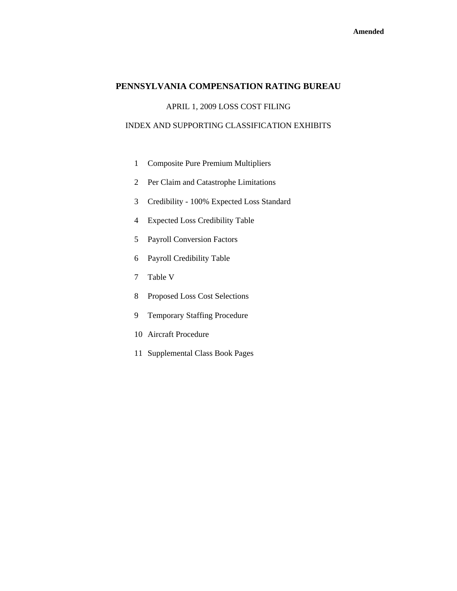## **PENNSYLVANIA COMPENSATION RATING BUREAU**

### APRIL 1, 2009 LOSS COST FILING

## INDEX AND SUPPORTING CLASSIFICATION EXHIBITS

- 1 Composite Pure Premium Multipliers
- 2 Per Claim and Catastrophe Limitations
- 3 Credibility 100% Expected Loss Standard
- 4 Expected Loss Credibility Table
- 5 Payroll Conversion Factors
- 6 Payroll Credibility Table
- 7 Table V
- 8 Proposed Loss Cost Selections
- 9 Temporary Staffing Procedure
- 10 Aircraft Procedure
- 11 Supplemental Class Book Pages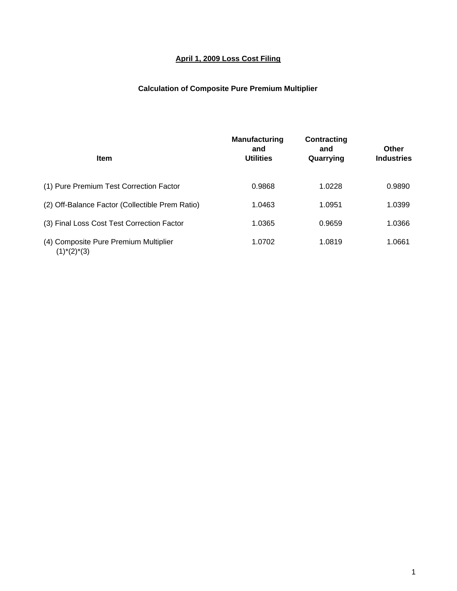# **April 1, 2009 Loss Cost Filing**

# **Calculation of Composite Pure Premium Multiplier**

| <b>Item</b>                                              | <b>Manufacturing</b><br>and<br><b>Utilities</b> | Contracting<br>and<br>Quarrying | Other<br><b>Industries</b> |
|----------------------------------------------------------|-------------------------------------------------|---------------------------------|----------------------------|
| (1) Pure Premium Test Correction Factor                  | 0.9868                                          | 1.0228                          | 0.9890                     |
| (2) Off-Balance Factor (Collectible Prem Ratio)          | 1.0463                                          | 1.0951                          | 1.0399                     |
| (3) Final Loss Cost Test Correction Factor               | 1.0365                                          | 0.9659                          | 1.0366                     |
| (4) Composite Pure Premium Multiplier<br>$(1)^*(2)^*(3)$ | 1.0702                                          | 1.0819                          | 1.0661                     |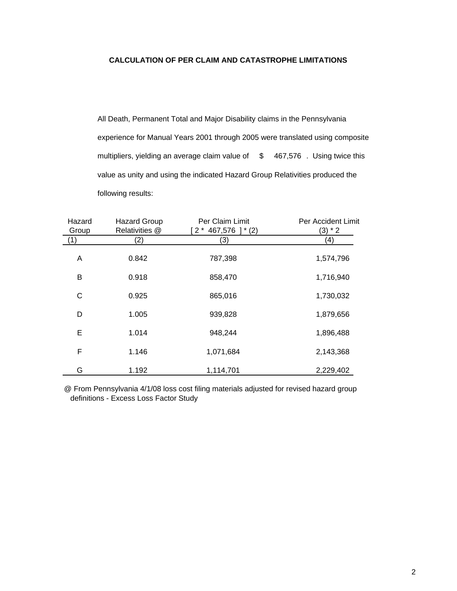## **CALCULATION OF PER CLAIM AND CATASTROPHE LIMITATIONS**

All Death, Permanent Total and Major Disability claims in the Pennsylvania experience for Manual Years 2001 through 2005 were translated using composite multipliers, yielding an average claim value of  $$ 467,576$ . Using twice this value as unity and using the indicated Hazard Group Relativities produced the following results:

| Hazard | <b>Hazard Group</b> | Per Claim Limit        | Per Accident Limit |
|--------|---------------------|------------------------|--------------------|
| Group  | Relativities @      | $2 * 467,576$ ] $*(2)$ | $(3) * 2$          |
| (1)    | (2)                 | (3)                    | (4)                |
| Α      | 0.842               | 787,398                | 1,574,796          |
| B      | 0.918               | 858,470                | 1,716,940          |
| C      | 0.925               | 865,016                | 1,730,032          |
| D      | 1.005               | 939,828                | 1,879,656          |
| E      | 1.014               | 948,244                | 1,896,488          |
| F      | 1.146               | 1,071,684              | 2,143,368          |
| G      | 1.192               | 1,114,701              | 2,229,402          |

@ From Pennsylvania 4/1/08 loss cost filing materials adjusted for revised hazard group definitions - Excess Loss Factor Study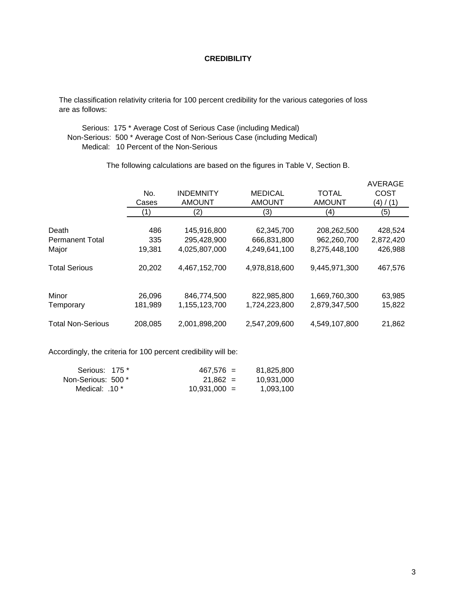## **CREDIBILITY**

 The classification relativity criteria for 100 percent credibility for the various categories of loss are as follows:

 Serious: 175 \* Average Cost of Serious Case (including Medical) Non-Serious: 500 \* Average Cost of Non-Serious Case (including Medical) Medical: 10 Percent of the Non-Serious

The following calculations are based on the figures in Table V, Section B.

|                          | No.<br>Cases<br>1) | <b>INDEMNITY</b><br><b>AMOUNT</b><br>(2) | <b>MEDICAL</b><br><b>AMOUNT</b><br>(3) | <b>TOTAL</b><br><b>AMOUNT</b><br>(4) | <b>AVERAGE</b><br>COST<br>(4) / (1)<br>(5) |
|--------------------------|--------------------|------------------------------------------|----------------------------------------|--------------------------------------|--------------------------------------------|
| Death                    | 486                | 145,916,800                              | 62,345,700                             | 208,262,500                          | 428,524                                    |
| <b>Permanent Total</b>   | 335                | 295,428,900                              | 666,831,800                            | 962,260,700                          | 2,872,420                                  |
| Major                    | 19,381             | 4,025,807,000                            | 4,249,641,100                          | 8,275,448,100                        | 426,988                                    |
| <b>Total Serious</b>     | 20,202             | 4,467,152,700                            | 4,978,818,600                          | 9,445,971,300                        | 467,576                                    |
| Minor                    | 26,096             | 846,774,500                              | 822,985,800                            | 1,669,760,300                        | 63,985                                     |
| Temporary                | 181,989            | 1,155,123,700                            | 1,724,223,800                          | 2.879.347.500                        | 15,822                                     |
| <b>Total Non-Serious</b> | 208,085            | 2,001,898,200                            | 2,547,209,600                          | 4,549,107,800                        | 21,862                                     |

Accordingly, the criteria for 100 percent credibility will be:

| Serious: 175 *     | $467.576 =$    | 81,825,800 |
|--------------------|----------------|------------|
| Non-Serious: 500 * | $21.862 =$     | 10,931,000 |
| Medical: .10 *     | $10.931.000 =$ | 1.093.100  |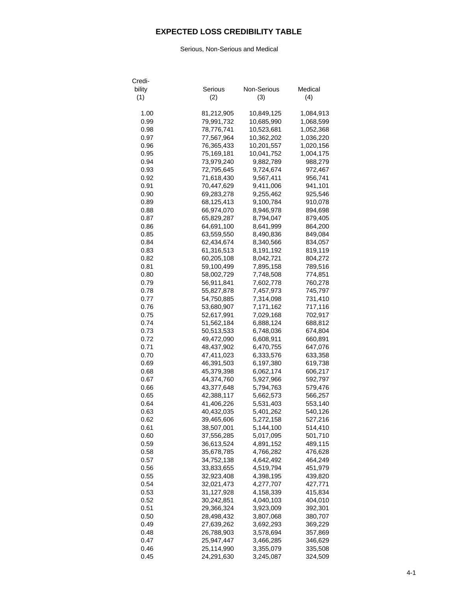# **EXPECTED LOSS CREDIBILITY TABLE**

### Serious, Non-Serious and Medical

| Credi- |                          |             |           |
|--------|--------------------------|-------------|-----------|
| bility | Serious                  | Non-Serious | Medical   |
| (1)    | (2)                      | (3)         | (4)       |
|        |                          |             |           |
| 1.00   | 81,212,905               | 10,849,125  | 1,084,913 |
| 0.99   | 79,991,732               | 10,685,990  | 1,068,599 |
| 0.98   | 78,776,741               | 10,523,681  | 1,052,368 |
| 0.97   | 77,567,964               | 10,362,202  | 1,036,220 |
| 0.96   | 76,365,433               | 10,201,557  | 1,020,156 |
| 0.95   | 75,169,181               | 10,041,752  | 1,004,175 |
| 0.94   | 73,979,240               | 9,882,789   | 988,279   |
| 0.93   | 72,795,645               | 9,724,674   | 972,467   |
| 0.92   | 71,618,430               | 9,567,411   | 956,741   |
| 0.91   | 70,447,629               | 9,411,006   | 941,101   |
| 0.90   | 69,283,278               | 9,255,462   | 925,546   |
| 0.89   | 68,125,413               | 9,100,784   | 910,078   |
| 0.88   | 66,974,070               | 8,946,978   | 894,698   |
| 0.87   | 65,829,287               | 8,794,047   | 879,405   |
| 0.86   | 64,691,100               | 8,641,999   | 864,200   |
| 0.85   | 63,559,550               | 8,490,836   | 849,084   |
| 0.84   | 62,434,674               | 8,340,566   | 834,057   |
| 0.83   | 61,316,513               | 8,191,192   | 819,119   |
| 0.82   | 60,205,108               | 8,042,721   | 804,272   |
| 0.81   | 59,100,499               | 7,895,158   | 789,516   |
| 0.80   | 58,002,729               | 7,748,508   | 774,851   |
| 0.79   | 56,911,841               | 7,602,778   | 760,278   |
| 0.78   | 55,827,878               |             |           |
|        |                          | 7,457,973   | 745,797   |
| 0.77   | 54,750,885               | 7,314,098   | 731,410   |
| 0.76   | 53,680,907               | 7,171,162   | 717,116   |
| 0.75   | 52,617,991               | 7,029,168   | 702,917   |
| 0.74   | 51,562,184               | 6,888,124   | 688,812   |
| 0.73   | 50,513,533               | 6,748,036   | 674,804   |
| 0.72   | 49,472,090               | 6,608,911   | 660,891   |
| 0.71   | 48,437,902               | 6,470,755   | 647,076   |
| 0.70   | 47,411,023               | 6,333,576   | 633,358   |
| 0.69   | 46,391,503               | 6,197,380   | 619,738   |
| 0.68   | 45,379,398               | 6,062,174   | 606,217   |
| 0.67   | 44,374,760               | 5,927,966   | 592,797   |
| 0.66   | 43,377,648               | 5,794,763   | 579,476   |
| 0.65   | 42,388,117               | 5,662,573   | 566,257   |
| 0.64   | 41,406,226               | 5,531,403   | 553,140   |
| 0.63   | 40,432,035               | 5,401,262   | 540,126   |
| 0.62   | 39,465,606               | 5,272,158   | 527,216   |
| 0.61   | 38,507,001               | 5,144,100   | 514,410   |
| 0.60   | 37,556,285               | 5,017,095   | 501,710   |
| 0.59   | 36,613,524               | 4,891,152   | 489,115   |
| 0.58   | 35,678,785               | 4,766,282   | 476,628   |
| 0.57   | 34,752,138               | 4,642,492   | 464,249   |
| 0.56   | 33,833,655               | 4,519,794   | 451,979   |
| 0.55   | 32,923,408               | 4,398,195   | 439,820   |
| 0.54   | 32,021,473               | 4,277,707   | 427,771   |
| 0.53   | 31,127,928               | 4,158,339   | 415,834   |
| 0.52   | 30,242,851               | 4,040,103   | 404,010   |
| 0.51   | 29,366,324               | 3,923,009   | 392,301   |
| 0.50   | 28,498,432               | 3,807,068   | 380,707   |
| 0.49   | 27,639,262               | 3,692,293   | 369,229   |
| 0.48   |                          |             |           |
|        | 26,788,903               | 3,578,694   | 357,869   |
| 0.47   | 25,947,447<br>25,114,990 | 3,466,285   | 346,629   |
| 0.46   |                          | 3,355,079   | 335,508   |
| 0.45   | 24,291,630               | 3,245,087   | 324,509   |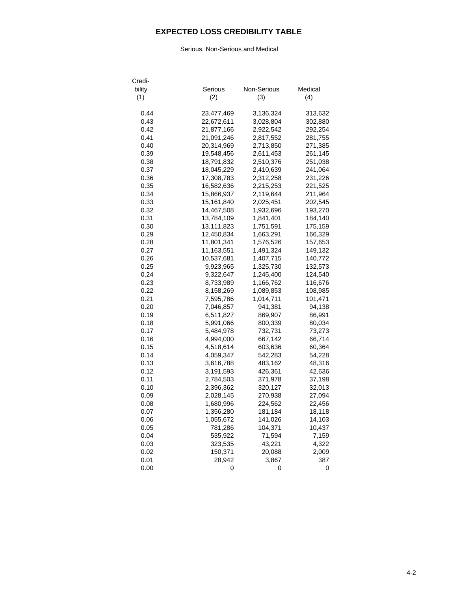# **EXPECTED LOSS CREDIBILITY TABLE**

### Serious, Non-Serious and Medical

| Credi- |            |             |         |
|--------|------------|-------------|---------|
| bility | Serious    | Non-Serious | Medical |
| (1)    | (2)        | (3)         | (4)     |
| 0.44   | 23,477,469 | 3,136,324   | 313,632 |
| 0.43   | 22,672,611 | 3,028,804   | 302,880 |
| 0.42   | 21,877,166 | 2,922,542   | 292,254 |
| 0.41   | 21,091,246 | 2,817,552   | 281,755 |
| 0.40   | 20,314,969 | 2,713,850   | 271,385 |
| 0.39   | 19,548,456 | 2,611,453   | 261,145 |
| 0.38   | 18,791,832 | 2,510,376   | 251,038 |
| 0.37   | 18,045,229 | 2,410,639   | 241,064 |
| 0.36   | 17,308,783 | 2,312,258   | 231,226 |
| 0.35   | 16,582,636 | 2,215,253   | 221,525 |
| 0.34   | 15,866,937 | 2,119,644   | 211,964 |
| 0.33   | 15,161,840 | 2,025,451   | 202,545 |
| 0.32   | 14,467,508 | 1,932,696   | 193,270 |
| 0.31   | 13,784,109 | 1,841,401   | 184,140 |
| 0.30   | 13,111,823 | 1,751,591   | 175,159 |
| 0.29   | 12,450,834 | 1,663,291   | 166,329 |
| 0.28   | 11,801,341 | 1,576,526   | 157,653 |
| 0.27   | 11,163,551 | 1,491,324   | 149,132 |
| 0.26   | 10,537,681 | 1,407,715   | 140,772 |
| 0.25   | 9,923,965  | 1,325,730   | 132,573 |
| 0.24   | 9,322,647  | 1,245,400   | 124,540 |
| 0.23   | 8,733,989  | 1,166,762   | 116,676 |
| 0.22   | 8,158,269  | 1,089,853   | 108,985 |
| 0.21   | 7,595,786  | 1,014,711   | 101,471 |
| 0.20   | 7,046,857  | 941,381     | 94,138  |
| 0.19   | 6,511,827  | 869,907     | 86,991  |
| 0.18   | 5,991,066  | 800,339     | 80,034  |
| 0.17   | 5,484,978  | 732,731     | 73,273  |
| 0.16   | 4,994,000  | 667,142     | 66,714  |
| 0.15   | 4,518,614  | 603,636     | 60,364  |
| 0.14   | 4,059,347  | 542,283     | 54,228  |
| 0.13   | 3,616,788  | 483,162     | 48,316  |
| 0.12   | 3,191,593  | 426,361     | 42,636  |
| 0.11   | 2,784,503  | 371,978     | 37,198  |
| 0.10   | 2,396,362  | 320,127     | 32,013  |
| 0.09   | 2,028,145  | 270,938     | 27,094  |
| 0.08   | 1,680,996  | 224,562     | 22,456  |
| 0.07   | 1,356,280  | 181,184     | 18,118  |
| 0.06   | 1,055,672  | 141,026     | 14,103  |
| 0.05   | 781,286    | 104,371     | 10,437  |
| 0.04   | 535,922    | 71,594      | 7,159   |
| 0.03   | 323,535    | 43,221      | 4,322   |
| 0.02   | 150,371    | 20,088      | 2,009   |
| 0.01   | 28,942     | 3,867       | 387     |
| 0.00   | 0          | 0           | 0       |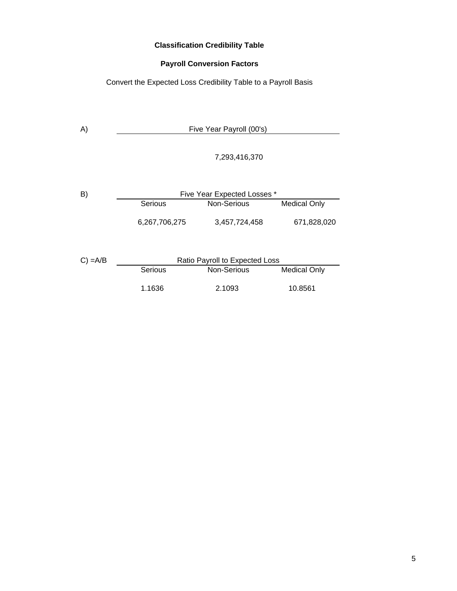## **Classification Credibility Table**

# **Payroll Conversion Factors**

Convert the Expected Loss Credibility Table to a Payroll Basis

| A)            | Five Year Payroll (00's) |                                |                     |  |  |  |  |  |  |  |  |  |
|---------------|--------------------------|--------------------------------|---------------------|--|--|--|--|--|--|--|--|--|
|               |                          | 7,293,416,370                  |                     |  |  |  |  |  |  |  |  |  |
| B)            |                          | Five Year Expected Losses *    |                     |  |  |  |  |  |  |  |  |  |
|               | Serious                  | Non-Serious                    | <b>Medical Only</b> |  |  |  |  |  |  |  |  |  |
|               | 6,267,706,275            | 3,457,724,458                  | 671,828,020         |  |  |  |  |  |  |  |  |  |
| $C$ ) = $A/B$ |                          | Ratio Payroll to Expected Loss |                     |  |  |  |  |  |  |  |  |  |
|               | Serious                  | Non-Serious                    | <b>Medical Only</b> |  |  |  |  |  |  |  |  |  |
|               | 1.1636                   | 2.1093                         | 10.8561             |  |  |  |  |  |  |  |  |  |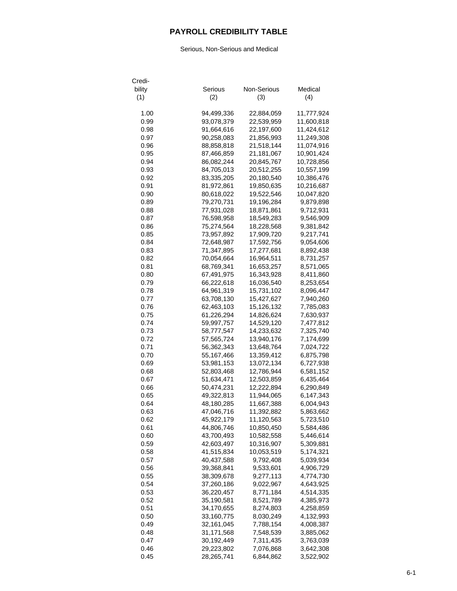# **PAYROLL CREDIBILITY TABLE**

### Serious, Non-Serious and Medical

| Credi- |                          |             |            |
|--------|--------------------------|-------------|------------|
| bility | Serious                  | Non-Serious | Medical    |
| (1)    | (2)                      | (3)         | (4)        |
|        |                          |             |            |
| 1.00   | 94,499,336               | 22,884,059  | 11,777,924 |
| 0.99   | 93,078,379               | 22,539,959  | 11,600,818 |
| 0.98   | 91,664,616               | 22,197,600  | 11,424,612 |
| 0.97   | 90,258,083               | 21,856,993  | 11,249,308 |
| 0.96   | 88,858,818               | 21,518,144  | 11,074,916 |
| 0.95   | 87,466,859               | 21,181,067  | 10,901,424 |
| 0.94   | 86,082,244               | 20,845,767  | 10,728,856 |
| 0.93   | 84,705,013               | 20,512,255  | 10,557,199 |
| 0.92   | 83,335,205               | 20,180,540  | 10,386,476 |
| 0.91   | 81,972,861               | 19,850,635  | 10,216,687 |
| 0.90   | 80,618,022               | 19,522,546  | 10,047,820 |
| 0.89   | 79,270,731               | 19,196,284  | 9,879,898  |
| 0.88   | 77,931,028               | 18,871,861  | 9,712,931  |
| 0.87   | 76,598,958               | 18,549,283  | 9,546,909  |
| 0.86   | 75,274,564               | 18,228,568  | 9,381,842  |
| 0.85   | 73,957,892               | 17,909,720  | 9,217,741  |
| 0.84   | 72,648,987               | 17,592,756  | 9,054,606  |
| 0.83   | 71,347,895               | 17,277,681  | 8,892,438  |
| 0.82   | 70,054,664               | 16,964,511  | 8,731,257  |
| 0.81   | 68,769,341               | 16,653,257  | 8,571,065  |
| 0.80   | 67,491,975               | 16,343,928  | 8,411,860  |
| 0.79   | 66,222,618               | 16,036,540  | 8,253,654  |
| 0.78   | 64,961,319               | 15,731,102  | 8,096,447  |
| 0.77   | 63,708,130               | 15,427,627  | 7,940,260  |
| 0.76   | 62,463,103               | 15,126,132  | 7,785,083  |
| 0.75   | 61,226,294               | 14,826,624  | 7,630,937  |
| 0.74   | 59,997,757               | 14,529,120  | 7,477,812  |
| 0.73   | 58,777,547               | 14,233,632  | 7,325,740  |
| 0.72   | 57,565,724               | 13,940,176  | 7,174,699  |
| 0.71   | 56,362,343               | 13,648,764  | 7,024,722  |
| 0.70   | 55,167,466               | 13,359,412  | 6,875,798  |
| 0.69   | 53,981,153               | 13,072,134  | 6,727,938  |
| 0.68   | 52,803,468               | 12,786,944  | 6,581,152  |
| 0.67   | 51,634,471               | 12,503,859  | 6,435,464  |
| 0.66   | 50,474,231               | 12,222,894  | 6,290,849  |
| 0.65   | 49,322,813               | 11,944,065  | 6,147,343  |
| 0.64   | 48,180,285               | 11,667,388  | 6,004,943  |
| 0.63   | 47,046,716               | 11,392,882  | 5,863,662  |
| 0.62   | 45,922,179               | 11,120,563  | 5,723,510  |
| 0.61   | 44,806,746               | 10,850,450  | 5,584,486  |
| 0.60   | 43,700,493               | 10,582,558  | 5,446,614  |
| 0.59   | 42,603,497               | 10,316,907  | 5,309,881  |
| 0.58   |                          |             |            |
|        | 41,515,834<br>40,437,588 | 10,053,519  | 5,174,321  |
| 0.57   |                          | 9,792,408   | 5,039,934  |
| 0.56   | 39,368,841               | 9,533,601   | 4,906,729  |
| 0.55   | 38,309,678               | 9,277,113   | 4,774,730  |
| 0.54   | 37,260,186               | 9,022,967   | 4,643,925  |
| 0.53   | 36,220,457               | 8,771,184   | 4,514,335  |
| 0.52   | 35,190,581               | 8,521,789   | 4,385,973  |
| 0.51   | 34,170,655               | 8,274,803   | 4,258,859  |
| 0.50   | 33,160,775               | 8,030,249   | 4,132,993  |
| 0.49   | 32,161,045               | 7,788,154   | 4,008,387  |
| 0.48   | 31,171,568               | 7,548,539   | 3,885,062  |
| 0.47   | 30,192,449               | 7,311,435   | 3,763,039  |
| 0.46   | 29,223,802               | 7,076,868   | 3,642,308  |
| 0.45   | 28,265,741               | 6,844,862   | 3,522,902  |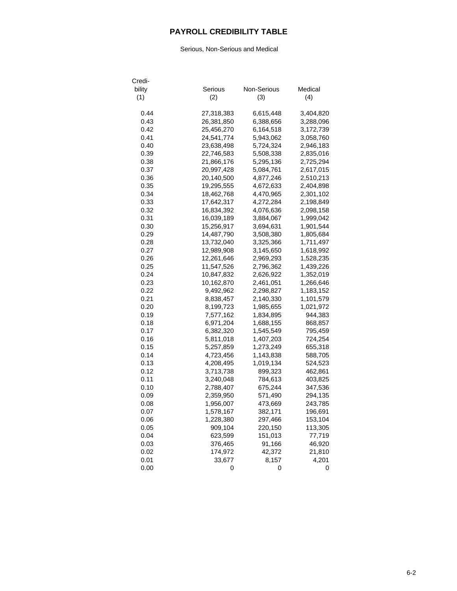# **PAYROLL CREDIBILITY TABLE**

### Serious, Non-Serious and Medical

| Credi- |            |             |           |
|--------|------------|-------------|-----------|
| bility | Serious    | Non-Serious | Medical   |
| (1)    | (2)        | (3)         | (4)       |
| 0.44   | 27,318,383 | 6,615,448   | 3,404,820 |
| 0.43   | 26,381,850 | 6,388,656   | 3,288,096 |
| 0.42   | 25,456,270 | 6,164,518   | 3,172,739 |
| 0.41   | 24,541,774 | 5,943,062   | 3,058,760 |
| 0.40   | 23,638,498 | 5,724,324   | 2,946,183 |
| 0.39   | 22,746,583 | 5,508,338   | 2,835,016 |
| 0.38   | 21,866,176 | 5,295,136   | 2,725,294 |
| 0.37   | 20,997,428 | 5,084,761   | 2,617,015 |
| 0.36   | 20,140,500 | 4,877,246   | 2,510,213 |
| 0.35   | 19,295,555 | 4,672,633   | 2,404,898 |
| 0.34   | 18,462,768 | 4,470,965   | 2,301,102 |
| 0.33   | 17,642,317 | 4,272,284   | 2,198,849 |
| 0.32   | 16,834,392 | 4,076,636   | 2,098,158 |
| 0.31   | 16,039,189 | 3,884,067   | 1,999,042 |
| 0.30   | 15,256,917 | 3,694,631   | 1,901,544 |
| 0.29   | 14,487,790 | 3,508,380   | 1,805,684 |
| 0.28   | 13,732,040 | 3,325,366   | 1,711,497 |
| 0.27   | 12,989,908 | 3,145,650   | 1,618,992 |
| 0.26   | 12,261,646 | 2,969,293   | 1,528,235 |
| 0.25   | 11,547,526 | 2,796,362   | 1,439,226 |
| 0.24   | 10,847,832 | 2,626,922   | 1,352,019 |
| 0.23   | 10,162,870 | 2,461,051   | 1,266,646 |
| 0.22   | 9,492,962  | 2,298,827   | 1,183,152 |
| 0.21   | 8,838,457  | 2,140,330   | 1,101,579 |
| 0.20   | 8,199,723  | 1,985,655   | 1,021,972 |
| 0.19   | 7,577,162  | 1,834,895   | 944,383   |
| 0.18   | 6,971,204  | 1,688,155   | 868,857   |
| 0.17   | 6,382,320  | 1,545,549   | 795,459   |
| 0.16   | 5,811,018  | 1,407,203   | 724,254   |
| 0.15   | 5,257,859  | 1,273,249   | 655,318   |
| 0.14   | 4,723,456  | 1,143,838   | 588,705   |
| 0.13   | 4,208,495  | 1,019,134   | 524,523   |
| 0.12   | 3,713,738  | 899,323     | 462,861   |
| 0.11   | 3,240,048  | 784,613     | 403,825   |
| 0.10   | 2,788,407  | 675,244     | 347,536   |
| 0.09   | 2,359,950  | 571,490     | 294,135   |
| 0.08   | 1,956,007  | 473,669     | 243,785   |
| 0.07   | 1,578,167  | 382,171     | 196,691   |
| 0.06   | 1,228,380  | 297,466     | 153,104   |
| 0.05   | 909,104    | 220,150     | 113,305   |
| 0.04   | 623,599    | 151,013     | 77,719    |
| 0.03   | 376,465    | 91,166      | 46,920    |
| 0.02   | 174,972    | 42,372      | 21,810    |
| 0.01   | 33,677     | 8,157       | 4,201     |
| 0.00   | 0          | 0           | 0         |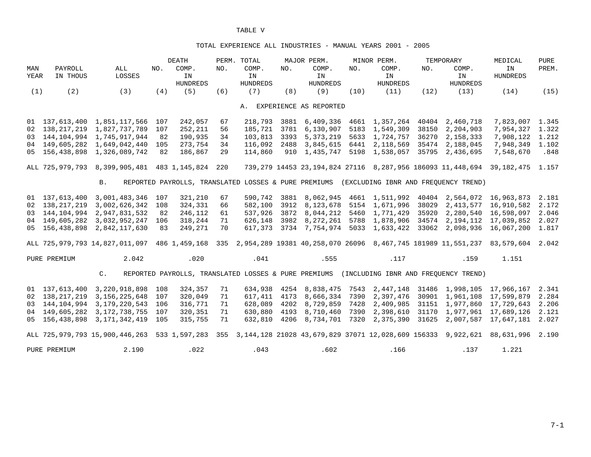#### TOTAL EXPERIENCE ALL INDUSTRIES - MANUAL YEARS 2001 - 2005

|      |                                                                                           |                                                                                                                          |     | <b>DEATH</b>    |     | PERM. TOTAL     |      | MAJOR PERM.               |      | MINOR PERM.     |       | TEMPORARY                                                                                 | MEDICAL                                                                     | PURE  |
|------|-------------------------------------------------------------------------------------------|--------------------------------------------------------------------------------------------------------------------------|-----|-----------------|-----|-----------------|------|---------------------------|------|-----------------|-------|-------------------------------------------------------------------------------------------|-----------------------------------------------------------------------------|-------|
| MAN  | PAYROLL                                                                                   | ALL                                                                                                                      | NO. | COMP.           | NO. | COMP.           | NO.  | COMP.                     | NO.  | COMP.           | NO.   | COMP.                                                                                     | IN                                                                          | PREM. |
| YEAR | IN THOUS                                                                                  | LOSSES                                                                                                                   |     | IN              |     | IN              |      | IN                        |      | IN              |       | IN                                                                                        | <b>HUNDREDS</b>                                                             |       |
|      |                                                                                           |                                                                                                                          |     | <b>HUNDREDS</b> |     | <b>HUNDREDS</b> |      | <b>HUNDREDS</b>           |      | <b>HUNDREDS</b> |       | <b>HUNDREDS</b>                                                                           |                                                                             |       |
| (1)  | (2)                                                                                       | (3)                                                                                                                      | (4) | (5)             | (6) | (7)             | (8)  | (9)                       | (10) | (11)            | (12)  | (13)                                                                                      | (14)                                                                        | (15)  |
|      |                                                                                           |                                                                                                                          |     |                 |     |                 |      |                           |      |                 |       |                                                                                           |                                                                             |       |
|      |                                                                                           |                                                                                                                          |     |                 |     |                 |      | A. EXPERIENCE AS REPORTED |      |                 |       |                                                                                           |                                                                             |       |
|      |                                                                                           | 01 137,613,400 1,851,117,566 107                                                                                         |     | 242,057         | 67  |                 |      | 218,793 3881 6,409,336    |      |                 |       | 4661 1,357,264 40404 2,460,718                                                            | 7,823,007 1.345                                                             |       |
|      | 02 138, 217, 219                                                                          | 1,827,737,789                                                                                                            | 107 | 252,211         | 56  | 185,721         |      | 3781 6,130,907            |      | 5183 1,549,309  | 38150 | 2,204,903                                                                                 | 7,954,327 1.322                                                             |       |
|      | 03 144,104,994                                                                            | 1,745,917,944                                                                                                            | 82  | 190,935         | 34  | 103,813         |      | 3393 5,373,219            |      | 5633 1,724,757  | 36270 | 2,158,333                                                                                 | 7,908,122                                                                   | 1.212 |
|      | 04 149,605,282                                                                            | 1,649,042,440                                                                                                            | 105 | 273,754         | 34  | 116,092         | 2488 | 3,845,615                 |      | 6441 2,118,569  | 35474 | 2,188,045                                                                                 | 7,948,349                                                                   | 1.102 |
|      |                                                                                           | 05 156,438,898 1,326,089,742                                                                                             | 82  | 186,867         | 29  | 114,860         |      | 910 1,435,747             |      | 5198 1,538,057  |       | 35795 2,436,695                                                                           | 7,548,670                                                                   | .848  |
|      |                                                                                           |                                                                                                                          |     |                 |     |                 |      |                           |      |                 |       |                                                                                           |                                                                             |       |
|      |                                                                                           | ALL 725, 979, 793 8, 399, 905, 481 483 1, 145, 824 220                                                                   |     |                 |     |                 |      |                           |      |                 |       |                                                                                           | 739,279 14453 23,194,824 27116 8,287,956 186093 11,448,694 39,182,475 1.157 |       |
|      |                                                                                           | <b>B.</b>                                                                                                                |     |                 |     |                 |      |                           |      |                 |       |                                                                                           |                                                                             |       |
|      | REPORTED PAYROLLS, TRANSLATED LOSSES & PURE PREMIUMS (EXCLUDING IBNR AND FREQUENCY TREND) |                                                                                                                          |     |                 |     |                 |      |                           |      |                 |       |                                                                                           |                                                                             |       |
|      | 01 137,613,400                                                                            | 3,001,483,346                                                                                                            | 107 | 321,210         | 67  | 590,742         | 3881 | 8,062,945                 |      | 4661 1,511,992  |       |                                                                                           | 40404 2,564,072 16,963,873                                                  | 2.181 |
|      | 02 138, 217, 219                                                                          | 3,002,626,342 108                                                                                                        |     | 324,331         | 66  | 582,100         |      | 3912 8, 123, 678          |      | 5154 1,671,996  | 38029 |                                                                                           | 2, 413, 577 16, 910, 582                                                    | 2.172 |
|      | 03 144, 104, 994                                                                          | 2,947,831,532                                                                                                            | 82  | 246,112         | 61  | 537,926         |      | 3872 8,044,212            |      | 5460 1,771,429  | 35920 |                                                                                           | 2,280,540 16,598,097                                                        | 2.046 |
|      | 04 149,605,282                                                                            | 3,032,952,247                                                                                                            | 106 | 318,244         | 71  | 626,148         |      | 3982 8,272,261            |      | 5788 1,878,906  | 34574 |                                                                                           | 2, 194, 112 17, 039, 852                                                    | 2.027 |
|      | 05 156,438,898                                                                            | 2,842,117,630                                                                                                            | 83  | 249,271         | 70  | 617,373         |      | 3734 7,754,974            |      | 5033 1,633,422  | 33062 |                                                                                           | 2,098,936 16,067,200                                                        | 1.817 |
|      |                                                                                           |                                                                                                                          |     |                 |     |                 |      |                           |      |                 |       |                                                                                           |                                                                             |       |
|      |                                                                                           | ALL 725,979,793 14,827,011,097 486 1,459,168 335 2,954,289 19381 40,258,070 26096 8,467,745 181989 11,551,237 83,579,604 |     |                 |     |                 |      |                           |      |                 |       |                                                                                           |                                                                             | 2.042 |
|      | PURE PREMIUM                                                                              | 2.042                                                                                                                    |     | .020            |     | .041            |      | .555                      |      | .117            |       | .159                                                                                      | 1.151                                                                       |       |
|      |                                                                                           |                                                                                                                          |     |                 |     |                 |      |                           |      |                 |       |                                                                                           |                                                                             |       |
|      |                                                                                           | $\mathsf{C}$ .                                                                                                           |     |                 |     |                 |      |                           |      |                 |       | REPORTED PAYROLLS, TRANSLATED LOSSES & PURE PREMIUMS (INCLUDING IBNR AND FREQUENCY TREND) |                                                                             |       |
|      | 01 137,613,400                                                                            | 3,220,918,898 108                                                                                                        |     | 324,357         | 71  | 634,938         |      | 4254 8,838,475            |      | 7543 2,447,148  |       |                                                                                           | 31486 1,998,105 17,966,167                                                  | 2.341 |
|      | 02 138, 217, 219                                                                          | 3, 156, 225, 648                                                                                                         | 107 | 320,049         | 71  | 617,411         |      | 4173 8,666,334            |      |                 |       | 7390 2,397,476 30901 1,961,108 17,599,879                                                 |                                                                             | 2.284 |
|      | 03 144,104,994                                                                            | 3, 179, 220, 543                                                                                                         | 106 | 316,771         | 71  | 628,089         | 4202 | 8,729,859                 | 7428 |                 |       |                                                                                           | 2,409,985 31151 1,977,860 17,729,643                                        | 2.206 |
|      | 04 149,605,282                                                                            | 3, 172, 738, 755                                                                                                         | 107 | 320,351         | 71  | 630,880         |      |                           |      |                 |       |                                                                                           | 4193 8,710,460 7390 2,398,610 31170 1,977,961 17,689,126                    |       |
|      |                                                                                           |                                                                                                                          |     |                 |     |                 |      |                           |      |                 |       |                                                                                           |                                                                             | 2.121 |
|      | 05 156,438,898                                                                            | 3,171,342,419                                                                                                            | 105 | 315,755         | 71  | 632,810         | 4206 | 8,734,701                 | 7320 | 2,375,390       | 31625 |                                                                                           | 2,007,587 17,647,181                                                        | 2.027 |
|      |                                                                                           | ALL 725,979,793 15,900,446,263 533 1,597,283 355 3,144,128 21028 43,679,829 37071 12,028,609 156333 9,922,621 88,631,996 |     |                 |     |                 |      |                           |      |                 |       |                                                                                           |                                                                             | 2.190 |
|      | PURE PREMIUM                                                                              | 2.190                                                                                                                    |     | .022            |     | .043            |      | .602                      |      | .166            |       | .137                                                                                      | 1.221                                                                       |       |
|      |                                                                                           |                                                                                                                          |     |                 |     |                 |      |                           |      |                 |       |                                                                                           |                                                                             |       |

 $7 - 1$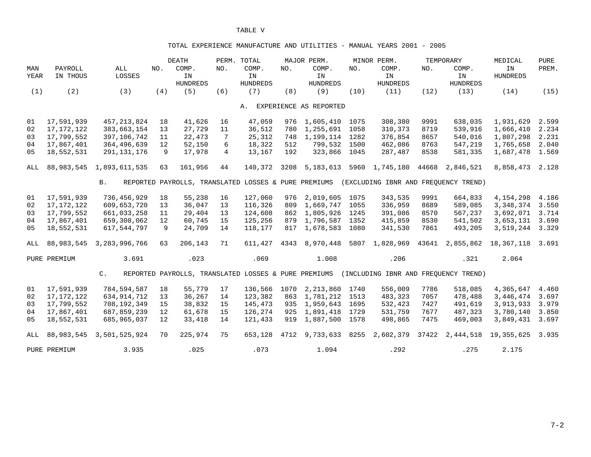#### TOTAL EXPERIENCE MANUFACTURE AND UTILITIES - MANUAL YEARS 2001 - 2005

|                |                                                                                                            |                  |     | <b>DEATH</b>                                         |                 | PERM. TOTAL     |      | MAJOR PERM.            |      | MINOR PERM.          |       | TEMPORARY                            | MEDICAL                  | PURE  |
|----------------|------------------------------------------------------------------------------------------------------------|------------------|-----|------------------------------------------------------|-----------------|-----------------|------|------------------------|------|----------------------|-------|--------------------------------------|--------------------------|-------|
| MAN            | PAYROLL                                                                                                    | ALL              | NO. | COMP.                                                | NO.             | COMP.           | NO.  | COMP.                  | NO.  | COMP.                | NO.   | COMP.                                | IN                       | PREM. |
| YEAR           | IN THOUS                                                                                                   | LOSSES           |     | IN                                                   |                 | IN              |      | IN                     |      | IN                   |       | IN                                   | <b>HUNDREDS</b>          |       |
|                |                                                                                                            |                  |     | <b>HUNDREDS</b>                                      |                 | <b>HUNDREDS</b> |      | <b>HUNDREDS</b>        |      | <b>HUNDREDS</b>      |       | <b>HUNDREDS</b>                      |                          |       |
| (1)            | (2)                                                                                                        | (3)              | (4) | (5)                                                  | (6)             | (7)             | (8)  | (9)                    | (10) | (11)                 | (12)  | (13)                                 | (14)                     | (15)  |
|                |                                                                                                            |                  |     |                                                      |                 |                 |      |                        |      |                      |       |                                      |                          |       |
|                |                                                                                                            |                  |     |                                                      |                 | Α.              |      | EXPERIENCE AS REPORTED |      |                      |       |                                      |                          |       |
| 01             | 17,591,939                                                                                                 | 457, 213, 824    | 18  | 41,626                                               | 16              | 47,059          | 976  | 1,605,410 1075         |      | 308,380              | 9991  | 638,035                              | 1,931,629                | 2.599 |
| 02             | 17, 172, 122                                                                                               | 383,663,154      | 13  | 27,729                                               | 11              | 36,512          | 780  | 1,255,691 1058         |      | 310,373              | 8719  | 539,916                              | 1,666,410                | 2.234 |
| 03             | 17,799,552                                                                                                 | 397, 106, 742    | 11  | 22,473                                               | 7               | 25,312          | 748  | 1,199,114              | 1282 | 376,854              | 8657  | 540,016                              | 1,807,298                | 2.231 |
| 04             | 17,867,401                                                                                                 | 364,496,639      | 12  | 52,150                                               | 6               | 18,322          | 512  | 799,532                | 1500 | 462,086              | 8763  | 547,219                              | 1,765,658                | 2.040 |
| 05             | 18,552,531                                                                                                 | 291, 131, 176    | 9   | 17,978                                               | $4\overline{ }$ | 13,167          | 192  | 323,866                | 1045 | 287,487              | 8538  | 581,335                              | 1,687,478                | 1.569 |
| ALL            | 88,983,545                                                                                                 | 1,893,611,535    | 63  | 161,956                                              | 44              | 140,372         | 3208 | 5,183,613              |      | 5960 1,745,180 44668 |       | 2,846,521                            | 8,858,473                | 2.128 |
|                |                                                                                                            |                  |     |                                                      |                 |                 |      |                        |      |                      |       |                                      |                          |       |
|                | <b>B</b> .<br>REPORTED PAYROLLS, TRANSLATED LOSSES & PURE PREMIUMS<br>(EXCLUDING IBNR AND FREOUENCY TREND) |                  |     |                                                      |                 |                 |      |                        |      |                      |       |                                      |                          |       |
| 01             | 17,591,939                                                                                                 | 736,456,929      | 18  | 55,238                                               | 16              | 127,060         | 976  | 2,019,605              | 1075 | 343,535              | 9991  | 664,833                              | 4,154,298                | 4.186 |
| 02             | 17, 172, 122                                                                                               | 609,653,720      | 13  | 36,047                                               | 13              | 116,326         | 809  | 1,669,747              | 1055 | 336,959              | 8689  | 589,085                              | 3,348,374                | 3.550 |
| 03             | 17,799,552                                                                                                 | 661,033,258      | 11  | 29,404                                               | 13              | 124,608         | 862  | 1,805,926              | 1245 | 391,086              | 8570  | 567,237                              | 3,692,071                | 3.714 |
| 04             | 17,867,401                                                                                                 | 659,308,062      | 12  | 60,745                                               | 15              | 125,256         | 879  | 1,796,587              | 1352 | 415,859              | 8530  | 541,502                              | 3,653,131                | 3.690 |
| 05             | 18,552,531                                                                                                 | 617,544,797      | 9   | 24,709                                               | 14              | 118,177         |      | 817 1,678,583          | 1080 | 341,530              | 7861  | 493,205                              | 3,519,244                | 3.329 |
| ALL            | 88,983,545                                                                                                 | 3, 283, 996, 766 | 63  | 206,143                                              | 71              | 611,427         |      | 4343 8,970,448         | 5807 | 1,828,969            | 43641 | 2,855,862                            | 18,367,118               | 3.691 |
|                | PURE PREMIUM                                                                                               | 3.691            |     | .023                                                 |                 | .069            |      | 1.008                  |      | .206                 |       | .321                                 | 2.064                    |       |
|                |                                                                                                            | $C_{\bullet}$    |     | REPORTED PAYROLLS, TRANSLATED LOSSES & PURE PREMIUMS |                 |                 |      |                        |      |                      |       | (INCLUDING IBNR AND FREOUENCY TREND) |                          |       |
|                |                                                                                                            |                  |     |                                                      |                 |                 |      |                        |      |                      |       |                                      |                          |       |
| 01             | 17,591,939                                                                                                 | 784,594,587      | 18  | 55,779                                               | 17              | 136,566         | 1070 | 2,213,860              | 1740 | 556,009              | 7786  | 518,085                              | 4,365,647                | 4.460 |
| 02             | 17, 172, 122                                                                                               | 634, 914, 712    | 13  | 36,267                                               | 14              | 123,382         | 863  | 1,781,212              | 1513 | 483,323              | 7057  | 478,488                              | 3, 446, 474              | 3.697 |
| 03             | 17,799,552                                                                                                 | 708,192,349      | 15  | 38,832                                               | 15              | 145,473         | 935  | 1,959,643              | 1695 | 532,423              | 7427  | 491,619                              | 3,913,933                | 3.979 |
| 04             | 17,867,401                                                                                                 | 687,859,239      | 12  | 61,678                                               | 15              | 126,274         | 925  | 1,891,418              | 1729 | 531,759              | 7677  | 487,323                              | 3,780,140                | 3.850 |
| 0 <sub>5</sub> | 18,552,531                                                                                                 | 685,965,037      | 12  | 33,418                                               | 14              | 121,433         | 919  | 1,887,500              | 1578 | 498,865              | 7475  | 469,003                              | 3,849,431                | 3.697 |
| ALL            | 88,983,545                                                                                                 | 3,501,525,924    | 70  | 225,974                                              | 75              | 653,128         | 4712 | 9,733,633              | 8255 | 2,602,379            | 37422 |                                      | 2, 444, 518 19, 355, 625 | 3.935 |
|                | PURE PREMIUM                                                                                               | 3.935            |     | .025                                                 |                 | .073            |      | 1.094                  |      | .292                 |       | .275                                 | 2.175                    |       |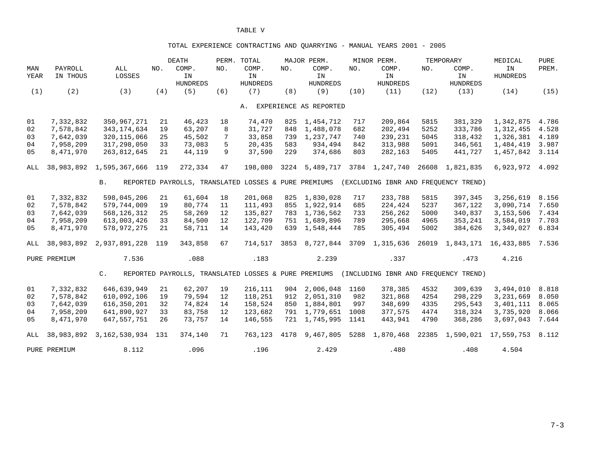### TOTAL EXPERIENCE CONTRACTING AND QUARRYING - MANUAL YEARS 2001 - 2005

|          |                        |                              |          | DEATH                                                |          | PERM. TOTAL     |            | MAJOR PERM.                   |      | MINOR PERM.        |       | TEMPORARY                            | MEDICAL                    | PURE           |
|----------|------------------------|------------------------------|----------|------------------------------------------------------|----------|-----------------|------------|-------------------------------|------|--------------------|-------|--------------------------------------|----------------------------|----------------|
| MAN      | PAYROLL                | ALL                          | NO.      | COMP.                                                | NO.      | COMP.           | NO.        | COMP.                         | NO.  | COMP.              | NO.   | COMP.                                | IN                         | PREM.          |
| YEAR     | IN THOUS               | LOSSES                       |          | IN                                                   |          | IN              |            | IN                            |      | IN                 |       | IN                                   | <b>HUNDREDS</b>            |                |
|          |                        |                              |          | <b>HUNDREDS</b>                                      |          | <b>HUNDREDS</b> |            | <b>HUNDREDS</b>               |      | HUNDREDS           |       | <b>HUNDREDS</b>                      |                            |                |
| (1)      | (2)                    | (3)                          | (4)      | (5)                                                  | (6)      | (7)             | (8)        | (9)                           | (10) | (11)               | (12)  | (13)                                 | (14)                       | (15)           |
|          |                        |                              |          |                                                      |          |                 |            |                               |      |                    |       |                                      |                            |                |
|          |                        |                              |          |                                                      |          |                 |            | A. EXPERIENCE AS REPORTED     |      |                    |       |                                      |                            |                |
| 01       | 7,332,832              | 350,967,271                  | 21       | 46,423                                               | 18       | 74,470          | 825        | 1,454,712                     | 717  | 209,864            | 5815  | 381,329                              | 1,342,875                  | 4.786          |
| 02       | 7,578,842              | 343, 174, 634                | 19       | 63,207                                               | 8        | 31,727          | 848        | 1,488,078                     | 682  | 202,494            | 5252  | 333,786                              | 1,312,455                  | 4.528          |
| 03       | 7,642,039              | 320, 115, 066                | 25       | 45,502                                               | 7        | 33,858          | 739        | 1,237,747                     | 740  | 239,231            | 5045  | 318,432                              | 1,326,381                  | 4.189          |
| 04       | 7,958,209              | 317,298,050                  | 33       | 73,083                                               | 5        | 20,435          | 583        | 934,494                       | 842  | 313,988            | 5091  | 346,561                              | 1,484,419                  | 3.987          |
| 05       | 8,471,970              | 263,812,645                  | 21       | 44,119                                               | 9        | 37,590          | 229        | 374,686                       | 803  | 282,163            | 5405  | 441,727                              | 1,457,842                  | 3.114          |
| ALL      |                        | 38,983,892 1,595,367,666 119 |          | 272,334                                              | 47       | 198,080         |            | 3224 5,489,717 3784 1,247,740 |      |                    |       | 26608 1,821,835                      | 6,923,972                  | 4.092          |
|          |                        | <b>B.</b>                    |          | REPORTED PAYROLLS, TRANSLATED LOSSES & PURE PREMIUMS |          |                 |            |                               |      |                    |       | (EXCLUDING IBNR AND FREOUENCY TREND) |                            |                |
|          |                        |                              |          | 61,604                                               |          | 201,068         |            |                               | 717  |                    | 5815  | 397,345                              |                            |                |
| 01<br>02 | 7,332,832<br>7,578,842 | 598,045,206<br>579,744,009   | 21<br>19 | 80,774                                               | 18<br>11 | 111,493         | 825<br>855 | 1,830,028<br>1,922,914        | 685  | 233,788<br>224,424 | 5237  | 367,122                              | 3,256,619<br>3,090,714     | 8.156<br>7.650 |
| 03       | 7,642,039              | 568, 126, 312                | 25       | 58,269                                               | 12       | 135,827         | 783        | 1,736,562                     | 733  | 256,262            | 5000  | 340,837                              | 3,153,506                  | 7.434          |
| 04       | 7,958,209              | 613,003,426                  | 33       | 84,500                                               | 12       | 122,709         | 751        | 1,689,896                     | 789  | 295,668            | 4965  | 353,241                              | 3,584,019                  | 7.703          |
| 05       | 8,471,970              | 578, 972, 275                | 21       | 58,711                                               | 14       | 143,420         |            | 639 1,548,444                 | 785  | 305,494            | 5002  | 384,626                              | 3,349,027                  | 6.834          |
|          |                        |                              |          |                                                      |          |                 |            |                               |      |                    |       |                                      |                            |                |
| ALL      | 38,983,892             | 2,937,891,228                | 119      | 343,858                                              | 67       | 714,517         |            | 3853 8,727,844 3709 1,315,636 |      |                    |       |                                      | 26019 1,843,171 16,433,885 | 7.536          |
|          | PURE PREMIUM           | 7.536                        |          | .088                                                 |          | .183            |            | 2.239                         |      | .337               |       | .473                                 | 4.216                      |                |
|          |                        | $C_{\bullet}$                |          | REPORTED PAYROLLS, TRANSLATED LOSSES & PURE PREMIUMS |          |                 |            |                               |      |                    |       | (INCLUDING IBNR AND FREQUENCY TREND) |                            |                |
| 01       | 7,332,832              | 646,639,949                  | 21       | 62,207                                               | 19       | 216,111         | 904        | 2,006,048                     | 1160 | 378,385            | 4532  | 309,639                              | 3,494,010                  | 8.818          |
| 02       | 7,578,842              | 610,092,106                  | 19       | 79,594                                               | 12       | 118,251         | 912        | 2,051,310                     | 982  | 321,868            | 4254  | 298,229                              | 3,231,669                  | 8.050          |
| 03       | 7,642,039              | 616, 350, 201                | 32       | 74,824                                               | 14       | 158,524         | 850        | 1,884,801                     | 997  | 348,699            | 4335  | 295,543                              | 3,401,111                  | 8.065          |
| 04       | 7,958,209              | 641,890,927                  | 33       | 83,758                                               | 12       | 123,682         |            | 791 1,779,651                 | 1008 | 377,575            | 4474  | 318,324                              | 3,735,920                  | 8.066          |
| 05       | 8,471,970              | 647,557,751                  | 26       | 73,757                                               | 14       | 146,555         |            | 721 1,745,995                 | 1141 | 443,941            | 4790  | 368,286                              | 3,697,043                  | 7.644          |
|          |                        |                              |          |                                                      |          |                 |            |                               |      |                    |       |                                      |                            |                |
| ALL      | 38,983,892             | 3, 162, 530, 934 131         |          | 374,140                                              | 71       | 763,123         | 4178       | 9,467,805                     | 5288 | 1,870,468          | 22385 |                                      | 1,590,021 17,559,753       | 8.112          |
|          | PURE PREMIUM           | 8.112                        |          | .096                                                 |          | .196            |            | 2.429                         |      | .480               |       | .408                                 | 4.504                      |                |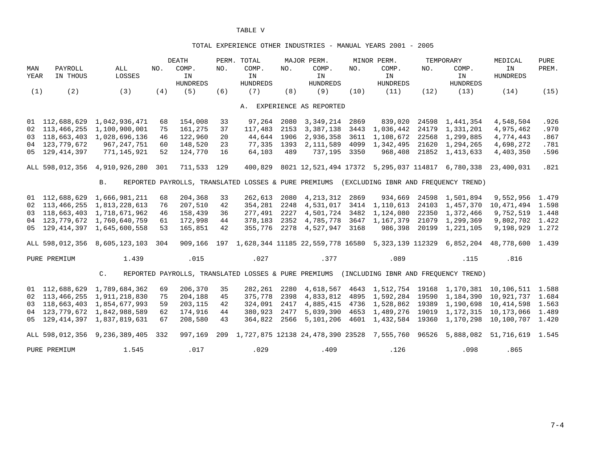#### TOTAL EXPERIENCE OTHER INDUSTRIES - MANUAL YEARS 2001 - 2005

|      |                  |                                   |     | <b>DEATH</b>    |     | PERM. TOTAL     |      | MAJOR PERM.                   |      | MINOR PERM.              |       | TEMPORARY                                                                                 | MEDICAL                                                                         | PURE  |
|------|------------------|-----------------------------------|-----|-----------------|-----|-----------------|------|-------------------------------|------|--------------------------|-------|-------------------------------------------------------------------------------------------|---------------------------------------------------------------------------------|-------|
| MAN  | PAYROLL          | ALL                               | NO. | COMP.           | NO. | COMP.           | NO.  | COMP.                         | NO.  | COMP.                    | NO.   | COMP.                                                                                     | IN                                                                              | PREM. |
| YEAR | IN THOUS         | LOSSES                            |     | IN              |     | IN              |      | IN                            |      | IN                       |       | IN                                                                                        | <b>HUNDREDS</b>                                                                 |       |
|      |                  |                                   |     | <b>HUNDREDS</b> |     | <b>HUNDREDS</b> |      | <b>HUNDREDS</b>               |      | <b>HUNDREDS</b>          |       | <b>HUNDREDS</b>                                                                           |                                                                                 |       |
| (1)  | (2)              | (3)                               | (4) | (5)             | (6) | (7)             | (8)  | (9)                           | (10) | (11)                     | (12)  | (13)                                                                                      | (14)                                                                            | (15)  |
|      |                  |                                   |     |                 |     |                 |      |                               |      |                          |       |                                                                                           |                                                                                 |       |
|      |                  |                                   |     |                 |     |                 |      | A. EXPERIENCE AS REPORTED     |      |                          |       |                                                                                           |                                                                                 |       |
|      | 01 112,688,629   | 1,042,936,471                     | 68  | 154,008         | 33  |                 |      | 97,264 2080 3,349,214         | 2869 | 839,020                  |       | 24598 1,441,354                                                                           | 4,548,504                                                                       | .926  |
|      | 02 113,466,255   | 1,100,900,001                     | 75  | 161,275         | 37  | 117,483         |      | 2153 3,387,138                |      | 3443 1,036,442           |       | 24179 1,331,201                                                                           | 4,975,462                                                                       | .970  |
|      | 03 118,663,403   | 1,028,696,136                     | 46  | 122,960         | 20  | 44,644 1906     |      |                               |      | 2,936,358 3611 1,108,672 |       | 22568 1,299,885                                                                           | 4,774,443                                                                       | .867  |
|      | 04 123,779,672   | 967,247,751                       | 60  | 148,520         | 23  | 77,335 1393     |      | 2,111,589                     |      | 4099 1,342,495           |       | 21620 1,294,265                                                                           | 4,698,272                                                                       | .781  |
|      | 05 129, 414, 397 | 771,145,921                       | 52  | 124,770         | 16  | 64,103          | 489  | 737,195                       | 3350 | 968,408                  |       | 21852 1, 413, 633                                                                         | 4,403,350                                                                       | .596  |
|      | ALL 598,012,356  | 4,910,926,280 301                 |     | 711,533 129     |     | 400,829         |      |                               |      |                          |       | 8021 12,521,494 17372 5,295,037 114817 6,780,338                                          | 23,400,031                                                                      | .821  |
|      |                  |                                   |     |                 |     |                 |      |                               |      |                          |       |                                                                                           |                                                                                 |       |
|      |                  | <b>B.</b>                         |     |                 |     |                 |      |                               |      |                          |       | REPORTED PAYROLLS, TRANSLATED LOSSES & PURE PREMIUMS (EXCLUDING IBNR AND FREQUENCY TREND) |                                                                                 |       |
|      | 01 112,688,629   | 1,666,981,211                     | 68  | 204,368         | 33  | 262,613         | 2080 | 4, 213, 312 2869              |      | 934,669                  |       | 24598 1,501,894                                                                           | 9,552,956 1.479                                                                 |       |
|      | 02 113,466,255   | 1,813,228,613                     | 76  | 207,510         | 42  | 354,281         | 2248 | 4,531,017                     |      | 3414 1, 110, 613         |       | 24103 1,457,370                                                                           | 10, 471, 494 1.598                                                              |       |
|      | 03 118,663,403   | 1,718,671,962                     | 46  | 158,439         | 36  | 277,491         | 2227 |                               |      | 4,501,724 3482 1,124,080 |       | 22350 1,372,466                                                                           | 9,752,519 1.448                                                                 |       |
|      |                  | 04 123, 779, 672 1, 760, 640, 759 | 61  | 172,998         | 44  | 378,183         |      | 2352 4,785,778 3647 1,167,379 |      |                          | 21079 | 1,299,369                                                                                 | 9,802,702 1.422                                                                 |       |
|      |                  | 05 129, 414, 397 1, 645, 600, 558 | 53  | 165,851         | 42  | 355,776         | 2278 | 4,527,947 3168                |      | 986,398                  |       | 20199 1, 221, 105                                                                         | 9, 198, 929 1.272                                                               |       |
|      |                  |                                   |     |                 |     |                 |      |                               |      |                          |       |                                                                                           |                                                                                 |       |
|      | ALL 598,012,356  | 8,605,123,103                     | 304 | 909,166         |     |                 |      |                               |      |                          |       | 197   1,628,344  11185  22,559,778  16580  5,323,139  112329  6,852,204                   | 48,778,600 1.439                                                                |       |
|      | PURE PREMIUM     | 1.439                             |     | .015            |     | .027            |      | .377                          |      | .089                     |       | .115                                                                                      | .816                                                                            |       |
|      |                  | $C_{\bullet}$                     |     |                 |     |                 |      |                               |      |                          |       | REPORTED PAYROLLS, TRANSLATED LOSSES & PURE PREMIUMS (INCLUDING IBNR AND FREOUENCY TREND) |                                                                                 |       |
|      |                  |                                   |     |                 |     |                 |      |                               |      |                          |       |                                                                                           |                                                                                 |       |
|      | 01 112,688,629   | 1,789,684,362                     | 69  | 206,370         | 35  | 282,261         |      | 2280 4,618,567                |      |                          |       |                                                                                           | 4643 1,512,754 19168 1,170,381 10,106,511 1.588                                 |       |
|      | 02 113,466,255   | 1,911,218,830                     | 75  | 204,188         | 45  | 375,778         |      |                               |      |                          |       |                                                                                           | 2398 4,833,812 4895 1,592,284 19590 1,184,390 10,921,737 1.684                  |       |
|      | 03 118,663,403   | 1,854,677,993                     | 59  | 203,115         | 42  | 324,091         |      |                               |      |                          |       |                                                                                           | 2417 4,885,415 4736 1,528,862 19389 1,190,698 10,414,598                        | 1.563 |
|      | 04 123,779,672   | 1,842,988,589                     | 62  | 174,916         | 44  | 380,923         |      |                               |      |                          |       |                                                                                           | 2477 5,039,390 4653 1,489,276 19019 1,172,315 10,173,066 1.489                  |       |
|      | 05 129, 414, 397 | 1,837,819,631                     | 67  | 208,580         | 43  | 364,822         | 2566 | 5,101,206                     |      |                          |       |                                                                                           | 4601 1,432,584 19360 1,170,298 10,100,707 1.420                                 |       |
|      | ALL 598,012,356  | 9,236,389,405 332                 |     | 997,169         |     |                 |      |                               |      |                          |       |                                                                                           | 209 1,727,875 12138 24,478,390 23528 7,555,760 96526 5,888,082 51,716,619 1.545 |       |
|      | PURE PREMIUM     | 1.545                             |     | .017            |     | .029            |      | .409                          |      | .126                     |       | .098                                                                                      | .865                                                                            |       |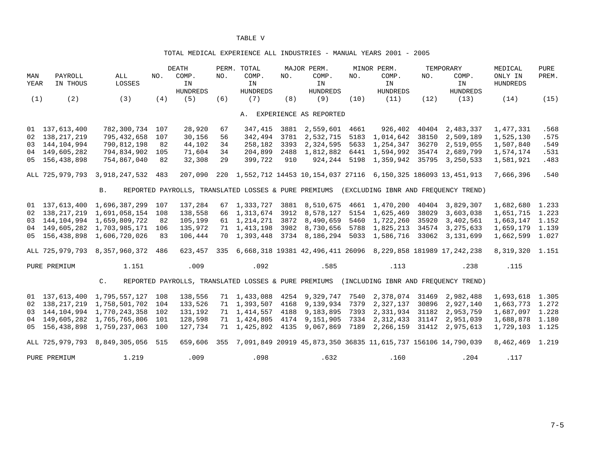#### TOTAL MEDICAL EXPERIENCE ALL INDUSTRIES - MANUAL YEARS 2001 - 2005

|      |                  |                                   |     | <b>DEATH</b>    |     | PERM. TOTAL     |      | MAJOR PERM.               |      | MINOR PERM.                                   |       | TEMPORARY                                                                                 | MEDICAL         | PURE  |
|------|------------------|-----------------------------------|-----|-----------------|-----|-----------------|------|---------------------------|------|-----------------------------------------------|-------|-------------------------------------------------------------------------------------------|-----------------|-------|
| MAN  | PAYROLL          | ALL                               | NO. | COMP.           | NO. | COMP.           | NO.  | COMP.                     | NO.  | COMP.                                         | NO.   | COMP.                                                                                     | ONLY IN         | PREM. |
| YEAR | IN THOUS         | LOSSES                            |     | IN              |     | IN              |      | IN                        |      | IN                                            |       | IN                                                                                        | HUNDREDS        |       |
|      |                  |                                   |     | <b>HUNDREDS</b> |     | <b>HUNDREDS</b> |      | <b>HUNDREDS</b>           |      | <b>HUNDREDS</b>                               |       | <b>HUNDREDS</b>                                                                           |                 |       |
| (1)  | (2)              | (3)                               | (4) | (5)             | (6) | (7)             | (8)  | (9)                       | (10) | (11)                                          | (12)  | (13)                                                                                      | (14)            | (15)  |
|      |                  |                                   |     |                 |     |                 |      |                           |      |                                               |       |                                                                                           |                 |       |
|      |                  |                                   |     |                 |     |                 |      | A. EXPERIENCE AS REPORTED |      |                                               |       |                                                                                           |                 |       |
|      | 01 137,613,400   | 782,300,734 107                   |     | 28,920          | 67  | 347,415         |      | 3881 2,559,601 4661       |      | 926,402                                       |       | 40404 2,483,337                                                                           | 1,477,331       | .568  |
|      | 02 138, 217, 219 | 795,432,658                       | 107 | 30,156          | 56  | 342,494         |      |                           |      | 3781 2,532,715 5183 1,014,642                 | 38150 | 2,509,189                                                                                 | 1,525,130       | .575  |
|      | 03 144, 104, 994 | 790,812,198                       | 82  | 44,102          | 34  | 258,182         |      |                           |      | 3393 2,324,595 5633 1,254,347                 | 36270 | 2,519,055                                                                                 | 1,507,840       | .549  |
|      | 04 149,605,282   | 794,834,902                       | 105 | 71,604          | 34  | 204,899         |      |                           |      | 2488 1,812,882 6441 1,594,992 35474 2,689,799 |       |                                                                                           | 1,574,174       | .531  |
|      | 05 156,438,898   | 754,867,040                       | 82  | 32,308          | 29  | 399,722         | 910  |                           |      | 924, 244 5198 1, 359, 942 35795               |       | 3,250,533                                                                                 | 1,581,921       | .483  |
|      | ALL 725,979,793  | 3,918,247,532 483                 |     | 207,090         |     |                 |      |                           |      |                                               |       | 220 1,552,712 14453 10,154,037 27116 6,150,325 186093 13,451,913                          | 7,666,396       | .540  |
|      |                  |                                   |     |                 |     |                 |      |                           |      |                                               |       |                                                                                           |                 |       |
|      |                  | <b>B</b> .                        |     |                 |     |                 |      |                           |      |                                               |       | REPORTED PAYROLLS, TRANSLATED LOSSES & PURE PREMIUMS (EXCLUDING IBNR AND FREOUENCY TREND) |                 |       |
|      |                  | 01 137,613,400 1,696,387,299      | 107 | 137,284         |     | 67 1, 333, 727  |      |                           |      | 3881 8,510,675 4661 1,470,200                 | 40404 | 3,829,307                                                                                 | 1,682,680 1.233 |       |
|      | 02 138, 217, 219 | 1,691,058,154                     | 108 | 138,558         |     | 66 1, 313, 674  | 3912 | 8,578,127                 | 5154 | 1,625,469                                     | 38029 | 3,603,038                                                                                 | 1,651,715 1.223 |       |
|      |                  | 03 144, 104, 994 1, 659, 809, 722 | 82  | 105,199         |     | 61 1, 214, 271  | 3872 | 8,490,659                 |      | 5460 1,722,260                                | 35920 | 3,402,561                                                                                 | 1,663,147 1.152 |       |
|      |                  | 04 149,605,282 1,703,985,171      | 106 | 135,972         |     | 71 1, 413, 198  | 3982 | 8,730,656                 |      | 5788 1,825,213                                | 34574 | 3, 275, 633                                                                               | 1,659,179 1.139 |       |
|      |                  | 05 156,438,898 1,606,720,026      | 83  | 106,444         |     | 70 1,393,448    | 3734 | 8,186,294                 |      | 5033 1,586,716                                | 33062 | 3,131,699                                                                                 | 1,662,599 1.027 |       |
|      |                  | ALL 725,979,793 8,357,960,372     | 486 | 623,457         |     |                 |      |                           |      |                                               |       | 335 6,668,318 19381 42,496,411 26096 8,229,858 181989 17,242,238                          | 8,319,320 1.151 |       |
|      | PURE PREMIUM     | 1.151                             |     | .009            |     | .092            |      | .585                      |      | .113                                          |       | .238                                                                                      | .115            |       |
|      |                  | C <sub>1</sub>                    |     |                 |     |                 |      |                           |      |                                               |       | REPORTED PAYROLLS, TRANSLATED LOSSES & PURE PREMIUMS (INCLUDING IBNR AND FREOUENCY TREND) |                 |       |
|      |                  |                                   |     |                 |     |                 |      |                           |      |                                               |       |                                                                                           |                 |       |
|      |                  | 01 137,613,400 1,795,557,127 108  |     | 138,556         |     | 71 1,433,088    |      |                           |      | 4254 9,329,747 7540 2,378,074 31469           |       | 2,982,488                                                                                 | 1,693,618 1.305 |       |
|      | 02 138, 217, 219 | 1,758,501,702                     | 104 | 133,526         |     | 71 1,393,507    | 4168 | 9,139,934                 | 7379 | 2,327,137                                     | 30896 | 2,927,140                                                                                 | 1,663,773 1.272 |       |
|      |                  | 03 144, 104, 994 1, 770, 243, 358 | 102 | 131,192         |     | 71 1,414,557    | 4188 | 9,183,895                 | 7393 | 2,331,934                                     | 31182 | 2,953,759                                                                                 | 1,687,097 1.228 |       |
|      |                  | 04 149,605,282 1,765,765,806      | 101 | 128,598         |     | 71 1,424,805    | 4174 | 9,151,905                 | 7334 | 2, 312, 433 31147                             |       | 2,951,039                                                                                 | 1,688,878 1.180 |       |
|      |                  | 05 156,438,898 1,759,237,063      | 100 | 127,734         |     | 71 1,425,892    | 4135 | 9,067,869                 | 7189 | 2, 266, 159 31412                             |       | 2,975,613                                                                                 | 1,729,103 1.125 |       |
|      | ALL 725,979,793  | 8,849,305,056                     | 515 | 659,606         |     |                 |      |                           |      |                                               |       | 355 7,091,849 20919 45,873,350 36835 11,615,737 156106 14,790,039                         | 8,462,469 1.219 |       |
|      | PURE PREMIUM     | 1.219                             |     | .009            |     | .098            |      | .632                      |      | .160                                          |       | .204                                                                                      | .117            |       |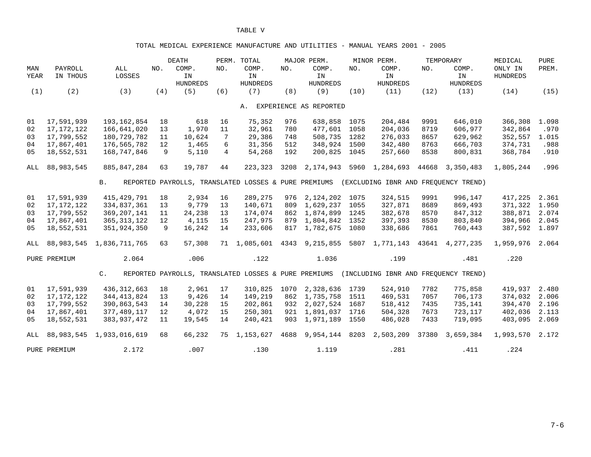#### TOTAL MEDICAL EXPERIENCE MANUFACTURE AND UTILITIES - MANUAL YEARS 2001 - 2005

|      |              |                               |     | <b>DEATH</b>    |                | PERM. TOTAL                                          |      | MAJOR PERM.               |      | MINOR PERM.     |       | TEMPORARY                            | MEDICAL         | PURE  |
|------|--------------|-------------------------------|-----|-----------------|----------------|------------------------------------------------------|------|---------------------------|------|-----------------|-------|--------------------------------------|-----------------|-------|
| MAN  | PAYROLL      | ALL                           | NO. | COMP.           | NO.            | COMP.                                                | NO.  | COMP.                     | NO.  | COMP.           | NO.   | COMP.                                | ONLY IN         | PREM. |
| YEAR | IN THOUS     | LOSSES                        |     | IN              |                | IN                                                   |      | IN                        |      | IN              |       | IN                                   | <b>HUNDREDS</b> |       |
|      |              |                               |     | <b>HUNDREDS</b> |                | HUNDREDS                                             |      | <b>HUNDREDS</b>           |      | <b>HUNDREDS</b> |       | HUNDREDS                             |                 |       |
| (1)  | (2)          | (3)                           | (4) | (5)             | (6)            | (7)                                                  | (8)  | (9)                       | (10) | (11)            | (12)  | (13)                                 | (14)            | (15)  |
|      |              |                               |     |                 |                |                                                      |      |                           |      |                 |       |                                      |                 |       |
|      |              |                               |     |                 |                |                                                      |      | A. EXPERIENCE AS REPORTED |      |                 |       |                                      |                 |       |
| 01   | 17,591,939   | 193, 162, 854                 | 18  | 618             | 16             | 75,352                                               | 976  | 638,858                   | 1075 | 204,484         | 9991  | 646,010                              | 366,308         | 1.098 |
| 02   | 17, 172, 122 | 166,641,020                   | 13  | 1,970           | 11             | 32,961                                               | 780  | 477,601                   | 1058 | 204,036         | 8719  | 606,977                              | 342,864         | .970  |
| 03   | 17,799,552   | 180,729,782                   | 11  | 10,624          | 7              | 29,386                                               | 748  | 508,735                   | 1282 | 276,033         | 8657  | 629,962                              | 352,557         | 1.015 |
| 04   | 17,867,401   | 176,565,782                   | 12  | 1,465           | 6              | 31,356                                               | 512  | 348,924                   | 1500 | 342,480         | 8763  | 666,703                              | 374,731         | .988  |
| 05   | 18,552,531   | 168,747,846                   | 9   | 5,110           | $\overline{4}$ | 54,268                                               | 192  | 200,825                   | 1045 | 257,660         | 8538  | 800,831                              | 368,784         | .910  |
| ALL  | 88,983,545   | 885, 847, 284                 | 63  | 19,787          | 44             | 223,323                                              | 3208 | 2,174,943                 |      | 5960 1,284,693  | 44668 | 3,350,483                            | 1,805,244       | .996  |
|      |              | <b>B.</b>                     |     |                 |                | REPORTED PAYROLLS, TRANSLATED LOSSES & PURE PREMIUMS |      |                           |      |                 |       | (EXCLUDING IBNR AND FREQUENCY TREND) |                 |       |
|      |              |                               |     |                 |                |                                                      |      |                           |      |                 |       |                                      |                 |       |
| 01   | 17,591,939   | 415, 429, 791                 | 18  | 2,934           | 16             | 289,275                                              | 976  | 2,124,202                 | 1075 | 324,515         | 9991  | 996,147                              | 417,225         | 2.361 |
| 02   | 17, 172, 122 | 334,837,361                   | 13  | 9,779           | 13             | 140,671                                              | 809  | 1,629,237                 | 1055 | 327,871         | 8689  | 869,493                              | 371,322         | 1.950 |
| 03   | 17,799,552   | 369, 207, 141                 | 11  | 24,238          | 13             | 174,074                                              | 862  | 1,874,899                 | 1245 | 382,678         | 8570  | 847,312                              | 388,871         | 2.074 |
| 04   | 17,867,401   | 365, 313, 122                 | 12  | 4,115           | 15             | 247,975                                              | 879  | 1,804,842 1352            |      | 397,393         | 8530  | 803,840                              | 394,966         | 2.045 |
| 05   | 18,552,531   | 351,924,350                   | 9   | 16,242          | 14             | 233,606                                              |      | 817 1,782,675             | 1080 | 338,686         | 7861  | 760,443                              | 387,592 1.897   |       |
| ALL  | 88,983,545   | 1,836,711,765                 | 63  | 57,308          |                | 71 1,085,601                                         | 4343 | 9,215,855                 |      | 5807 1,771,143  | 43641 | 4, 277, 235                          | 1,959,976       | 2.064 |
|      | PURE PREMIUM | 2.064                         |     | .006            |                | .122                                                 |      | 1.036                     |      | .199            |       | .481                                 | .220            |       |
|      |              | C <sub>1</sub>                |     |                 |                | REPORTED PAYROLLS, TRANSLATED LOSSES & PURE PREMIUMS |      |                           |      |                 |       | (INCLUDING IBNR AND FREOUENCY TREND) |                 |       |
| 01   | 17,591,939   | 436, 312, 663                 | 18  | 2,961           | 17             | 310,825                                              | 1070 | 2,328,636                 | 1739 | 524,910         | 7782  | 775,858                              | 419,937         | 2.480 |
| 02   | 17, 172, 122 | 344, 413, 824                 | 13  | 9,426           | 14             | 149,219                                              | 862  | 1,735,758                 | 1511 | 469,531         | 7057  | 706,173                              | 374,032         | 2.006 |
| 03   | 17,799,552   | 390,863,543                   | 14  | 30,228          | 15             | 202,861                                              | 932  | 2,027,524 1687            |      | 518,412         | 7435  | 735,141                              | 394,470         | 2.196 |
| 04   | 17,867,401   | 377, 489, 117                 | 12  | 4,072           | 15             | 250,301                                              | 921  | 1,891,037                 | 1716 | 504,328         | 7673  | 723,117                              | 402,036         | 2.113 |
| 05   | 18,552,531   | 383, 937, 472                 | 11  | 19,545          | 14             | 240,421                                              | 903  | 1,971,189 1550            |      | 486,028         | 7433  | 719,095                              | 403,095         | 2.069 |
|      |              |                               |     |                 |                |                                                      |      |                           |      |                 |       |                                      |                 |       |
| ALL  |              | 88, 983, 545 1, 933, 016, 619 | 68  | 66,232          |                | 75 1, 153, 627                                       | 4688 | 9,954,144 8203            |      | 2,503,209       | 37380 | 3,659,384                            | 1,993,570       | 2.172 |
|      | PURE PREMIUM | 2.172                         |     | .007            |                | .130                                                 |      | 1.119                     |      | .281            |       | .411                                 | .224            |       |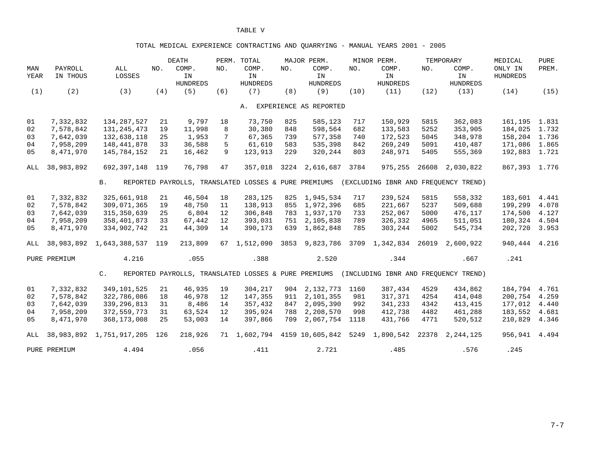### TOTAL MEDICAL EXPERIENCE CONTRACTING AND QUARRYING - MANUAL YEARS 2001 - 2005

|             |              |                   |     | <b>DEATH</b>    |     | PERM. TOTAL                                          |      | MAJOR PERM.               |      | MINOR PERM.     |       | TEMPORARY                            | MEDICAL         | PURE  |
|-------------|--------------|-------------------|-----|-----------------|-----|------------------------------------------------------|------|---------------------------|------|-----------------|-------|--------------------------------------|-----------------|-------|
| MAN         | PAYROLL      | ALL               | NO. | COMP.           | NO. | COMP.                                                | NO.  | COMP.                     | NO.  | COMP.           | NO.   | COMP.                                | ONLY IN         | PREM. |
| <b>YEAR</b> | IN THOUS     | LOSSES            |     | IN              |     | IN                                                   |      | IN                        |      | IN              |       | IN                                   | <b>HUNDREDS</b> |       |
|             |              |                   |     | <b>HUNDREDS</b> |     | <b>HUNDREDS</b>                                      |      | <b>HUNDREDS</b>           |      | <b>HUNDREDS</b> |       | <b>HUNDREDS</b>                      |                 |       |
| (1)         | (2)          | (3)               | (4) | (5)             | (6) | (7)                                                  | (8)  | (9)                       | (10) | (11)            | (12)  | (13)                                 | (14)            | (15)  |
|             |              |                   |     |                 |     |                                                      |      |                           |      |                 |       |                                      |                 |       |
|             |              |                   |     |                 |     |                                                      |      | A. EXPERIENCE AS REPORTED |      |                 |       |                                      |                 |       |
| 01          | 7,332,832    | 134, 287, 527     | 21  | 9,797           | 18  | 73,750                                               | 825  | 585,123                   | 717  | 150,929         | 5815  | 362,083                              | 161,195 1.831   |       |
| 02          | 7,578,842    | 131, 245, 473     | 19  | 11,998          | 8   | 30,380                                               | 848  | 598,564                   | 682  | 133,583         | 5252  | 353,905                              | 184,025 1.732   |       |
| 03          | 7,642,039    | 132,638,118       | 25  | 1,953           | 7   | 67,365                                               | 739  | 577,358                   | 740  | 172,523         | 5045  | 348,978                              | 158,204 1.736   |       |
| 04          | 7,958,209    | 148,441,878       | 33  | 36,588          | 5   | 61,610                                               | 583  | 535,398                   | 842  | 269,249         | 5091  | 410,487                              | 171,086 1.865   |       |
| 05          | 8,471,970    | 145,784,152       | 21  | 16,462          | 9   | 123,913                                              | 229  | 320,244                   | 803  | 248,971         | 5405  | 555,369                              | 192,883 1.721   |       |
| ALL         | 38,983,892   | 692,397,148 119   |     | 76,798          | 47  | 357,018                                              | 3224 | 2,616,687                 | 3784 | 975,255         | 26608 | 2,030,822                            | 867,393 1.776   |       |
|             |              |                   |     |                 |     |                                                      |      |                           |      |                 |       |                                      |                 |       |
|             |              | <b>B.</b>         |     |                 |     | REPORTED PAYROLLS, TRANSLATED LOSSES & PURE PREMIUMS |      |                           |      |                 |       | (EXCLUDING IBNR AND FREQUENCY TREND) |                 |       |
| 01          | 7,332,832    | 325,661,918       | 21  | 46,504          | 18  | 283,125                                              |      | 825 1,945,534             | 717  | 239,524         | 5815  | 558,332                              | 183,601         | 4.441 |
| 02          | 7,578,842    | 309,071,365       | 19  | 48,750          | 11  | 138,913                                              |      | 855 1,972,396             | 685  | 221,667         | 5237  | 509,688                              | 199,299         | 4.078 |
| 03          | 7,642,039    | 315, 350, 639     | 25  | 6,804           | 12  | 306,848                                              |      | 783 1,937,170             | 733  | 252,067         | 5000  | 476,117                              | 174,500         | 4.127 |
| 04          | 7,958,209    | 358,401,873       | 33  | 67,442          | 12  | 393,031                                              | 751  | 2,105,838                 | 789  | 326,332         | 4965  | 511,051                              | 180,324         | 4.504 |
| 05          | 8,471,970    | 334,902,742       | 21  | 44,309          | 14  | 390,173                                              |      | 639 1,862,848             | 785  | 303,244         | 5002  | 545,734                              | 202,720         | 3.953 |
| ALL         | 38,983,892   | 1,643,388,537 119 |     | 213,809         |     | 67 1,512,090                                         |      | 3853 9,823,786            |      | 3709 1,342,834  | 26019 | 2,600,922                            | 940,444         | 4.216 |
|             | PURE PREMIUM | 4.216             |     | .055            |     | .388                                                 |      | 2.520                     |      | .344            |       | .667                                 | .241            |       |
|             |              | $\mathsf{C}$ .    |     |                 |     | REPORTED PAYROLLS, TRANSLATED LOSSES & PURE PREMIUMS |      |                           |      |                 |       | (INCLUDING IBNR AND FREQUENCY TREND) |                 |       |
| 01          | 7,332,832    | 349,101,525       | 21  | 46,935          | 19  | 304,217                                              | 904  | 2,132,773                 | 1160 | 387,434         | 4529  | 434,862                              | 184,794         | 4.761 |
| 02          | 7,578,842    | 322,786,086       | 18  | 46,978          | 12  | 147,355                                              | 911  | 2,101,355                 | 981  | 317,371         | 4254  | 414,048                              | 200,754         | 4.259 |
| 03          | 7,642,039    | 339, 296, 813     | 31  | 8,486           | 14  | 357,432                                              | 847  | 2,095,390                 | 992  | 341,233         | 4342  | 413, 415                             | 177,012         | 4.440 |
| 04          |              |                   | 31  |                 |     |                                                      | 788  |                           | 998  |                 |       |                                      |                 |       |
|             | 7,958,209    | 372, 559, 773     |     | 63,524          | 12  | 395,924                                              |      | 2,208,570                 |      | 412,738         | 4482  | 461,288                              | 183,552         | 4.681 |
| 05          | 8,471,970    | 368, 173, 008     | 25  | 53,003          | 14  | 397,866                                              | 709  | 2,067,754                 | 1118 | 431,766         | 4771  | 520,512                              | 210,829         | 4.346 |
| ALL         | 38,983,892   | 1,751,917,205     | 126 | 218,926         |     | 71 1,602,794                                         |      | 4159 10,605,842 5249      |      | 1,890,542       | 22378 | 2, 244, 125                          | 956,941         | 4.494 |
|             | PURE PREMIUM | 4.494             |     | .056            |     | .411                                                 |      | 2.721                     |      | .485            |       | .576                                 | .245            |       |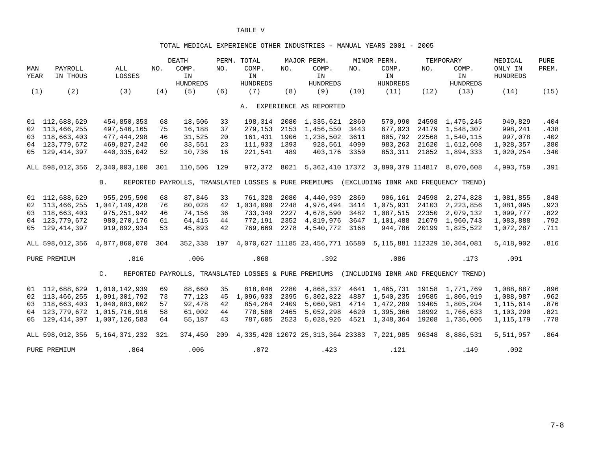#### TOTAL MEDICAL EXPERIENCE OTHER INDUSTRIES - MANUAL YEARS 2001 - 2005

|             |                  |                                   |     | <b>DEATH</b>                                         |     | PERM. TOTAL     |      | MAJOR PERM.                                                    |      | MINOR PERM.          |       | TEMPORARY                                                                                 | MEDICAL         | PURE  |
|-------------|------------------|-----------------------------------|-----|------------------------------------------------------|-----|-----------------|------|----------------------------------------------------------------|------|----------------------|-------|-------------------------------------------------------------------------------------------|-----------------|-------|
| MAN         | PAYROLL          | ALL                               | NO. | COMP.                                                | NO. | COMP.           | NO.  | COMP.                                                          | NO.  | COMP.                | NO.   | COMP.                                                                                     | ONLY IN         | PREM. |
| <b>YEAR</b> | IN THOUS         | LOSSES                            |     | IN                                                   |     | IN              |      | IN                                                             |      | IN                   |       | IN                                                                                        | <b>HUNDREDS</b> |       |
|             |                  |                                   |     | <b>HUNDREDS</b>                                      |     | <b>HUNDREDS</b> |      | <b>HUNDREDS</b>                                                |      | <b>HUNDREDS</b>      |       | <b>HUNDREDS</b>                                                                           |                 |       |
| (1)         | (2)              | (3)                               | (4) | (5)                                                  | (6) | (7)             | (8)  | (9)                                                            | (10) | (11)                 | (12)  | (13)                                                                                      | (14)            | (15)  |
|             |                  |                                   |     |                                                      |     |                 |      |                                                                |      |                      |       |                                                                                           |                 |       |
|             |                  |                                   |     |                                                      |     |                 |      | A. EXPERIENCE AS REPORTED                                      |      |                      |       |                                                                                           |                 |       |
|             | 01 112,688,629   | 454,850,353                       | 68  | 18,506                                               | 33  | 198,314         | 2080 | 1,335,621                                                      | 2869 | 570,990              |       | 24598 1,475,245                                                                           | 949,829         | .404  |
|             | 02 113,466,255   | 497,546,165                       | 75  | 16,188                                               | 37  | 279,153         | 2153 | 1,456,550                                                      | 3443 | 677,023              |       | 24179 1,548,307                                                                           | 998,241         | .438  |
|             | 03 118,663,403   | 477,444,298                       | 46  | 31,525                                               | 20  |                 |      | 161,431 1906 1,238,502                                         | 3611 | 805,792              |       | 22568 1,540,115                                                                           | 997,078         | .402  |
|             | 04 123, 779, 672 | 469,827,242                       | 60  | 33,551                                               | 23  | 111,933 1393    |      | 928,561                                                        | 4099 | 983,263              |       | 21620 1,612,608                                                                           | 1,028,357       | .380  |
|             | 05 129, 414, 397 | 440, 335, 042                     | 52  | 10,736                                               | 16  | 221,541         | 489  | 403,176                                                        | 3350 | 853,311              |       | 21852 1,894,333                                                                           | 1,020,254       | .340  |
|             | ALL 598,012,356  | 2,340,003,100                     | 301 | 110,506                                              | 129 | 972,372         |      | 8021 5,362,410 17372 3,890,379 114817 8,070,608                |      |                      |       |                                                                                           | 4,993,759       | .391  |
|             |                  | <b>B</b> .                        |     |                                                      |     |                 |      |                                                                |      |                      |       | REPORTED PAYROLLS, TRANSLATED LOSSES & PURE PREMIUMS (EXCLUDING IBNR AND FREQUENCY TREND) |                 |       |
|             | 01 112,688,629   | 955,295,590                       | 68  | 87,846                                               | 33  | 761,328         | 2080 | 4,440,939                                                      | 2869 | 906,161              | 24598 | 2, 274, 828                                                                               | 1,081,855       | .848  |
|             | 02 113,466,255   | 1,047,149,428                     | 76  | 80,028                                               | 42  | 1,034,090       | 2248 | 4,976,494                                                      | 3414 | 1,075,931            | 24103 | 2,223,856                                                                                 | 1,081,095       | .923  |
|             | 03 118,663,403   | 975, 251, 942                     | 46  | 74,156                                               | 36  | 733,349         | 2227 | 4,678,590                                                      | 3482 | 1,087,515            | 22350 | 2,079,132                                                                                 | 1,099,777       | .822  |
|             | 04 123, 779, 672 | 980, 270, 176                     | 61  | 64,415                                               | 44  | 772,191         | 2352 | 4,819,976                                                      |      | 3647 1,101,488       | 21079 | 1,960,743                                                                                 | 1,083,888       | .792  |
|             | 05 129, 414, 397 | 919,892,934                       | 53  | 45,893                                               | 42  | 769,669         | 2278 | 4,540,772 3168                                                 |      | 944,786              | 20199 | 1,825,522                                                                                 | 1,072,287       | .711  |
|             | ALL 598,012,356  | 4,877,860,070                     | 304 | 352,338                                              |     |                 |      |                                                                |      |                      |       | 197 4,070,627 11185 23,456,771 16580 5,115,881 112329 10,364,081                          | 5,418,902       | .816  |
|             | PURE PREMIUM     | .816                              |     | .006                                                 |     | .068            |      | .392                                                           |      | .086                 |       | .173                                                                                      | .091            |       |
|             |                  | $C_{\bullet}$                     |     | REPORTED PAYROLLS, TRANSLATED LOSSES & PURE PREMIUMS |     |                 |      |                                                                |      |                      |       | (INCLUDING IBNR AND FREQUENCY TREND)                                                      |                 |       |
|             |                  | 01 112,688,629 1,010,142,939      | 69  | 88,660                                               | 35  | 818,046         | 2280 |                                                                |      |                      |       | 4,868,337 4641 1,465,731 19158 1,771,769                                                  | 1,088,887       | .896  |
|             | 02 113,466,255   | 1,091,301,792                     | 73  | 77,123                                               | 45  | 1,096,933       | 2395 | 5,302,822                                                      |      | 4887 1,540,235 19585 |       | 1,806,919                                                                                 | 1,088,987       | .962  |
|             | 03 118,663,403   | 1,040,083,002                     | 57  | 92,478                                               | 42  | 854,264         | 2409 | 5,060,981                                                      |      | 4714 1,472,289 19405 |       | 1,805,204                                                                                 | 1, 115, 614     | .876  |
|             | 04 123,779,672   | 1,015,716,916                     | 58  | 61,002                                               | 44  | 778,580         | 2465 | 5,052,298                                                      |      | 4620 1,395,366 18992 |       | 1,766,633                                                                                 | 1,103,290       | .821  |
|             |                  | 05 129, 414, 397 1, 007, 126, 583 | 64  | 55,187                                               | 43  | 787,605         | 2523 | 5,028,926                                                      | 4521 | 1,348,364 19208      |       | 1,736,006                                                                                 | 1, 115, 179     | .778  |
|             | ALL 598,012,356  | 5, 164, 371, 232 321              |     | 374,450                                              |     |                 |      | 209 4,335,428 12072 25,313,364 23383 7,221,985 96348 8,886,531 |      |                      |       |                                                                                           | 5,511,957       | .864  |
|             | PURE PREMIUM     | .864                              |     | .006                                                 |     | .072            |      | .423                                                           |      | .121                 |       | .149                                                                                      | .092            |       |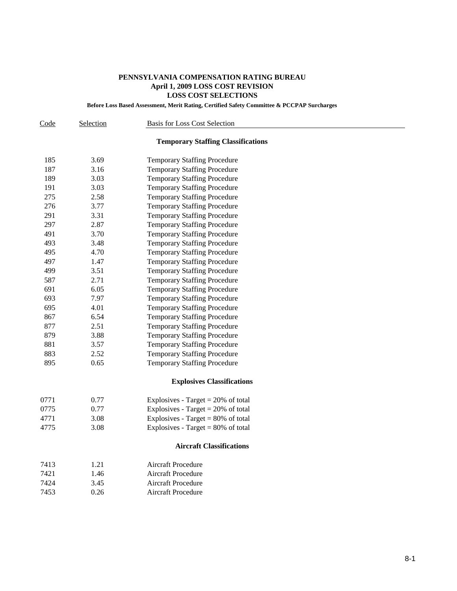## **PENNSYLVANIA COMPENSATION RATING BUREAU April 1, 2009 LOSS COST REVISION LOSS COST SELECTIONS**

### **Before Loss Based Assessment, Merit Rating, Certified Safety Committee & PCCPAP Surcharges**

| <b>Code</b> | Selection | Basis for Loss Cost Selection             |  |
|-------------|-----------|-------------------------------------------|--|
|             |           | <b>Temporary Staffing Classifications</b> |  |
| 185         | 3.69      | <b>Temporary Staffing Procedure</b>       |  |
| 187         | 3.16      | <b>Temporary Staffing Procedure</b>       |  |
| 189         | 3.03      | <b>Temporary Staffing Procedure</b>       |  |
| 191         | 3.03      | <b>Temporary Staffing Procedure</b>       |  |
| 275         | 2.58      | <b>Temporary Staffing Procedure</b>       |  |
| 276         | 3.77      | <b>Temporary Staffing Procedure</b>       |  |
| 291         | 3.31      | <b>Temporary Staffing Procedure</b>       |  |
| 297         | 2.87      | <b>Temporary Staffing Procedure</b>       |  |
| 491         | 3.70      | <b>Temporary Staffing Procedure</b>       |  |
| 493         | 3.48      | <b>Temporary Staffing Procedure</b>       |  |
| 495         | 4.70      | <b>Temporary Staffing Procedure</b>       |  |
| 497         | 1.47      | <b>Temporary Staffing Procedure</b>       |  |
| 499         | 3.51      | <b>Temporary Staffing Procedure</b>       |  |
| 587         | 2.71      | <b>Temporary Staffing Procedure</b>       |  |
| 691         | 6.05      | <b>Temporary Staffing Procedure</b>       |  |
| 693         | 7.97      | <b>Temporary Staffing Procedure</b>       |  |
| 695         | 4.01      | <b>Temporary Staffing Procedure</b>       |  |
| 867         | 6.54      | <b>Temporary Staffing Procedure</b>       |  |
| 877         | 2.51      | <b>Temporary Staffing Procedure</b>       |  |
| 879         | 3.88      | <b>Temporary Staffing Procedure</b>       |  |
| 881         | 3.57      | <b>Temporary Staffing Procedure</b>       |  |
| 883         | 2.52      | <b>Temporary Staffing Procedure</b>       |  |
| 895         | 0.65      | <b>Temporary Staffing Procedure</b>       |  |
|             |           | <b>Explosives Classifications</b>         |  |
| 0771        | 0.77      | Explosives - Target = $20\%$ of total     |  |
| 0775        | 0.77      | Explosives - Target = $20\%$ of total     |  |
| 4771        | 3.08      | Explosives - Target = $80\%$ of total     |  |
| 4775        | 3.08      | Explosives - Target = $80\%$ of total     |  |
|             |           | <b>Aircraft Classifications</b>           |  |
| 7413        | 1.21      | Aircraft Procedure                        |  |
| 7421        | 1.46      | <b>Aircraft Procedure</b>                 |  |
| 7424        | 3.45      | <b>Aircraft Procedure</b>                 |  |
| 7453        | 0.26      | Aircraft Procedure                        |  |
|             |           |                                           |  |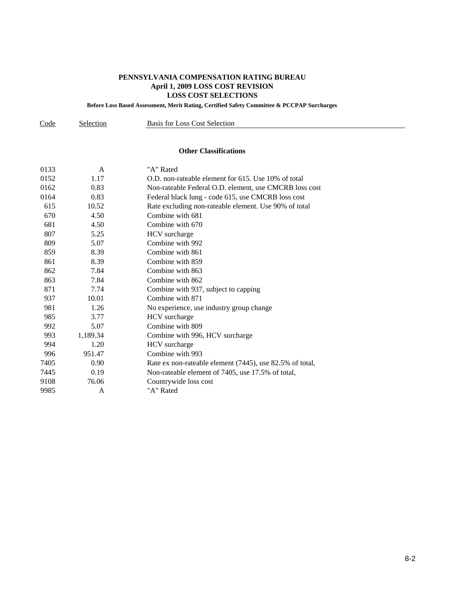## **PENNSYLVANIA COMPENSATION RATING BUREAU April 1, 2009 LOSS COST REVISION LOSS COST SELECTIONS**

**Before Loss Based Assessment, Merit Rating, Certified Safety Committee & PCCPAP Surcharges**

| Code | Selection | <b>Basis for Loss Cost Selection</b>                     |
|------|-----------|----------------------------------------------------------|
|      |           | <b>Other Classifications</b>                             |
| 0133 | A         | "A" Rated                                                |
| 0152 | 1.17      | O.D. non-rateable element for 615. Use 10% of total      |
| 0162 | 0.83      | Non-rateable Federal O.D. element, use CMCRB loss cost   |
| 0164 | 0.83      | Federal black lung - code 615, use CMCRB loss cost       |
| 615  | 10.52     | Rate excluding non-rateable element. Use 90% of total    |
| 670  | 4.50      | Combine with 681                                         |
| 681  | 4.50      | Combine with 670                                         |
| 807  | 5.25      | HCV surcharge                                            |
| 809  | 5.07      | Combine with 992                                         |
| 859  | 8.39      | Combine with 861                                         |
| 861  | 8.39      | Combine with 859                                         |
| 862  | 7.84      | Combine with 863                                         |
| 863  | 7.84      | Combine with 862                                         |
| 871  | 7.74      | Combine with 937, subject to capping                     |
| 937  | 10.01     | Combine with 871                                         |
| 981  | 1.26      | No experience, use industry group change                 |
| 985  | 3.77      | HCV surcharge                                            |
| 992  | 5.07      | Combine with 809                                         |
| 993  | 1,189.34  | Combine with 996, HCV surcharge                          |
| 994  | 1.20      | HCV surcharge                                            |
| 996  | 951.47    | Combine with 993                                         |
| 7405 | 0.90      | Rate ex non-rateable element (7445), use 82.5% of total, |
| 7445 | 0.19      | Non-rateable element of 7405, use 17.5% of total,        |
| 9108 | 76.06     | Countrywide loss cost                                    |
| 9985 | A         | "A" Rated                                                |
|      |           |                                                          |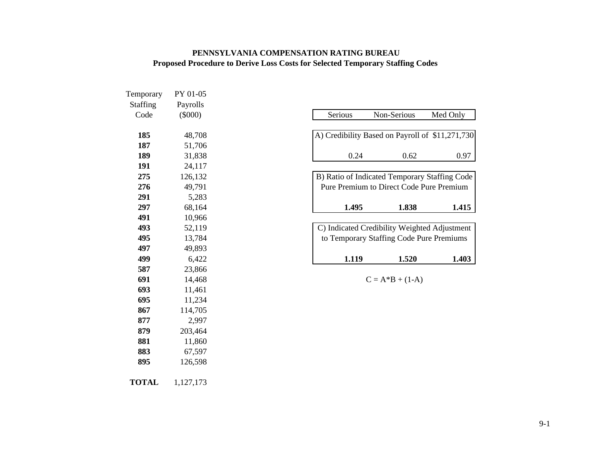## **PENNSYLVANIA COMPENSATION RATING BUREAU Proposed Procedure to Derive Loss Costs for Selected Temporary Staffing Codes**

| Med Only<br>A) Credibility Based on Payroll of \$11,271,730<br>0.97 |
|---------------------------------------------------------------------|
|                                                                     |
|                                                                     |
|                                                                     |
|                                                                     |
|                                                                     |
|                                                                     |
| B) Ratio of Indicated Temporary Staffing Code                       |
| Pure Premium to Direct Code Pure Premium                            |
|                                                                     |
| 1.415                                                               |
|                                                                     |
| C) Indicated Credibility Weighted Adjustment                        |
| to Temporary Staffing Code Pure Premiums                            |
|                                                                     |
| 1.403                                                               |
|                                                                     |
|                                                                     |
|                                                                     |
|                                                                     |
|                                                                     |
|                                                                     |
|                                                                     |
|                                                                     |
|                                                                     |

**TOTAL**1,127,173

67,597

126,598

**883**

**895**

9-1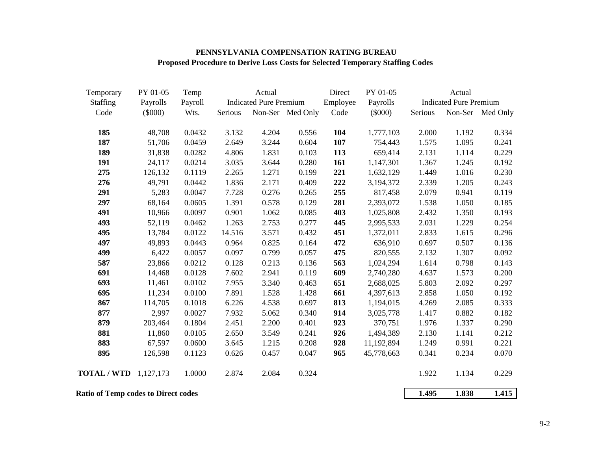| Staffing<br><b>Indicated Pure Premium</b><br>Employee<br><b>Indicated Pure Premium</b><br>Payrolls<br>Payroll<br>Payrolls<br>$(\$000)$<br>Wts.<br>Non-Ser Med Only<br>$(\$000)$<br>Code<br>Serious<br>Code<br>Serious<br>185<br>4.204<br>1.192<br>48,708<br>0.0432<br>3.132<br>0.556<br>104<br>1,777,103<br>2.000<br>187<br>0.0459<br>0.604<br>107<br>1.095<br>51,706<br>2.649<br>3.244<br>754,443<br>1.575<br>189<br>31,838<br>0.0282<br>4.806<br>1.831<br>0.103<br>113<br>659,414<br>2.131<br>1.114<br>191<br>0.0214<br>3.035<br>3.644<br>0.280<br>161<br>1,147,301<br>24,117<br>1.367<br>1.245<br>0.1119<br>1,632,129<br>275<br>126,132<br>2.265<br>1.271<br>0.199<br>221<br>1.449<br>1.016<br>0.0442<br>2.171<br>0.409<br>222<br>2.339<br>1.205<br>276<br>49,791<br>1.836<br>3,194,372<br>291<br>255<br>817,458<br>5,283<br>0.0047<br>7.728<br>0.276<br>0.265<br>2.079<br>0.941<br>297<br>281<br>68,164<br>0.0605<br>1.391<br>0.578<br>0.129<br>2,393,072<br>1.538<br>1.050<br>491<br>0.0097<br>0.901<br>403<br>10,966<br>1.062<br>0.085<br>1,025,808<br>2.432<br>1.350<br>493<br>52,119<br>0.0462<br>2.753<br>0.277<br>445<br>2.031<br>1.229<br>1.263<br>2,995,533<br>495<br>451<br>0.0122<br>14.516<br>3.571<br>0.432<br>1,372,011<br>2.833<br>1.615<br>13,784<br>497<br>0.0443<br>472<br>49,893<br>0.964<br>0.825<br>0.164<br>636,910<br>0.697<br>0.507<br>499<br>0.0057<br>0.097<br>0.799<br>0.057<br>475<br>820,555<br>1.307<br>6,422<br>2.132<br>587<br>23,866<br>0.0212<br>0.128<br>0.213<br>0.136<br>563<br>1,024,294<br>1.614<br>0.798<br>691<br>0.0128<br>609<br>7.602<br>2.941<br>0.119<br>2,740,280<br>4.637<br>1.573<br>14,468<br>693<br>0.0102<br>3.340<br>651<br>2,688,025<br>5.803<br>11,461<br>7.955<br>0.463<br>2.092<br>695<br>0.0100<br>661<br>11,234<br>7.891<br>1.528<br>1.428<br>4,397,613<br>2.858<br>1.050<br>867<br>813<br>114,705<br>0.1018<br>6.226<br>4.538<br>0.697<br>1,194,015<br>4.269<br>2.085<br>877<br>2,997<br>0.0027<br>7.932<br>5.062<br>0.340<br>914<br>1.417<br>0.882<br>3,025,778<br>879<br>370,751<br>203,464<br>0.1804<br>2.451<br>2.200<br>0.401<br>923<br>1.976<br>1.337<br>881<br>0.0105<br>3.549<br>0.241<br>926<br>2.130<br>11,860<br>2.650<br>1,494,389<br>1.141<br>883<br>0.0600<br>1.215<br>11,192,894<br>67,597<br>3.645<br>0.208<br>928<br>1.249<br>0.991<br>895<br>965<br>0.1123<br>0.457<br>0.047<br>45,778,663<br>0.341<br>126,598<br>0.626<br>0.234<br>1.0000<br>0.324<br>1.134<br><b>TOTAL / WTD</b><br>2.874<br>2.084<br>1.922<br>1,127,173 | Temporary | PY 01-05 | Temp | Actual | Direct | PY 01-05 | Actual |                  |
|-------------------------------------------------------------------------------------------------------------------------------------------------------------------------------------------------------------------------------------------------------------------------------------------------------------------------------------------------------------------------------------------------------------------------------------------------------------------------------------------------------------------------------------------------------------------------------------------------------------------------------------------------------------------------------------------------------------------------------------------------------------------------------------------------------------------------------------------------------------------------------------------------------------------------------------------------------------------------------------------------------------------------------------------------------------------------------------------------------------------------------------------------------------------------------------------------------------------------------------------------------------------------------------------------------------------------------------------------------------------------------------------------------------------------------------------------------------------------------------------------------------------------------------------------------------------------------------------------------------------------------------------------------------------------------------------------------------------------------------------------------------------------------------------------------------------------------------------------------------------------------------------------------------------------------------------------------------------------------------------------------------------------------------------------------------------------------------------------------------------------------------------------------------------------------------------------------------------------------------------------------------------------------------------------------------------------------------------------------------------------------------------------------------------------------------------------------------------------------------------------------------|-----------|----------|------|--------|--------|----------|--------|------------------|
|                                                                                                                                                                                                                                                                                                                                                                                                                                                                                                                                                                                                                                                                                                                                                                                                                                                                                                                                                                                                                                                                                                                                                                                                                                                                                                                                                                                                                                                                                                                                                                                                                                                                                                                                                                                                                                                                                                                                                                                                                                                                                                                                                                                                                                                                                                                                                                                                                                                                                                             |           |          |      |        |        |          |        |                  |
|                                                                                                                                                                                                                                                                                                                                                                                                                                                                                                                                                                                                                                                                                                                                                                                                                                                                                                                                                                                                                                                                                                                                                                                                                                                                                                                                                                                                                                                                                                                                                                                                                                                                                                                                                                                                                                                                                                                                                                                                                                                                                                                                                                                                                                                                                                                                                                                                                                                                                                             |           |          |      |        |        |          |        | Non-Ser Med Only |
|                                                                                                                                                                                                                                                                                                                                                                                                                                                                                                                                                                                                                                                                                                                                                                                                                                                                                                                                                                                                                                                                                                                                                                                                                                                                                                                                                                                                                                                                                                                                                                                                                                                                                                                                                                                                                                                                                                                                                                                                                                                                                                                                                                                                                                                                                                                                                                                                                                                                                                             |           |          |      |        |        |          |        | 0.334            |
|                                                                                                                                                                                                                                                                                                                                                                                                                                                                                                                                                                                                                                                                                                                                                                                                                                                                                                                                                                                                                                                                                                                                                                                                                                                                                                                                                                                                                                                                                                                                                                                                                                                                                                                                                                                                                                                                                                                                                                                                                                                                                                                                                                                                                                                                                                                                                                                                                                                                                                             |           |          |      |        |        |          |        | 0.241            |
|                                                                                                                                                                                                                                                                                                                                                                                                                                                                                                                                                                                                                                                                                                                                                                                                                                                                                                                                                                                                                                                                                                                                                                                                                                                                                                                                                                                                                                                                                                                                                                                                                                                                                                                                                                                                                                                                                                                                                                                                                                                                                                                                                                                                                                                                                                                                                                                                                                                                                                             |           |          |      |        |        |          |        | 0.229            |
|                                                                                                                                                                                                                                                                                                                                                                                                                                                                                                                                                                                                                                                                                                                                                                                                                                                                                                                                                                                                                                                                                                                                                                                                                                                                                                                                                                                                                                                                                                                                                                                                                                                                                                                                                                                                                                                                                                                                                                                                                                                                                                                                                                                                                                                                                                                                                                                                                                                                                                             |           |          |      |        |        |          |        | 0.192            |
|                                                                                                                                                                                                                                                                                                                                                                                                                                                                                                                                                                                                                                                                                                                                                                                                                                                                                                                                                                                                                                                                                                                                                                                                                                                                                                                                                                                                                                                                                                                                                                                                                                                                                                                                                                                                                                                                                                                                                                                                                                                                                                                                                                                                                                                                                                                                                                                                                                                                                                             |           |          |      |        |        |          |        | 0.230            |
|                                                                                                                                                                                                                                                                                                                                                                                                                                                                                                                                                                                                                                                                                                                                                                                                                                                                                                                                                                                                                                                                                                                                                                                                                                                                                                                                                                                                                                                                                                                                                                                                                                                                                                                                                                                                                                                                                                                                                                                                                                                                                                                                                                                                                                                                                                                                                                                                                                                                                                             |           |          |      |        |        |          |        | 0.243            |
|                                                                                                                                                                                                                                                                                                                                                                                                                                                                                                                                                                                                                                                                                                                                                                                                                                                                                                                                                                                                                                                                                                                                                                                                                                                                                                                                                                                                                                                                                                                                                                                                                                                                                                                                                                                                                                                                                                                                                                                                                                                                                                                                                                                                                                                                                                                                                                                                                                                                                                             |           |          |      |        |        |          |        | 0.119            |
|                                                                                                                                                                                                                                                                                                                                                                                                                                                                                                                                                                                                                                                                                                                                                                                                                                                                                                                                                                                                                                                                                                                                                                                                                                                                                                                                                                                                                                                                                                                                                                                                                                                                                                                                                                                                                                                                                                                                                                                                                                                                                                                                                                                                                                                                                                                                                                                                                                                                                                             |           |          |      |        |        |          |        | 0.185            |
|                                                                                                                                                                                                                                                                                                                                                                                                                                                                                                                                                                                                                                                                                                                                                                                                                                                                                                                                                                                                                                                                                                                                                                                                                                                                                                                                                                                                                                                                                                                                                                                                                                                                                                                                                                                                                                                                                                                                                                                                                                                                                                                                                                                                                                                                                                                                                                                                                                                                                                             |           |          |      |        |        |          |        | 0.193            |
|                                                                                                                                                                                                                                                                                                                                                                                                                                                                                                                                                                                                                                                                                                                                                                                                                                                                                                                                                                                                                                                                                                                                                                                                                                                                                                                                                                                                                                                                                                                                                                                                                                                                                                                                                                                                                                                                                                                                                                                                                                                                                                                                                                                                                                                                                                                                                                                                                                                                                                             |           |          |      |        |        |          |        | 0.254            |
|                                                                                                                                                                                                                                                                                                                                                                                                                                                                                                                                                                                                                                                                                                                                                                                                                                                                                                                                                                                                                                                                                                                                                                                                                                                                                                                                                                                                                                                                                                                                                                                                                                                                                                                                                                                                                                                                                                                                                                                                                                                                                                                                                                                                                                                                                                                                                                                                                                                                                                             |           |          |      |        |        |          |        | 0.296            |
|                                                                                                                                                                                                                                                                                                                                                                                                                                                                                                                                                                                                                                                                                                                                                                                                                                                                                                                                                                                                                                                                                                                                                                                                                                                                                                                                                                                                                                                                                                                                                                                                                                                                                                                                                                                                                                                                                                                                                                                                                                                                                                                                                                                                                                                                                                                                                                                                                                                                                                             |           |          |      |        |        |          |        | 0.136            |
|                                                                                                                                                                                                                                                                                                                                                                                                                                                                                                                                                                                                                                                                                                                                                                                                                                                                                                                                                                                                                                                                                                                                                                                                                                                                                                                                                                                                                                                                                                                                                                                                                                                                                                                                                                                                                                                                                                                                                                                                                                                                                                                                                                                                                                                                                                                                                                                                                                                                                                             |           |          |      |        |        |          |        | 0.092            |
|                                                                                                                                                                                                                                                                                                                                                                                                                                                                                                                                                                                                                                                                                                                                                                                                                                                                                                                                                                                                                                                                                                                                                                                                                                                                                                                                                                                                                                                                                                                                                                                                                                                                                                                                                                                                                                                                                                                                                                                                                                                                                                                                                                                                                                                                                                                                                                                                                                                                                                             |           |          |      |        |        |          |        | 0.143            |
|                                                                                                                                                                                                                                                                                                                                                                                                                                                                                                                                                                                                                                                                                                                                                                                                                                                                                                                                                                                                                                                                                                                                                                                                                                                                                                                                                                                                                                                                                                                                                                                                                                                                                                                                                                                                                                                                                                                                                                                                                                                                                                                                                                                                                                                                                                                                                                                                                                                                                                             |           |          |      |        |        |          |        | 0.200            |
|                                                                                                                                                                                                                                                                                                                                                                                                                                                                                                                                                                                                                                                                                                                                                                                                                                                                                                                                                                                                                                                                                                                                                                                                                                                                                                                                                                                                                                                                                                                                                                                                                                                                                                                                                                                                                                                                                                                                                                                                                                                                                                                                                                                                                                                                                                                                                                                                                                                                                                             |           |          |      |        |        |          |        | 0.297            |
|                                                                                                                                                                                                                                                                                                                                                                                                                                                                                                                                                                                                                                                                                                                                                                                                                                                                                                                                                                                                                                                                                                                                                                                                                                                                                                                                                                                                                                                                                                                                                                                                                                                                                                                                                                                                                                                                                                                                                                                                                                                                                                                                                                                                                                                                                                                                                                                                                                                                                                             |           |          |      |        |        |          |        | 0.192            |
|                                                                                                                                                                                                                                                                                                                                                                                                                                                                                                                                                                                                                                                                                                                                                                                                                                                                                                                                                                                                                                                                                                                                                                                                                                                                                                                                                                                                                                                                                                                                                                                                                                                                                                                                                                                                                                                                                                                                                                                                                                                                                                                                                                                                                                                                                                                                                                                                                                                                                                             |           |          |      |        |        |          |        | 0.333            |
|                                                                                                                                                                                                                                                                                                                                                                                                                                                                                                                                                                                                                                                                                                                                                                                                                                                                                                                                                                                                                                                                                                                                                                                                                                                                                                                                                                                                                                                                                                                                                                                                                                                                                                                                                                                                                                                                                                                                                                                                                                                                                                                                                                                                                                                                                                                                                                                                                                                                                                             |           |          |      |        |        |          |        | 0.182            |
|                                                                                                                                                                                                                                                                                                                                                                                                                                                                                                                                                                                                                                                                                                                                                                                                                                                                                                                                                                                                                                                                                                                                                                                                                                                                                                                                                                                                                                                                                                                                                                                                                                                                                                                                                                                                                                                                                                                                                                                                                                                                                                                                                                                                                                                                                                                                                                                                                                                                                                             |           |          |      |        |        |          |        | 0.290            |
|                                                                                                                                                                                                                                                                                                                                                                                                                                                                                                                                                                                                                                                                                                                                                                                                                                                                                                                                                                                                                                                                                                                                                                                                                                                                                                                                                                                                                                                                                                                                                                                                                                                                                                                                                                                                                                                                                                                                                                                                                                                                                                                                                                                                                                                                                                                                                                                                                                                                                                             |           |          |      |        |        |          |        | 0.212            |
|                                                                                                                                                                                                                                                                                                                                                                                                                                                                                                                                                                                                                                                                                                                                                                                                                                                                                                                                                                                                                                                                                                                                                                                                                                                                                                                                                                                                                                                                                                                                                                                                                                                                                                                                                                                                                                                                                                                                                                                                                                                                                                                                                                                                                                                                                                                                                                                                                                                                                                             |           |          |      |        |        |          |        | 0.221            |
|                                                                                                                                                                                                                                                                                                                                                                                                                                                                                                                                                                                                                                                                                                                                                                                                                                                                                                                                                                                                                                                                                                                                                                                                                                                                                                                                                                                                                                                                                                                                                                                                                                                                                                                                                                                                                                                                                                                                                                                                                                                                                                                                                                                                                                                                                                                                                                                                                                                                                                             |           |          |      |        |        |          |        | 0.070            |
|                                                                                                                                                                                                                                                                                                                                                                                                                                                                                                                                                                                                                                                                                                                                                                                                                                                                                                                                                                                                                                                                                                                                                                                                                                                                                                                                                                                                                                                                                                                                                                                                                                                                                                                                                                                                                                                                                                                                                                                                                                                                                                                                                                                                                                                                                                                                                                                                                                                                                                             |           |          |      |        |        |          |        | 0.229            |

# **PENNSYLVANIA COMPENSATION RATING BUREAUProposed Procedure to Derive Loss Costs for Selected Temporary Staffing Codes**

**Ratio of Temp codes to Direct codes 1.415** 1.495 1.838 1.415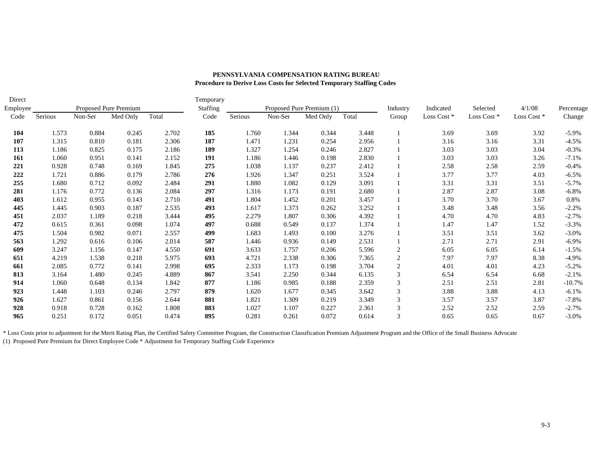|         |          |          |                       |      |          |           |          |       | Industry                  |             |            |             | Percentage |
|---------|----------|----------|-----------------------|------|----------|-----------|----------|-------|---------------------------|-------------|------------|-------------|------------|
| Serious | Non-Ser  | Med Only | Total                 | Code | Serious  | Non-Ser   | Med Only | Total | Group                     | Loss Cost * | Loss Cost* | Loss Cost * | Change     |
| 1.573   | 0.884    | 0.245    | 2.702                 | 185  | 1.760    | 1.344     | 0.344    | 3.448 |                           | 3.69        | 3.69       | 3.92        | $-5.9%$    |
| 1.315   | 0.810    | 0.181    | 2.306                 | 187  | 1.471    | 1.231     | 0.254    | 2.956 |                           | 3.16        | 3.16       | 3.31        | $-4.5%$    |
| 1.186   | 0.825    | 0.175    | 2.186                 | 189  | 1.327    | 1.254     | 0.246    | 2.827 |                           | 3.03        | 3.03       | 3.04        | $-0.3%$    |
| 1.060   | 0.951    | 0.141    | 2.152                 | 191  | 1.186    | 1.446     | 0.198    | 2.830 |                           | 3.03        | 3.03       | 3.26        | $-7.1%$    |
| 0.928   | 0.748    | 0.169    | 1.845                 | 275  | 1.038    | 1.137     | 0.237    | 2.412 |                           | 2.58        | 2.58       | 2.59        | $-0.4%$    |
| 1.721   | 0.886    | 0.179    | 2.786                 | 276  | 1.926    | 1.347     | 0.251    | 3.524 |                           | 3.77        | 3.77       | 4.03        | $-6.5%$    |
| 1.680   | 0.712    | 0.092    | 2.484                 | 291  | 1.880    | 1.082     | 0.129    | 3.091 |                           | 3.31        | 3.31       | 3.51        | $-5.7%$    |
| 1.176   | 0.772    | 0.136    | 2.084                 | 297  | 1.316    | 1.173     | 0.191    | 2.680 |                           | 2.87        | 2.87       | 3.08        | $-6.8%$    |
| 1.612   | 0.955    | 0.143    | 2.710                 | 491  | 1.804    | 1.452     | 0.201    | 3.457 |                           | 3.70        | 3.70       | 3.67        | 0.8%       |
| 1.445   | 0.903    | 0.187    | 2.535                 | 493  | 1.617    | 1.373     | 0.262    | 3.252 |                           | 3.48        | 3.48       | 3.56        | $-2.2%$    |
| 2.037   | 1.189    | 0.218    | 3.444                 | 495  | 2.279    | 1.807     | 0.306    | 4.392 |                           | 4.70        | 4.70       | 4.83        | $-2.7%$    |
| 0.615   | 0.361    | 0.098    | 1.074                 | 497  | 0.688    | 0.549     | 0.137    | 1.374 |                           | 1.47        | 1.47       | 1.52        | $-3.3%$    |
| 1.504   | 0.982    | 0.071    | 2.557                 | 499  | 1.683    | 1.493     | 0.100    | 3.276 |                           | 3.51        | 3.51       | 3.62        | $-3.0%$    |
| 1.292   | 0.616    | 0.106    | 2.014                 | 587  | 1.446    | 0.936     | 0.149    | 2.531 |                           | 2.71        | 2.71       | 2.91        | $-6.9\%$   |
| 3.247   | 1.156    | 0.147    | 4.550                 | 691  | 3.633    | 1.757     | 0.206    | 5.596 | $\overline{c}$            | 6.05        | 6.05       | 6.14        | $-1.5%$    |
| 4.219   | 1.538    | 0.218    | 5.975                 | 693  | 4.721    | 2.338     | 0.306    | 7.365 | 2                         | 7.97        | 7.97       | 8.38        | $-4.9%$    |
| 2.085   | 0.772    | 0.141    | 2.998                 | 695  | 2.333    | 1.173     | 0.198    | 3.704 | $\overline{c}$            | 4.01        | 4.01       | 4.23        | $-5.2%$    |
| 3.164   | 1.480    | 0.245    | 4.889                 | 867  | 3.541    | 2.250     | 0.344    | 6.135 | 3                         | 6.54        | 6.54       | 6.68        | $-2.1%$    |
| 1.060   | 0.648    | 0.134    | 1.842                 | 877  | 1.186    | 0.985     | 0.188    | 2.359 | 3                         | 2.51        | 2.51       | 2.81        | $-10.7%$   |
| 1.448   | 1.103    | 0.246    | 2.797                 | 879  | 1.620    | 1.677     | 0.345    | 3.642 | 3                         | 3.88        | 3.88       | 4.13        | $-6.1%$    |
| 1.627   | 0.861    | 0.156    | 2.644                 | 881  | 1.821    | 1.309     | 0.219    | 3.349 | 3                         | 3.57        | 3.57       | 3.87        | $-7.8%$    |
| 0.918   | 0.728    | 0.162    | 1.808                 | 883  | 1.027    | 1.107     | 0.227    | 2.361 | 3                         | 2.52        | 2.52       | 2.59        | $-2.7%$    |
| 0.251   | 0.172    | 0.051    | 0.474                 | 895  | 0.281    | 0.261     | 0.072    | 0.614 | 3                         | 0.65        | 0.65       | 0.67        | $-3.0%$    |
|         | Employee |          | Proposed Pure Premium |      | Staffing | Temporary |          |       | Proposed Pure Premium (1) |             | Indicated  | Selected    | 4/1/08     |

### **PENNSYLVANIA COMPENSATION RATING BUREAU Procedure to Derive Loss Costs for Selected Temporary Staffing Codes**

\* Loss Costs prior to adjustment for the Merit Rating Plan, the Certified Safety Committee Program, the Construction Classification Premium Adjustment Program and the Office of the Small Business Advocate

(1) Proposed Pure Premium for Direct Employee Code \* Adjustment for Temporary Staffing Code Experience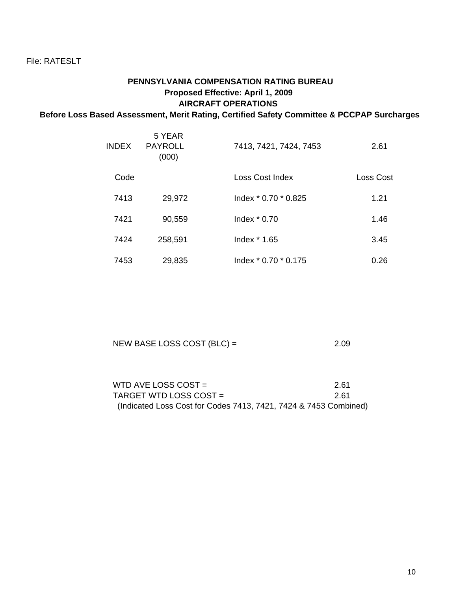# **PENNSYLVANIA COMPENSATION RATING BUREAU Proposed Effective: April 1, 2009 AIRCRAFT OPERATIONS**

## **Before Loss Based Assessment, Merit Rating, Certified Safety Committee & PCCPAP Surcharges**

| INDEX. | 5 YEAR<br><b>PAYROLL</b><br>(000) | 7413, 7421, 7424, 7453 | 2.61      |
|--------|-----------------------------------|------------------------|-----------|
| Code   |                                   | Loss Cost Index        | Loss Cost |
| 7413   | 29,972                            | lndex * 0.70 * 0.825   | 1.21      |
| 7421   | 90,559                            | Index $*$ 0.70         | 1.46      |
| 7424   | 258,591                           | Index * 1.65           | 3.45      |
| 7453   | 29,835                            | lndex * 0.70 * 0.175   | 0.26      |

| NEW BASE LOSS COST (BLC) = | 2.09 |
|----------------------------|------|
|----------------------------|------|

| WTD AVE LOSS COST $=$                                            | 2.61 |
|------------------------------------------------------------------|------|
| TARGET WTD LOSS COST =                                           | 2 61 |
| (Indicated Loss Cost for Codes 7413, 7421, 7424 & 7453 Combined) |      |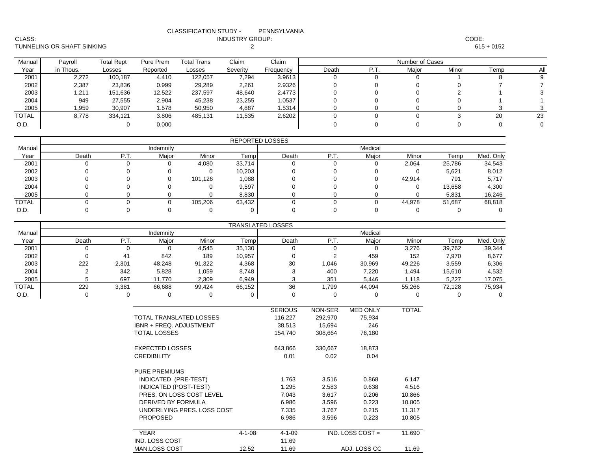|        | <b>CLASSIFICATION STUDY -</b> | PENNSYLVANIA |
|--------|-------------------------------|--------------|
| CLASS: | <b>INDUSTRY GROUP:</b>        |              |

TUNNELING OR SHAFT SINKING 2

: CODE: the contract of the contract of the contract of the contract of the contract of the contract of the contract of the contract of the contract of the contract of the contract of the contract of the contract of the co

 $615 + 0152$ 

| Manual       | Pavroll   | <b>Total Rept</b> | Pure Prem | Total Trans | Claim    | Claim     |       | Number of Cases |       |       |      |     |  |
|--------------|-----------|-------------------|-----------|-------------|----------|-----------|-------|-----------------|-------|-------|------|-----|--|
| Year         | in Thous. | Losses            | Reported  | Losses      | Severity | Frequency | Death | P.T             | Major | Minor | Temp | Αll |  |
| 2001         | 2,272     | 100,187           | 4.410     | 122,057     | 7,294    | 3.9613    |       |                 | υ     |       |      |     |  |
| 2002         | 2,387     | 23,836            | 0.999     | 29,289      | 2,261    | 2.9326    |       |                 |       |       |      |     |  |
| 2003         | 1,211     | 151,636           | 12.522    | 237,597     | 48,640   | 2.4773    |       |                 |       |       |      |     |  |
| 2004         | 949       | 27,555            | 2.904     | 45,238      | 23,255   | 1.0537    |       |                 |       |       |      |     |  |
| 2005         | 959. ا    | 30,907            | 1.578     | 50,950      | 4,887    | 1.5314    |       |                 |       |       |      |     |  |
| <b>TOTAL</b> | 8,778     | 334,121           | 3.806     | 485,131     | 11,535   | 2.6202    |       |                 | υ     |       | 20   | 23  |  |
| O.D.         |           |                   | 0.000     |             |          |           |       |                 |       |       |      |     |  |

|              | <b>REPORTED LOSSES</b> |            |           |         |        |       |     |         |        |        |           |  |  |
|--------------|------------------------|------------|-----------|---------|--------|-------|-----|---------|--------|--------|-----------|--|--|
| Manual       |                        |            | Indemnity |         |        |       |     | Medical |        |        |           |  |  |
| Year         | Death                  | <b>P.1</b> | Major     | Minor   | Templ  | Death | P.T | Major   | Minor  | Temp   | Med. Only |  |  |
| 2001         |                        |            |           | 4,080   | 33,714 |       |     |         | 2,064  | 25,786 | 34,543    |  |  |
| 2002         |                        |            |           |         | 10,203 |       |     |         |        | 5,621  | 8,012     |  |  |
| 2003         |                        |            |           | 101,126 | 880,1  |       |     |         | 42,914 | 791    | 5,717     |  |  |
| 2004         |                        |            |           |         | 9,597  |       |     |         |        | 13,658 | 4,300     |  |  |
| 2005         |                        |            |           |         | 8,830  |       |     |         |        | 5,831  | 16,246    |  |  |
| <b>TOTAL</b> |                        |            |           | 105,206 | 63,432 |       |     |         | 44,978 | 51,687 | 68,818    |  |  |
| O.D.         |                        |            |           |         |        |       |     |         |        |        |           |  |  |

|              |  |                       |             |                                |                            | <b>TRANSLATED LOSSES</b> |                |          |                    |              |        |           |
|--------------|--|-----------------------|-------------|--------------------------------|----------------------------|--------------------------|----------------|----------|--------------------|--------------|--------|-----------|
| Manual       |  |                       |             | Indemnity                      |                            |                          |                |          | Medical            |              |        |           |
| Year         |  | Death                 | P.T.        | Major                          | Minor                      | Temp                     | Death          | P.T.     | Major              | Minor        | Temp   | Med. Only |
| 2001         |  | $\mathbf 0$           | $\mathbf 0$ | $\mathbf 0$                    | 4,545                      | 35,130                   | $\mathbf 0$    | $\Omega$ | 0                  | 3,276        | 39,762 | 39,344    |
| 2002         |  | $\mathbf 0$           | 41          | 842                            | 189                        | 10,957                   | 0              | 2        | 459                | 152          | 7,970  | 8,677     |
| 2003         |  | 222                   | 2,301       | 48,248                         | 91,322                     | 4,368                    | 30             | 1,046    | 30,969             | 49,226       | 3,559  | 6,306     |
| 2004         |  | 2                     | 342         | 5,828                          | 1,059                      | 8,748                    | 3              | 400      | 7,220              | 1,494        | 15,610 | 4,532     |
| 2005         |  | 5                     | 697         | 11,770                         | 2,309                      | 6,949                    | 3              | 351      | 5,446              | 1,118        | 5,227  | 17,075    |
| <b>TOTAL</b> |  | 229                   | 3,381       | 66,688                         | 99,424                     | 66,152                   | 36             | 1,799    | 44,094             | 55,266       | 72,128 | 75,934    |
| O.D.         |  | 0                     | 0           | 0                              | 0                          | 0                        | 0              | $\Omega$ | 0                  | 0            | 0      | $\Omega$  |
|              |  |                       |             |                                |                            |                          | <b>SERIOUS</b> | NON-SER  | <b>MED ONLY</b>    | <b>TOTAL</b> |        |           |
|              |  |                       |             | <b>TOTAL TRANSLATED LOSSES</b> |                            |                          | 116,227        | 292,970  | 75,934             |              |        |           |
|              |  |                       |             | IBNR + FREQ. ADJUSTMENT        |                            |                          | 38,513         | 15,694   | 246                |              |        |           |
|              |  | <b>TOTAL LOSSES</b>   |             |                                |                            |                          | 154,740        | 308,664  | 76,180             |              |        |           |
|              |  |                       |             |                                |                            |                          |                |          |                    |              |        |           |
|              |  |                       |             | <b>EXPECTED LOSSES</b>         |                            |                          | 643,866        | 330,667  | 18,873             |              |        |           |
|              |  |                       |             | <b>CREDIBILITY</b>             |                            |                          | 0.01           | 0.02     | 0.04               |              |        |           |
|              |  |                       |             | <b>PURE PREMIUMS</b>           |                            |                          |                |          |                    |              |        |           |
|              |  |                       |             | INDICATED (PRE-TEST)           |                            |                          | 1.763          | 3.516    | 0.868              | 6.147        |        |           |
|              |  |                       |             | INDICATED (POST-TEST)          |                            |                          | 1.295          | 2.583    | 0.638              | 4.516        |        |           |
|              |  |                       |             | PRES. ON LOSS COST LEVEL       |                            |                          | 7.043          | 3.617    | 0.206              | 10.866       |        |           |
|              |  |                       |             | <b>DERIVED BY FORMULA</b>      |                            |                          | 6.986          | 3.596    | 0.223              | 10.805       |        |           |
|              |  |                       |             |                                | UNDERLYING PRES. LOSS COST |                          | 7.335          | 3.767    | 0.215              | 11.317       |        |           |
|              |  |                       |             | <b>PROPOSED</b>                |                            |                          | 6.986          | 3.596    | 0.223              | 10.805       |        |           |
|              |  | <b>YEAR</b>           |             |                                |                            | $4 - 1 - 08$             | $4 - 1 - 09$   |          | IND. LOSS COST $=$ | 11.690       |        |           |
|              |  | <b>IND. LOSS COST</b> |             |                                |                            | 11.69                    |                |          |                    |              |        |           |
|              |  |                       |             | <b>MAN.LOSS COST</b>           |                            | 12.52                    | 11.69          |          | ADJ. LOSS CO       | 11.69        |        |           |

ADJ. LOSS C O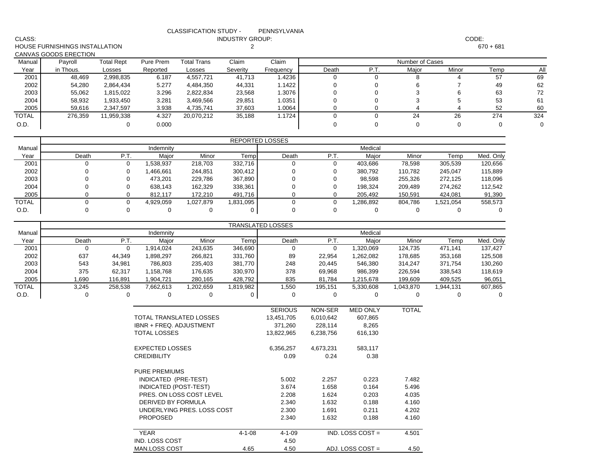| CLASS:       | HOUSE FURNISHINGS INSTALLATION |                   |                           |                            | <b>INDUSTRY GROUP:</b><br>$\overline{2}$ |                          |                      | CODE:<br>$670 + 681$ |                    |                    |              |             |
|--------------|--------------------------------|-------------------|---------------------------|----------------------------|------------------------------------------|--------------------------|----------------------|----------------------|--------------------|--------------------|--------------|-------------|
|              | CANVAS GOODS ERECTION          |                   |                           |                            |                                          |                          |                      |                      |                    |                    |              |             |
| Manual       | Payroll                        | <b>Total Rept</b> | Pure Prem                 | <b>Total Trans</b>         | Claim                                    | Claim                    |                      |                      | Number of Cases    |                    |              |             |
| Year         | in Thous.                      | Losses            | Reported                  | Losses                     | Severity                                 | Frequency                | Death                | P.T.                 | Major              | Minor              | Temp         | All         |
| 2001         | 48,469                         | 2,998,835         | 6.187                     | 4,557,721                  | 41,713                                   | 1.4236                   | 0                    | $\Omega$             | 8                  | 4                  | 57           | 69          |
| 2002         | 54,280                         | 2,864,434         | 5.277                     | 4,484,350                  | 44,331                                   | 1.1422                   | 0                    | 0                    | 6                  | $\overline{7}$     | 49           | 62          |
| 2003         | 55,062                         | 1,815,022         | 3.296                     | 2,822,834                  | 23,568                                   | 1.3076                   | 0                    | 0                    | 3                  | 6                  | 63           | 72          |
| 2004         | 58,932                         | 1,933,450         | 3.281                     | 3,469,566                  | 29,851                                   | 1.0351                   | 0                    | $\mathbf 0$          | 3                  | 5                  | 53           | 61          |
| 2005         | 59,616                         | 2,347,597         | 3.938                     | 4,735,741                  | 37,603                                   | 1.0064                   | $\Omega$             | $\Omega$             | $\overline{4}$     | 4                  | 52           | 60          |
| <b>TOTAL</b> | 276,359                        | 11,959,338        | 4.327                     | 20,070,212                 | 35,188                                   | 1.1724                   | 0                    | $\mathbf 0$          | 24                 | 26                 | 274          | 324         |
| O.D.         |                                | 0                 | 0.000                     |                            |                                          |                          | 0                    | 0                    | 0                  | 0                  | $\mathbf 0$  | $\mathbf 0$ |
|              |                                |                   |                           |                            |                                          | <b>REPORTED LOSSES</b>   |                      |                      |                    |                    |              |             |
| Manual       |                                |                   | Indemnity                 |                            |                                          |                          |                      | Medical              |                    |                    |              |             |
| Year         | Death                          | P.T.              | Major                     | Minor                      | Temp                                     | Death                    | P.T.                 | Major                | Minor              | Temp               | Med. Only    |             |
| 2001         | 0                              | 0                 | 1,538,937                 | 218,703                    | 332,716                                  | $\mathbf 0$              | $\mathbf 0$          | 403,686              | 78,598             | 305,539            | 120,656      |             |
| 2002         | 0                              | 0                 | 1,466,661                 | 244,851                    | 300,412                                  | $\Omega$                 | 0                    | 380,792              | 110,782            | 245,047            | 115,889      |             |
| 2003         | $\Omega$                       | 0                 | 473,201                   | 229,786                    | 367,890                                  | $\mathbf 0$              | 0                    | 98,598               | 255,326            | 272,125            | 118,096      |             |
| 2004         | 0                              | $\mathbf 0$       | 638,143                   | 162,329                    | 338,361                                  | $\mathbf 0$              | 0                    | 198,324              | 209,489            | 274,262            | 112,542      |             |
| 2005         | $\mathbf 0$                    | $\Omega$          | 812,117                   | 172,210                    | 491,716                                  | $\mathbf 0$              | 0                    | 205,492              | 150,591            | 424,081            | 91,390       |             |
| <b>TOTAL</b> | 0                              | 0                 | 4,929,059                 | 1,027,879                  | 1,831,095                                | $\mathbf 0$              | 0                    | 1,286,892            | 804,786            | 1,521,054          | 558,573      |             |
| O.D.         | 0                              | 0                 | $\mathbf 0$               | 0                          | $\mathbf 0$                              | $\mathbf 0$              | 0                    | $\mathbf 0$          | $\mathbf 0$        | 0                  | 0            |             |
|              |                                |                   |                           |                            |                                          | <b>TRANSLATED LOSSES</b> |                      |                      |                    |                    |              |             |
| Manual       |                                |                   | Indemnity                 |                            |                                          |                          |                      | Medical              |                    |                    |              |             |
| Year         | Death                          | P.T.              | Major                     | Minor                      | Temp                                     | Death                    | P.T.                 | Major                | Minor              | Temp               | Med. Only    |             |
| 2001         | $\mathbf 0$                    | $\mathbf 0$       | 1,914,024                 | 243,635                    | 346,690                                  | $\mathbf 0$              | $\mathbf 0$          | 1,320,069            | 124,735            | 471,141            | 137,427      |             |
| 2002         | 637                            | 44,349            | 1,898,297                 | 266,821                    | 331,760                                  | 89                       | 22,954               | 1,262,082            | 178,685            | 353,168            | 125,508      |             |
| 2003         | 543                            | 34,981            | 786,803                   | 235,403                    | 381,770                                  | 248                      | 20,445               | 546,380              | 314,247            | 371,754            | 130,260      |             |
| 2004<br>2005 | 375<br>1,690                   | 62,317            | 1,158,768<br>1,904,721    | 176,635<br>280,165         | 330,970<br>428,792                       | 378<br>835               | 69,968               | 986,399<br>1,215,678 | 226,594<br>199,609 | 338,543<br>409,525 | 118,619      |             |
| <b>TOTAL</b> | 3,245                          | 116,891           |                           |                            |                                          |                          | 81,784<br>195,151    | 5,330,608            |                    | 1,944,131          | 96,051       |             |
| O.D.         | 0                              | 258,538<br>0      | 7,662,613<br>0            | 1,202,659<br>0             | 1,819,982<br>0                           | 1,550<br>0               | 0                    | 0                    | 1,043,870<br>0     | 0                  | 607,865<br>0 |             |
|              |                                |                   |                           |                            |                                          |                          |                      |                      |                    |                    |              |             |
|              |                                |                   |                           |                            |                                          | <b>SERIOUS</b>           | NON-SER              | <b>MED ONLY</b>      | <b>TOTAL</b>       |                    |              |             |
|              |                                |                   | IBNR + FREQ. ADJUSTMENT   | TOTAL TRANSLATED LOSSES    |                                          | 13,451,705               | 6,010,642            | 607,865              |                    |                    |              |             |
|              |                                |                   | <b>TOTAL LOSSES</b>       |                            |                                          | 371,260<br>13,822,965    | 228,114<br>6,238,756 | 8,265<br>616,130     |                    |                    |              |             |
|              |                                |                   |                           |                            |                                          |                          |                      |                      |                    |                    |              |             |
|              |                                |                   | <b>EXPECTED LOSSES</b>    |                            |                                          | 6,356,257                | 4,673,231            | 583,117              |                    |                    |              |             |
|              |                                |                   | <b>CREDIBILITY</b>        |                            |                                          | 0.09                     | 0.24                 | 0.38                 |                    |                    |              |             |
|              |                                |                   | <b>PURE PREMIUMS</b>      |                            |                                          |                          |                      |                      |                    |                    |              |             |
|              |                                |                   | INDICATED (PRE-TEST)      |                            |                                          | 5.002                    | 2.257                | 0.223                | 7.482              |                    |              |             |
|              |                                |                   | INDICATED (POST-TEST)     |                            |                                          | 3.674                    | 1.658                | 0.164                | 5.496              |                    |              |             |
|              |                                |                   |                           | PRES. ON LOSS COST LEVEL   |                                          | 2.208                    | 1.624                | 0.203                | 4.035              |                    |              |             |
|              |                                |                   | <b>DERIVED BY FORMULA</b> |                            |                                          | 2.340                    | 1.632                | 0.188                | 4.160              |                    |              |             |
|              |                                |                   |                           | UNDERLYING PRES. LOSS COST |                                          | 2.300                    | 1.691                | 0.211                | 4.202              |                    |              |             |
|              |                                |                   | <b>PROPOSED</b>           |                            |                                          | 2.340                    | 1.632                | 0.188                | 4.160              |                    |              |             |
|              |                                |                   | <b>YEAR</b>               |                            | $4 - 1 - 08$                             | $4 - 1 - 09$             |                      | IND. LOSS COST =     | 4.501              |                    |              |             |
|              |                                |                   | IND. LOSS COST            |                            |                                          | 4.50                     |                      |                      |                    |                    |              |             |
|              |                                |                   | MAN LOSS COST             |                            | 4.65                                     | 4.50                     |                      | ADJ LOSS COST =      | 4.50               |                    |              |             |

CLASSIFICATION STUDY - PENNSYLVANIA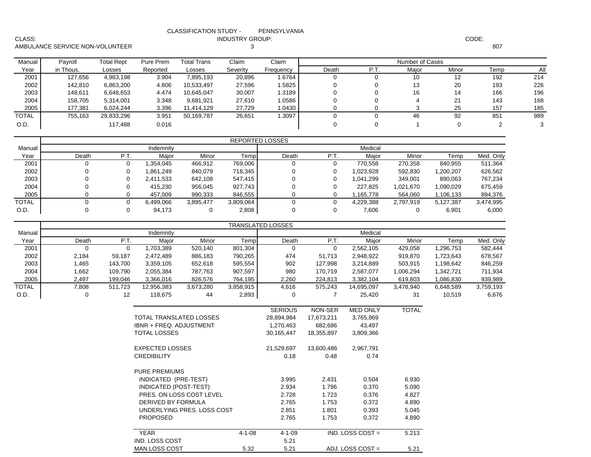|        | <b>CLASSIFICATION STUDY -</b><br>PENNSYLVANIA |  |
|--------|-----------------------------------------------|--|
| CLASS: | <b>INDUSTRY GROUP:</b>                        |  |

AMBULANCE SERVICE NON-VOLUNTEER 3

: CODE: the contract of the contract of the contract of the contract of the contract of the contract of the contract of the contract of the contract of the contract of the contract of the contract of the contract of the co

807

| Manual       | Payroll   | Total Rept | Pure Prem | <b>Total Trans</b> | Claim    | Claim     | Number of Cases |      |       |       |      |     |
|--------------|-----------|------------|-----------|--------------------|----------|-----------|-----------------|------|-------|-------|------|-----|
| Year         | in Thous. | Losses     | Reported  | Losses             | Severity | Freauencv | Death           | P.T. | Maior | Minor | Temp | All |
| 2001         | 127,656   | 4,983,198  | 3.904     | 7,895,193          | 20,896   | 1.6764    |                 |      | 10    | 12    | 192  | 214 |
| 2002         | 142,810   | 6,863,200  | 4.806     | 10,533,497         | 27,596   | 1.5825    |                 |      | 13    | 20    | 193  | 226 |
| 2003         | 148,611   | 6,648,653  | 4.474     | 10,645,047         | 30,007   | 1.3189 l  |                 |      | 16    | 14    | 166  | 196 |
| 2004         | 158.705   | 5,314,001  | 3.348     | 9,681,921          | 27,610   | 1.0586    |                 |      |       | 21    | 143  | 168 |
| 2005         | 177,381   | 6,024,244  | 3.396     | 11,414,129         | 27,729   | 1.0430    |                 |      |       | 25    | 157  | 185 |
| <b>TOTAL</b> | 755.163   | 29,833,296 | 3.951     | 50,169,787         | 26,651   | 1.3097    |                 |      | 46    | 92    | 851  | 989 |
| O.D.         |           | 117.488    | 0.016     |                    |          |           |                 |      |       |       |      |     |

|              | <b>REPORTED LOSSES</b> |             |           |           |           |         |     |           |           |           |           |  |  |
|--------------|------------------------|-------------|-----------|-----------|-----------|---------|-----|-----------|-----------|-----------|-----------|--|--|
| Manual       |                        |             | Indemnity |           |           | Medical |     |           |           |           |           |  |  |
| Year         | Death                  | <b>P.T.</b> | Maior     | Minor     | Temp      | Death   | P.1 | Maior     | Minor     | Temp      | Med. Only |  |  |
| 2001         |                        |             | .354.045  | 466,912   | 769,006   | υ       |     | 770.558   | 270,358   | 840.955   | 511,364   |  |  |
| 2002         |                        |             | .861.249  | 840,079   | 718,345   |         |     | 1,023,928 | 592,830   | ,200,207  | 626,562   |  |  |
| 2003         |                        |             | 2.411.533 | 642.108   | 547.415   |         |     | 1.041.299 | 349,001   | 890,063   | 767,234   |  |  |
| 2004         |                        |             | 415,230   | 956,045   | 927,743   | υ       |     | 227,825   | 1,021,670 | 090,029   | 675,459   |  |  |
| 2005         |                        |             | 457.009   | 990,333   | 846,555   |         |     | .165.778  | 564,060   | 106,133   | 894,376   |  |  |
| <b>TOTAL</b> |                        |             | 6.499.066 | 3,895,477 | 3,809,064 |         |     | 4,229,388 | 2,797,919 | 5,127,387 | 3,474,995 |  |  |
| O.D.         |                        |             | 94,173    |           | 2,808     |         |     | 7.606     |           | 6,901     | 6,000     |  |  |

|              | TRANSLATED LOSSES |         |            |           |           |       |            |            |           |           |           |  |
|--------------|-------------------|---------|------------|-----------|-----------|-------|------------|------------|-----------|-----------|-----------|--|
| Manual       |                   |         | Indemnity  |           |           |       |            | Medical    |           |           |           |  |
| Year         | Death             | - P.T   | Maior      | Minor     | Temp      | Death | <b>P.1</b> | Maior      | Minor     | Геmр      | Med. Only |  |
| 2001         |                   |         | ,703,389   | 520,140   | 801,304   | U     |            | 2,562,105  | 429,058   | ,296,753  | 582,444   |  |
| 2002         | 2.184             | 59.187  | 2.472.489  | 886,183   | 790,265   | 474   | 51.713     | 2,948,922  | 919,870   | 1,723,643 | 678,567   |  |
| 2003         | .465،             | 143,700 | 3,359,105  | 652,618   | 595,554   | 902   | 127,998    | 3,214,889  | 503,915   | 1,198,642 | 846,259   |  |
| 2004         | .662              | 109.790 | 2,055,384  | 787,763   | 907,597   | 980   | 170.719    | 2,587,077  | 1,006,294 | 342,721   | 711,934   |  |
| 2005         | 2,497             | 199,046 | 3,366,016  | 826,576   | 764,195   | 2,260 | 224,813    | 3,382,104  | 619,803   | .086,830  | 939,989   |  |
| <b>TOTAL</b> | 7,808             | 511.723 | 12,956,383 | 3,673,280 | 3,858,915 | 4.616 | 575,243    | 14.695.097 | 3,478,940 | 6,648,589 | 3,759,193 |  |
| O.D.         |                   | 12      | 118,675    | 44        | 2,893     |       |            | 25.420     | 31        | 10,519    | 6,676     |  |

|                            |              | <b>SERIOUS</b> | NON-SER    | <b>MED ONLY</b>    | TOTAL |
|----------------------------|--------------|----------------|------------|--------------------|-------|
| TOTAL TRANSLATED LOSSES    |              | 28,894,984     | 17,673,211 | 3,765,869          |       |
| IBNR + FREQ. ADJUSTMENT    |              | 1,270,463      | 682,686    | 43,497             |       |
| <b>TOTAL LOSSES</b>        |              | 30,165,447     | 18,355,897 | 3,809,366          |       |
| EXPECTED LOSSES            |              | 21,529,697     | 13,600,486 | 2,967,791          |       |
| <b>CREDIBILITY</b>         |              | 0.18           | 0.48       | 0.74               |       |
| <b>PURE PREMIUMS</b>       |              |                |            |                    |       |
| INDICATED (PRE-TEST)       |              | 3.995          | 2.431      | 0.504              | 6.930 |
| INDICATED (POST-TEST)      |              | 2.934          | 1.786      | 0.370              | 5.090 |
| PRES. ON LOSS COST LEVEL   |              | 2.728          | 1.723      | 0.376              | 4.827 |
| DERIVED BY FORMULA         |              | 2.765          | 1.753      | 0.372              | 4.890 |
| UNDERLYING PRES. LOSS COST |              | 2.851          | 1.801      | 0.393              | 5.045 |
| <b>PROPOSED</b>            |              | 2.765          | 1.753      | 0.372              | 4.890 |
| <b>YEAR</b>                | $4 - 1 - 08$ | $4 - 1 - 09$   |            | IND. LOSS COST $=$ | 5.213 |
| IND. LOSS COST             |              | 5.21           |            |                    |       |
| <b>MAN.LOSS COST</b>       | 5.32         | 5.21           |            | ADJ. LOSS COST $=$ | 5.21  |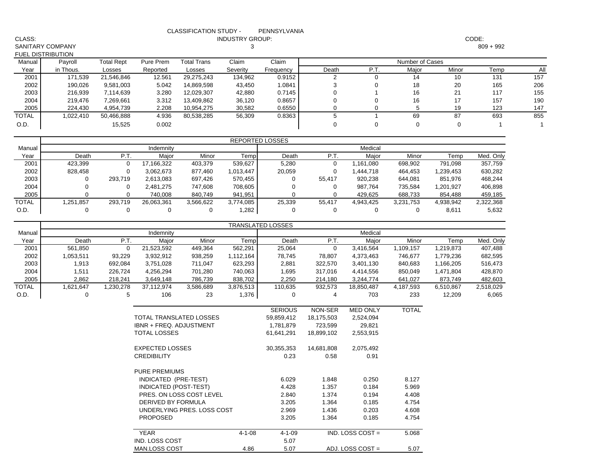| CLASS:                   | <b>INDUSTRY GROUP:</b><br>CODE: |                    |                              |                            |                    |                          |                    |                        |                    |                        |                    |     |
|--------------------------|---------------------------------|--------------------|------------------------------|----------------------------|--------------------|--------------------------|--------------------|------------------------|--------------------|------------------------|--------------------|-----|
| SANITARY COMPANY         |                                 |                    |                              |                            | 3                  |                          |                    |                        |                    |                        | $809 + 992$        |     |
| <b>FUEL DISTRIBUTION</b> |                                 |                    |                              |                            |                    |                          |                    |                        |                    |                        |                    |     |
| Manual                   | Payroll                         | <b>Total Rept</b>  | Pure Prem                    | <b>Total Trans</b>         | Claim              | Claim                    |                    |                        | Number of Cases    |                        |                    |     |
| Year                     | in Thous.                       | Losses             | Reported                     | Losses                     | Severity           | Frequency                | Death              | P.T.                   | Major              | Minor                  | Temp               | All |
| 2001                     | 171,539                         | 21,546,846         | 12.561                       | 29,275,243                 | 134,962            | 0.9152                   | 2                  | 0                      | 14                 | 10                     | 131                | 157 |
| 2002                     | 190,026                         | 9,581,003          | 5.042                        | 14,869,598                 | 43,450             | 1.0841                   | 3                  | $\mathbf 0$            | 18                 | 20                     | 165                | 206 |
| 2003                     | 216,939                         | 7,114,639          | 3.280                        | 12,029,307                 | 42,880             | 0.7145                   | 0                  | $\overline{1}$         | 16                 | 21                     | 117                | 155 |
| 2004                     | 219,476                         | 7,269,661          | 3.312                        | 13,409,862                 | 36,120             | 0.8657                   | 0                  | 0                      | 16                 | 17                     | 157                | 190 |
| 2005                     | 224,430                         | 4,954,739          | 2.208                        | 10,954,275                 | 30,582             | 0.6550                   | $\mathbf 0$        | 0                      | 5                  | 19                     | 123                | 147 |
| <b>TOTAL</b>             | 1,022,410                       | 50,466,888         | 4.936                        | 80,538,285                 | 56,309             | 0.8363                   | 5                  | $\overline{1}$         | 69                 | 87                     | 693                | 855 |
| O.D.                     |                                 | 15,525             | 0.002                        |                            |                    |                          | 0                  | $\mathbf 0$            | 0                  | 0                      | 1                  | -1  |
|                          |                                 |                    |                              |                            |                    |                          |                    |                        |                    |                        |                    |     |
|                          |                                 |                    |                              |                            |                    | <b>REPORTED LOSSES</b>   |                    |                        |                    |                        |                    |     |
| Manual                   |                                 |                    | Indemnity                    |                            |                    |                          |                    | Medical                |                    |                        |                    |     |
| Year                     | Death                           | P.T.               | Major                        | Minor                      | Temp               | Death                    | P.T.               | Major                  | Minor              | Temp                   | Med. Only          |     |
| 2001                     | 423,399                         | $\mathbf 0$        | 17,166,322                   | 403,379                    | 539,627            | 5,280                    | 0                  | 1,161,080              | 698,902            | 791,098                | 357,759            |     |
| 2002                     | 828,458                         | 0                  | 3,062,673                    | 877,460                    | 1,013,447          | 20,059                   | 0                  | 1,444,718              | 464,453            | 1,239,453              | 630,282            |     |
| 2003                     | 0                               | 293,719            | 2,613,083                    | 697,426                    | 570,455            | 0                        | 55,417             | 920,238                | 644,081            | 851,976                | 468,244            |     |
| 2004                     | 0                               | 0                  | 2,481,275                    | 747,608                    | 708,605            | $\mathbf 0$              | 0                  | 987,764                | 735,584            | 1,201,927              | 406,898            |     |
| 2005                     | 0                               | $\mathbf 0$        | 740,008                      | 840,749                    | 941,951            | $\mathbf 0$              | 0                  | 429,625                | 688,733            | 854,488                | 459,185            |     |
| <b>TOTAL</b>             | 1,251,857                       | 293,719            | 26,063,361                   | 3,566,622                  | 3,774,085          | 25,339                   | 55,417             | 4,943,425              | 3,231,753          | 4,938,942              | 2,322,368          |     |
| O.D.                     | 0                               | 0                  | $\mathbf 0$                  | 0                          | 1,282              | $\mathbf 0$              | 0                  | $\mathbf 0$            | 0                  | 8,611                  | 5,632              |     |
|                          |                                 |                    |                              |                            |                    |                          |                    |                        |                    |                        |                    |     |
|                          |                                 |                    |                              |                            |                    | <b>TRANSLATED LOSSES</b> |                    |                        |                    |                        |                    |     |
| Manual                   | Death                           | P.T.               | Indemnity                    |                            | Temp               |                          | P.T.               | Medical                | Minor              | Temp                   | Med. Only          |     |
| Year<br>2001             | 561,850                         | $\mathbf 0$        | Major<br>21,523,592          | Minor<br>449,364           | 562,291            | Death<br>25,064          | $\mathbf 0$        | Major<br>3,416,564     | 1,109,157          | 1,219,873              | 407,488            |     |
|                          |                                 |                    |                              |                            |                    |                          |                    |                        |                    |                        |                    |     |
| 2002<br>2003             | 1,053,511<br>1,913              | 93,229             | 3,932,912<br>3,751,028       | 938,259<br>711,047         | 1,112,164          | 78,745                   | 78,807<br>322,570  | 4,373,463<br>3,401,130 | 746,677<br>840,683 | 1,779,236<br>1,166,205 | 682,595            |     |
| 2004                     |                                 | 692,084            |                              |                            | 623,293            | 2,881                    |                    |                        |                    |                        | 516,473            |     |
| 2005                     | 1,511<br>2,862                  | 226,724<br>218,241 | 4,256,294<br>3,649,148       | 701,280<br>786,739         | 740,063<br>838,702 | 1,695<br>2,250           | 317,016<br>214,180 | 4,414,556<br>3,244,774 | 850,049<br>641,027 | 1,471,804<br>873,749   | 428,870<br>482,603 |     |
| <b>TOTAL</b>             | 1,621,647                       | 1,230,278          | 37,112,974                   | 3,586,689                  | 3,876,513          | 110,635                  | 932,573            | 18,850,487             | 4,187,593          | 6,510,867              | 2,518,029          |     |
| O.D.                     | 0                               | 5                  | 106                          | 23                         | 1,376              | 0                        | 4                  | 703                    | 233                | 12,209                 | 6,065              |     |
|                          |                                 |                    |                              |                            |                    |                          |                    |                        |                    |                        |                    |     |
|                          |                                 |                    |                              |                            |                    | <b>SERIOUS</b>           | NON-SER            | <b>MED ONLY</b>        | <b>TOTAL</b>       |                        |                    |     |
|                          |                                 |                    |                              | TOTAL TRANSLATED LOSSES    |                    | 59,859,412               | 18,175,503         | 2,524,094              |                    |                        |                    |     |
|                          |                                 |                    | IBNR + FREQ. ADJUSTMENT      |                            |                    | 1,781,879                | 723,599            | 29,821                 |                    |                        |                    |     |
|                          |                                 |                    | <b>TOTAL LOSSES</b>          |                            |                    | 61,641,291               | 18,899,102         | 2,553,915              |                    |                        |                    |     |
|                          |                                 |                    |                              |                            |                    |                          |                    |                        |                    |                        |                    |     |
|                          |                                 |                    | <b>EXPECTED LOSSES</b>       |                            |                    | 30,355,353               | 14,681,808         | 2,075,492              |                    |                        |                    |     |
|                          |                                 |                    | <b>CREDIBILITY</b>           |                            |                    | 0.23                     | 0.58               | 0.91                   |                    |                        |                    |     |
|                          |                                 |                    |                              |                            |                    |                          |                    |                        |                    |                        |                    |     |
|                          |                                 |                    | PURE PREMIUMS                |                            |                    |                          |                    |                        |                    |                        |                    |     |
|                          |                                 |                    | INDICATED (PRE-TEST)         |                            |                    | 6.029                    | 1.848              | 0.250                  | 8.127              |                        |                    |     |
|                          |                                 |                    | <b>INDICATED (POST-TEST)</b> |                            |                    | 4.428                    | 1.357              | 0.184                  | 5.969              |                        |                    |     |
|                          |                                 |                    |                              | PRES. ON LOSS COST LEVEL   |                    | 2.840                    | 1.374              | 0.194                  | 4.408              |                        |                    |     |
|                          |                                 | DERIVED BY FORMULA |                              |                            |                    |                          | 1.364              | 0.185                  | 4.754              |                        |                    |     |
|                          |                                 |                    |                              | UNDERLYING PRES. LOSS COST |                    | 2.969                    | 1.436              | 0.203                  | 4.608              |                        |                    |     |
|                          |                                 |                    | <b>PROPOSED</b>              |                            |                    | 3.205                    | 1.364              | 0.185                  | 4.754              |                        |                    |     |
|                          |                                 |                    |                              |                            |                    |                          |                    |                        |                    |                        |                    |     |
|                          |                                 |                    | YEAR                         |                            | $4 - 1 - 08$       | $4 - 1 - 09$             |                    | IND. LOSS COST $=$     | 5.068              |                        |                    |     |
|                          |                                 |                    | IND. LOSS COST               |                            |                    | 5.07                     |                    |                        |                    |                        |                    |     |
|                          |                                 |                    | MAN.LOSS COST                |                            | 4.86               | 5.07                     |                    | ADJ. LOSS COST =       | 5.07               |                        |                    |     |

# CLASSIFICATION STUDY - PENNSYLVANIA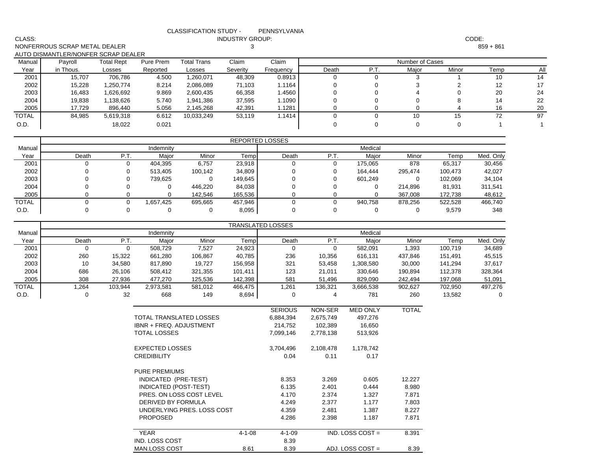| CLASS:         |                                     |                   |                           |                            | <b>INDUSTRY GROUP:</b> |                          |             |                    |                 |                         | CODE:        |                 |
|----------------|-------------------------------------|-------------------|---------------------------|----------------------------|------------------------|--------------------------|-------------|--------------------|-----------------|-------------------------|--------------|-----------------|
|                | NONFERROUS SCRAP METAL DEALER       |                   |                           |                            | 3                      |                          |             |                    |                 |                         | $859 + 861$  |                 |
|                | AUTO DISMANTLER/NONFER SCRAP DEALER |                   |                           |                            |                        |                          |             |                    |                 |                         |              |                 |
| Manual         | Payroll                             | <b>Total Rept</b> | Pure Prem                 | <b>Total Trans</b>         | Claim                  | Claim                    |             |                    | Number of Cases |                         |              |                 |
| Year           | in Thous.                           | Losses            | Reported                  | Losses                     | Severity               | Frequency                | Death       | P.T.               | Major           | Minor                   | Temp         | All             |
| 2001           | 15,707                              | 706,786           | 4.500                     | 1,260,071                  | 48,309                 | 0.8913                   | 0           | $\Omega$           | 3               | 1                       | 10           | $\overline{14}$ |
| 2002           | 15,228                              | 1,250,774         | 8.214                     | 2,086,089                  | 71,103                 | 1.1164                   | 0           | $\mathbf 0$        | 3               | $\overline{\mathbf{c}}$ | 12           | 17              |
| 2003           | 16,483                              | 1,626,692         | 9.869                     | 2,600,435                  | 66,358                 | 1.4560                   | 0           | 0                  | 4               | 0                       | 20           | 24              |
| 2004           | 19,838                              | 1,138,626         | 5.740                     | 1,941,386                  | 37,595                 | 1.1090                   | 0           | 0                  | 0               | 8                       | 14           | 22              |
| 2005           | 17,729                              | 896,440           | 5.056                     | 2,145,268                  | 42,391                 | 1.1281                   | $\Omega$    | 0                  | $\mathbf 0$     | 4                       | 16           | $20\,$          |
| <b>TOTAL</b>   | 84,985                              | 5,619,318         | 6.612                     | 10,033,249                 | 53,119                 | 1.1414                   | 0           | $\mathbf 0$        | 10              | 15                      | 72           | 97              |
| O.D.           |                                     | 18,022            | 0.021                     |                            |                        |                          | 0           | $\mathbf 0$        | $\mathbf 0$     | 0                       | $\mathbf{1}$ | 1               |
|                |                                     |                   |                           |                            |                        |                          |             |                    |                 |                         |              |                 |
|                |                                     |                   |                           |                            |                        | <b>REPORTED LOSSES</b>   |             | Medical            |                 |                         |              |                 |
| Manual<br>Year | Death                               | P.T.              | Indemnity<br>Major        | Minor                      | Temp                   | Death                    | P.T.        | Major              | Minor           | Temp                    | Med. Only    |                 |
| 2001           | 0                                   | 0                 | 404,395                   | 6,757                      | 23,918                 | 0                        | 0           | 175,065            | 878             | 65,317                  | 30,456       |                 |
| 2002           | $\mathbf 0$                         | $\mathbf 0$       | 513,405                   | 100,142                    | 34,809                 | 0                        | 0           | 164,444            | 295,474         | 100,473                 | 42,027       |                 |
| 2003           | $\Omega$                            | $\mathbf 0$       | 739,625                   | $\mathbf 0$                | 149,645                | 0                        | 0           | 601,249            | $\mathbf 0$     | 102,069                 | 34,104       |                 |
| 2004           | 0                                   | 0                 | $\mathbf 0$               | 446,220                    | 84,038                 | 0                        | 0           | 0                  | 214,896         | 81,931                  | 311,541      |                 |
| 2005           | $\mathbf 0$                         | $\mathbf 0$       | $\Omega$                  | 142,546                    | 165,536                | $\mathbf 0$              | $\Omega$    | 0                  | 367,008         | 172,738                 | 48,612       |                 |
| <b>TOTAL</b>   | 0                                   | 0                 | 1,657,425                 | 695,665                    | 457,946                | $\mathbf 0$              | 0           | 940,758            | 878,256         | 522,528                 | 466,740      |                 |
| O.D.           | 0                                   | 0                 | $\mathbf 0$               | $\mathbf 0$                | 8,095                  | $\mathbf 0$              | 0           | 0                  | $\mathbf 0$     | 9,579                   | 348          |                 |
|                |                                     |                   |                           |                            |                        |                          |             |                    |                 |                         |              |                 |
|                |                                     |                   |                           |                            |                        | <b>TRANSLATED LOSSES</b> |             |                    |                 |                         |              |                 |
| Manual         |                                     |                   | Indemnity                 |                            |                        |                          |             | Medical            |                 |                         |              |                 |
| Year           | Death                               | P.T.              | Major                     | Minor                      | Temp                   | Death                    | P.T.        | Major              | Minor           | Temp                    | Med. Only    |                 |
| 2001           | $\mathbf 0$                         | $\Omega$          | 508,729                   | 7,527                      | 24,923                 | $\mathbf 0$              | $\mathbf 0$ | 582,091            | 1,393           | 100,719                 | 34,689       |                 |
| 2002           | 260                                 | 15,322            | 661,280                   | 106,867                    | 40,785                 | 236                      | 10,356      | 616,131            | 437,846         | 151,491                 | 45,515       |                 |
| 2003           | 10                                  | 34,580            | 817,890                   | 19,727                     | 156,958                | 321                      | 53,458      | 1,308,580          | 30,000          | 141,294                 | 37,617       |                 |
| 2004           | 686                                 | 26,106            | 508,412                   | 321,355                    | 101,411                | 123                      | 21,011      | 330,646            | 190,894         | 112,378                 | 328,364      |                 |
| 2005           | 308                                 | 27,936            | 477,270                   | 125,536                    | 142,398                | 581                      | 51,496      | 829,090            | 242,494         | 197,068                 | 51,091       |                 |
| <b>TOTAL</b>   | 1,264                               | 103,944           | 2,973,581                 | 581,012                    | 466,475                | 1,261                    | 136,321     | 3,666,538          | 902,627         | 702,950                 | 497,276      |                 |
| O.D.           | 0                                   | 32                | 668                       | 149                        | 8,694                  | 0                        | 4           | 781                | 260             | 13,582                  | 0            |                 |
|                |                                     |                   |                           |                            |                        | <b>SERIOUS</b>           | NON-SER     | <b>MED ONLY</b>    | <b>TOTAL</b>    |                         |              |                 |
|                |                                     |                   |                           | TOTAL TRANSLATED LOSSES    |                        | 6,884,394                | 2,675,749   | 497,276            |                 |                         |              |                 |
|                |                                     |                   | IBNR + FREQ. ADJUSTMENT   |                            |                        | 214,752                  | 102,389     | 16,650             |                 |                         |              |                 |
|                |                                     |                   | <b>TOTAL LOSSES</b>       |                            |                        | 7,099,146                | 2,778,138   | 513,926            |                 |                         |              |                 |
|                |                                     |                   |                           |                            |                        |                          |             |                    |                 |                         |              |                 |
|                |                                     |                   | <b>EXPECTED LOSSES</b>    |                            |                        | 3,704,496                | 2,108,478   | 1,178,742          |                 |                         |              |                 |
|                |                                     |                   | <b>CREDIBILITY</b>        |                            |                        | 0.04                     | 0.11        | 0.17               |                 |                         |              |                 |
|                |                                     |                   |                           |                            |                        |                          |             |                    |                 |                         |              |                 |
|                |                                     |                   | PURE PREMIUMS             |                            |                        |                          |             |                    |                 |                         |              |                 |
|                |                                     |                   | INDICATED (PRE-TEST)      |                            |                        | 8.353                    | 3.269       | 0.605              | 12.227          |                         |              |                 |
|                |                                     |                   | INDICATED (POST-TEST)     |                            |                        | 6.135                    | 2.401       | 0.444              | 8.980           |                         |              |                 |
|                |                                     |                   |                           | PRES. ON LOSS COST LEVEL   |                        | 4.170                    | 2.374       | 1.327              | 7.871           |                         |              |                 |
|                |                                     |                   | <b>DERIVED BY FORMULA</b> |                            |                        | 4.249                    | 2.377       | 1.177              | 7.803           |                         |              |                 |
|                |                                     |                   |                           | UNDERLYING PRES. LOSS COST |                        | 4.359                    | 2.481       | 1.387              | 8.227           |                         |              |                 |
|                |                                     |                   | <b>PROPOSED</b>           |                            |                        | 4.286                    | 2.398       | 1.187              | 7.871           |                         |              |                 |
|                |                                     |                   |                           |                            |                        |                          |             |                    |                 |                         |              |                 |
|                |                                     |                   | <b>YEAR</b>               |                            | $4 - 1 - 08$           | $4 - 1 - 09$             |             | IND. LOSS COST $=$ | 8.391           |                         |              |                 |
|                |                                     |                   | IND. LOSS COST            |                            |                        | 8.39                     |             |                    |                 |                         |              |                 |
|                |                                     |                   | MAN.LOSS COST             |                            | 8.61                   | 8.39                     |             | ADJ. LOSS COST =   | 8.39            |                         |              |                 |

CLASSIFICATION STUDY - PENNSYLVANIA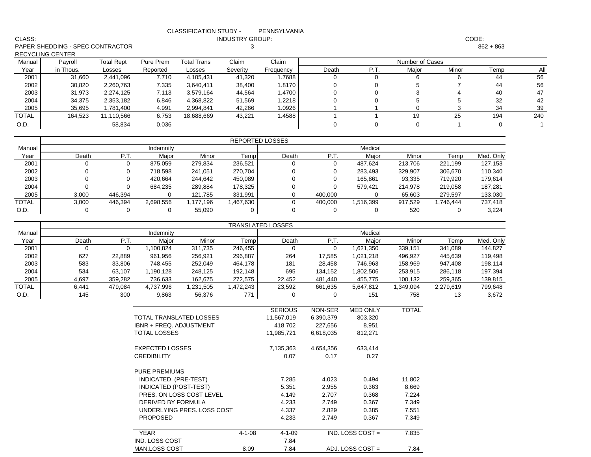|                |                                  |                        |                         | <b>CLASSIFICATION STUDY -</b> |                        | PENNSYLVANIA             |                  |                  |                 |                     |             |                |
|----------------|----------------------------------|------------------------|-------------------------|-------------------------------|------------------------|--------------------------|------------------|------------------|-----------------|---------------------|-------------|----------------|
| CLASS:         |                                  |                        |                         |                               | <b>INDUSTRY GROUP:</b> |                          |                  |                  |                 |                     | CODE:       |                |
|                | PAPER SHEDDING - SPEC CONTRACTOR |                        |                         |                               | 3                      |                          |                  |                  |                 |                     | $862 + 863$ |                |
|                | RECYCLING CENTER                 |                        |                         |                               |                        |                          |                  |                  |                 |                     |             |                |
| Manual         | Payroll                          | <b>Total Rept</b>      | Pure Prem               | <b>Total Trans</b>            | Claim                  | Claim                    |                  |                  | Number of Cases |                     |             |                |
| Year           | in Thous.                        | Losses                 | Reported                | Losses                        | Severity               | Frequency<br>1.7688      | Death            | P.T.             | Major           | Minor               | Temp        | All            |
| 2001           | 31,660<br>30,820                 | 2,441,096<br>2,260,763 | 7.710<br>7.335          | 4,105,431<br>3,640,411        | 41,320<br>38,400       | 1.8170                   | 0<br>$\mathbf 0$ | 0<br>0           | 6<br>5          | 6<br>$\overline{7}$ | 44<br>44    | 56<br>56       |
| 2002<br>2003   | 31,973                           | 2,274,125              | 7.113                   | 3,579,164                     | 44,564                 | 1.4700                   | $\Omega$         | $\mathbf 0$      | 3               | 4                   | 40          | $47\,$         |
| 2004           | 34,375                           | 2,353,182              | 6.846                   | 4,368,822                     | 51,569                 | 1.2218                   | $\mathbf 0$      | $\mathbf 0$      | 5               | 5                   | 32          | 42             |
| 2005           | 35,695                           | 1,781,400              | 4.991                   | 2,994,841                     | 42,266                 | 1.0926                   |                  |                  | 0               | 3                   | 34          | 39             |
| <b>TOTAL</b>   | 164,523                          | 11,110,566             | 6.753                   | 18,688,669                    | 43,221                 | 1.4588                   | $\mathbf{1}$     | $\overline{1}$   | 19              | 25                  | 194         | 240            |
| O.D.           |                                  | 58,834                 | 0.036                   |                               |                        |                          | 0                | $\mathbf 0$      | 0               | $\mathbf{1}$        | $\mathbf 0$ | $\overline{1}$ |
|                |                                  |                        |                         |                               |                        |                          |                  |                  |                 |                     |             |                |
|                |                                  |                        |                         |                               |                        | <b>REPORTED LOSSES</b>   |                  |                  |                 |                     |             |                |
| Manual         |                                  |                        | Indemnity               |                               |                        |                          |                  | Medical          |                 |                     |             |                |
| Year           | Death                            | P.T.                   | Major                   | Minor                         | Temp                   | Death                    | P.T.             | Major            | Minor           | Temp                | Med. Only   |                |
| 2001           | 0                                | 0                      | 875,059                 | 279,834                       | 236,521                | 0                        | 0                | 487,624          | 213,706         | 221,199             | 127,153     |                |
| 2002           | 0                                | 0                      | 718,598                 | 241,051                       | 270,704                | 0                        | 0                | 283,493          | 329,907         | 306,670             | 110,340     |                |
| 2003           | $\mathbf 0$                      | 0                      | 420,664                 | 244,642                       | 450,089                | $\mathbf 0$              | 0                | 165,861          | 93,335          | 719,920             | 179,614     |                |
| 2004           | $\mathbf 0$                      | $\Omega$               | 684,235                 | 289,884                       | 178,325                | 0                        | $\mathbf 0$      | 579,421          | 214,978         | 219,058             | 187,281     |                |
| 2005           | 3,000                            | 446,394                | 0                       | 121,785                       | 331,991                | 0                        | 400,000          | 0                | 65,603          | 279,597             | 133,030     |                |
| TOTAL          | 3,000                            | 446,394                | 2,698,556               | 1,177,196                     | 1,467,630              | $\mathbf 0$              | 400,000          | 1,516,399        | 917,529         | 1,746,444           | 737,418     |                |
| O.D.           | 0                                | 0                      | 0                       | 55,090                        | 0                      | $\mathbf 0$              | $\mathbf 0$      | 0                | 520             | 0                   | 3,224       |                |
|                |                                  |                        |                         |                               |                        |                          |                  |                  |                 |                     |             |                |
|                |                                  |                        |                         |                               |                        | <b>TRANSLATED LOSSES</b> |                  | Medical          |                 |                     |             |                |
| Manual<br>Year | Death                            | P.T.                   | Indemnity<br>Major      | Minor                         | Temp                   | Death                    | P.T.             | Major            | Minor           | Temp                | Med. Only   |                |
| 2001           | 0                                | 0                      | 1,100,824               | 311,735                       | 246,455                | 0                        | 0                | 1,621,350        | 339,151         | 341,089             | 144,827     |                |
| 2002           | 627                              | 22,889                 | 961,956                 | 256,921                       | 296,887                | 264                      | 17,585           | 1,021,218        | 496,927         | 445,639             | 119,498     |                |
| 2003           | 583                              | 33,806                 | 748,455                 | 252,049                       | 464,178                | 181                      | 28,458           | 746,963          | 158,969         | 947,408             | 198,114     |                |
| 2004           | 534                              | 63,107                 | 1,190,128               | 248,125                       | 192,148                | 695                      | 134,152          | 1,802,506        | 253,915         | 286,118             | 197,394     |                |
| 2005           | 4,697                            | 359,282                | 736,633                 | 162,675                       | 272,575                | 22,452                   | 481,440          | 455,775          | 100,132         | 259,365             | 139,815     |                |
| <b>TOTAL</b>   | 6,441                            | 479,084                | 4,737,996               | 1,231,505                     | 1,472,243              | 23,592                   | 661,635          | 5,647,812        | 1,349,094       | 2,279,619           | 799,648     |                |
| O.D.           | 145                              | 300                    | 9,863                   | 56,376                        | 771                    | 0                        | 0                | 151              | 758             | 13                  | 3,672       |                |
|                |                                  |                        |                         |                               |                        |                          |                  |                  |                 |                     |             |                |
|                |                                  |                        |                         |                               |                        | <b>SERIOUS</b>           | <b>NON-SER</b>   | <b>MED ONLY</b>  | <b>TOTAL</b>    |                     |             |                |
|                |                                  |                        |                         | TOTAL TRANSLATED LOSSES       |                        | 11,567,019               | 6,390,379        | 803,320          |                 |                     |             |                |
|                |                                  |                        | IBNR + FREQ. ADJUSTMENT |                               |                        | 418,702                  | 227,656          | 8,951            |                 |                     |             |                |
|                |                                  |                        | TOTAL LOSSES            |                               |                        | 11,985,721               | 6,618,035        | 812,271          |                 |                     |             |                |
|                |                                  |                        |                         |                               |                        |                          |                  |                  |                 |                     |             |                |
|                |                                  |                        | <b>EXPECTED LOSSES</b>  |                               |                        | 7,135,363                | 4,654,356        | 633,414          |                 |                     |             |                |
|                |                                  |                        | <b>CREDIBILITY</b>      |                               |                        | 0.07                     | 0.17             | 0.27             |                 |                     |             |                |
|                |                                  |                        | <b>PURE PREMIUMS</b>    |                               |                        |                          |                  |                  |                 |                     |             |                |
|                |                                  |                        | INDICATED (PRE-TEST)    |                               |                        | 7.285                    | 4.023            | 0.494            | 11.802          |                     |             |                |
|                |                                  |                        | INDICATED (POST-TEST)   |                               |                        | 5.351                    | 2.955            | 0.363            | 8.669           |                     |             |                |
|                |                                  |                        |                         | PRES. ON LOSS COST LEVEL      |                        | 4.149                    | 2.707            | 0.368            | 7.224           |                     |             |                |
|                |                                  |                        | DERIVED BY FORMULA      |                               |                        | 4.233                    | 2.749            | 0.367            | 7.349           |                     |             |                |
|                |                                  |                        |                         | UNDERLYING PRES. LOSS COST    |                        | 4.337                    | 2.829            | 0.385            | 7.551           |                     |             |                |
|                |                                  |                        | <b>PROPOSED</b>         |                               |                        | 4.233                    | 2.749            | 0.367            | 7.349           |                     |             |                |
|                |                                  |                        |                         |                               |                        |                          |                  |                  |                 |                     |             |                |
|                |                                  |                        | <b>YEAR</b>             |                               | $4 - 1 - 08$           | 4-1-09                   |                  | IND. LOSS COST = | 7.835           |                     |             |                |
|                |                                  |                        | IND. LOSS COST          |                               |                        | 7.84                     |                  |                  |                 |                     |             |                |
|                |                                  |                        | MAN.LOSS COST           |                               | 8.09                   | 7.84                     |                  | ADJ. LOSS COST = | 7.84            |                     |             |                |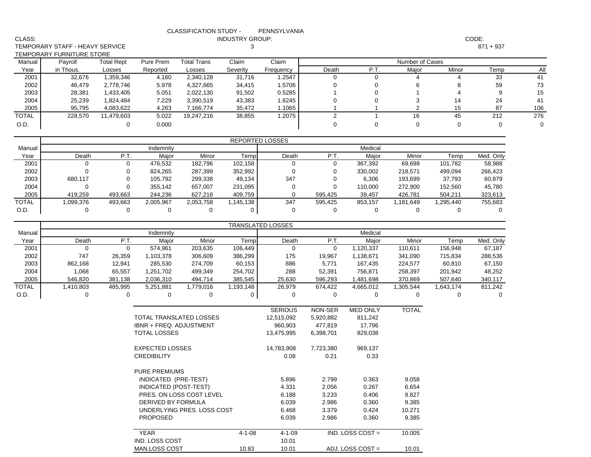| CODE:<br><b>INDUSTRY GROUP:</b><br>TEMPORARY STAFF - HEAVY SERVICE<br>3<br>$871 + 937$<br>TEMPORARY FURNITURE STORE<br><b>Total Trans</b><br>Claim<br>Claim<br>Number of Cases<br><b>Total Rept</b><br>Pure Prem<br>Payroll<br>Manual<br>Death<br>P.T.<br>Minor<br>Temp<br>All<br>in Thous.<br>Reported<br>Losses<br>Severity<br>Frequency<br>Major<br>Year<br>Losses<br>32,676<br>31,716<br>1.2547<br>41<br>2001<br>1,359,346<br>4.160<br>2,340,128<br>0<br>$\mathbf 0$<br>33<br>4<br>4<br>2002<br>5.978<br>1.5706<br>59<br>73<br>46,479<br>2,778,746<br>4,327,665<br>34,415<br>0<br>$\mathbf 0$<br>6<br>8<br>15<br>2003<br>0.5285<br>9<br>28,381<br>1,433,405<br>5.051<br>2,022,130<br>91,502<br>$\Omega$<br>$\overline{4}$<br>-1<br>2004<br>3,390,519<br>1.6245<br>3<br>41<br>25,239<br>1,824,484<br>7.229<br>43,383<br>0<br>24<br>$\Omega$<br>14<br>2005<br>95,795<br>1.1065<br>$\overline{2}$<br>15<br>87<br>106<br>4,083,622<br>4.263<br>7,166,774<br>35,472<br>$\overline{1}$<br><b>TOTAL</b><br>5.022<br>1.2075<br>$\overline{2}$<br>16<br>45<br>212<br>276<br>228,570<br>11,479,603<br>19,247,216<br>38,855<br>$\overline{1}$<br>$\mathbf 0$<br>$\mathbf 0$<br>$\mathbf 0$<br>$\mathbf 0$<br>O.D.<br>0<br>0.000<br>0<br>$\mathbf 0$<br><b>REPORTED LOSSES</b><br>Indemnity<br>Medical<br>Manual<br>P.T.<br>P.T.<br>Death<br>Major<br>Minor<br>Temp<br>Death<br>Major<br>Minor<br>Temp<br>Med. Only<br>Year<br>$\mathbf 0$<br>0<br>476,532<br>182,796<br>102,158<br>0<br>$\mathbf 0$<br>367,392<br>58,988<br>2001<br>69,698<br>101,782<br>2002<br>$\mathbf 0$<br>352,992<br>0<br>824,265<br>287,399<br>0<br>0<br>330,002<br>218,571<br>499,094<br>266,423<br>2003<br>680,117<br>0<br>105,792<br>299,338<br>49,134<br>347<br>0<br>6,306<br>193,699<br>37,793<br>60,879<br>2004<br>$\mathbf 0$<br>$\mathbf 0$<br>0<br>355,142<br>657,007<br>231,095<br>0<br>110,000<br>272,900<br>152,560<br>45,780<br>2005<br>419.259<br>493,663<br>244,236<br>627,218<br>409,759<br>0<br>39,457<br>426,781<br>504,211<br>323,613<br>595,425<br><b>TOTAL</b><br>1,099,376<br>493,663<br>2,053,758<br>347<br>595,425<br>755,683<br>2,005,967<br>1,145,138<br>853,157<br>1,181,649<br>1,295,440<br>0<br>O.D.<br>$\mathbf 0$<br>0<br>0<br>0<br>0<br>0<br>$\mathbf 0$<br>0<br>0<br>0<br><b>TRANSLATED LOSSES</b><br>Medical<br>Indemnity<br>Manual<br>P.T.<br>P.T.<br>Major<br>Death<br>Major<br>Minor<br>Temp<br>Minor<br>Temp<br>Med. Only<br>Year<br>Death<br>2001<br>$\mathbf 0$<br>$\mathbf 0$<br>574,961<br>203,635<br>106,449<br>0<br>$\mathbf 0$<br>156,948<br>67,187<br>1,120,337<br>110,611<br>2002<br>747<br>26,359<br>306,609<br>386,299<br>175<br>715,834<br>288,536<br>1,103,378<br>19,967<br>1,138,671<br>341,090<br>2003<br>12,941<br>285,530<br>274,709<br>60,153<br>886<br>67,150<br>862,168<br>5,771<br>167,435<br>224,577<br>60,810<br>2004<br>499,349<br>756,871<br>48,252<br>1,068<br>65,557<br>1,251,702<br>254,702<br>288<br>52,391<br>258,397<br>201,942<br>2005<br>546,820<br>381,138<br>2,036,310<br>494,714<br>385,545<br>25,630<br>596,293<br>1,481,698<br>370,869<br>507,640<br>340,117<br><b>TOTAL</b><br>485,995<br>1,779,016<br>26,979<br>674,422<br>4,665,012<br>1,305,544<br>811,242<br>1,410,803<br>5,251,881<br>1,193,148<br>1,643,174<br>O.D.<br>0<br>0<br>0<br>0<br>0<br>0<br>0<br>0<br>0<br>0<br>0<br><b>TOTAL</b><br><b>SERIOUS</b><br>NON-SER<br><b>MED ONLY</b><br>TOTAL TRANSLATED LOSSES<br>12,515,092<br>5,920,882<br>811,242<br>IBNR + FREQ. ADJUSTMENT<br>960,903<br>17,796<br>477,819<br><b>TOTAL LOSSES</b><br>13,475,995<br>829,038<br>6,398,701<br><b>EXPECTED LOSSES</b><br>14,783,908<br>7,723,380<br>969,137<br><b>CREDIBILITY</b><br>0.08<br>0.21<br>0.33<br><b>PURE PREMIUMS</b><br>INDICATED (PRE-TEST)<br>2.799<br>9.058<br>5.896<br>0.363<br>INDICATED (POST-TEST)<br>4.331<br>2.056<br>0.267<br>6.654<br>PRES. ON LOSS COST LEVEL<br>6.188<br>3.233<br>0.406<br>9.827<br>DERIVED BY FORMULA<br>6.039<br>2.986<br>0.360<br>9.385<br>UNDERLYING PRES. LOSS COST<br>6.468<br>3.379<br>0.424<br>10.271<br><b>PROPOSED</b><br>6.039<br>2.986<br>0.360<br>9.385<br><b>YEAR</b><br>IND. LOSS COST =<br>10.005<br>$4 - 1 - 08$<br>$4 - 1 - 09$ |        |  |                       | <b>CLASSIFICATION STUDY -</b> | PENNSYLVANIA |  |  |  |
|----------------------------------------------------------------------------------------------------------------------------------------------------------------------------------------------------------------------------------------------------------------------------------------------------------------------------------------------------------------------------------------------------------------------------------------------------------------------------------------------------------------------------------------------------------------------------------------------------------------------------------------------------------------------------------------------------------------------------------------------------------------------------------------------------------------------------------------------------------------------------------------------------------------------------------------------------------------------------------------------------------------------------------------------------------------------------------------------------------------------------------------------------------------------------------------------------------------------------------------------------------------------------------------------------------------------------------------------------------------------------------------------------------------------------------------------------------------------------------------------------------------------------------------------------------------------------------------------------------------------------------------------------------------------------------------------------------------------------------------------------------------------------------------------------------------------------------------------------------------------------------------------------------------------------------------------------------------------------------------------------------------------------------------------------------------------------------------------------------------------------------------------------------------------------------------------------------------------------------------------------------------------------------------------------------------------------------------------------------------------------------------------------------------------------------------------------------------------------------------------------------------------------------------------------------------------------------------------------------------------------------------------------------------------------------------------------------------------------------------------------------------------------------------------------------------------------------------------------------------------------------------------------------------------------------------------------------------------------------------------------------------------------------------------------------------------------------------------------------------------------------------------------------------------------------------------------------------------------------------------------------------------------------------------------------------------------------------------------------------------------------------------------------------------------------------------------------------------------------------------------------------------------------------------------------------------------------------------------------------------------------------------------------------------------------------------------------------------------------------------------------------------------------------------------------------------------------------------------------------------------------------------------------------------------------------------------------------------------------------------------------------------------------------------------------------------------------------------------------------------------------------------------------------------------------------|--------|--|-----------------------|-------------------------------|--------------|--|--|--|
|                                                                                                                                                                                                                                                                                                                                                                                                                                                                                                                                                                                                                                                                                                                                                                                                                                                                                                                                                                                                                                                                                                                                                                                                                                                                                                                                                                                                                                                                                                                                                                                                                                                                                                                                                                                                                                                                                                                                                                                                                                                                                                                                                                                                                                                                                                                                                                                                                                                                                                                                                                                                                                                                                                                                                                                                                                                                                                                                                                                                                                                                                                                                                                                                                                                                                                                                                                                                                                                                                                                                                                                                                                                                                                                                                                                                                                                                                                                                                                                                                                                                                                                                                                                        | CLASS: |  |                       |                               |              |  |  |  |
|                                                                                                                                                                                                                                                                                                                                                                                                                                                                                                                                                                                                                                                                                                                                                                                                                                                                                                                                                                                                                                                                                                                                                                                                                                                                                                                                                                                                                                                                                                                                                                                                                                                                                                                                                                                                                                                                                                                                                                                                                                                                                                                                                                                                                                                                                                                                                                                                                                                                                                                                                                                                                                                                                                                                                                                                                                                                                                                                                                                                                                                                                                                                                                                                                                                                                                                                                                                                                                                                                                                                                                                                                                                                                                                                                                                                                                                                                                                                                                                                                                                                                                                                                                                        |        |  |                       |                               |              |  |  |  |
|                                                                                                                                                                                                                                                                                                                                                                                                                                                                                                                                                                                                                                                                                                                                                                                                                                                                                                                                                                                                                                                                                                                                                                                                                                                                                                                                                                                                                                                                                                                                                                                                                                                                                                                                                                                                                                                                                                                                                                                                                                                                                                                                                                                                                                                                                                                                                                                                                                                                                                                                                                                                                                                                                                                                                                                                                                                                                                                                                                                                                                                                                                                                                                                                                                                                                                                                                                                                                                                                                                                                                                                                                                                                                                                                                                                                                                                                                                                                                                                                                                                                                                                                                                                        |        |  |                       |                               |              |  |  |  |
|                                                                                                                                                                                                                                                                                                                                                                                                                                                                                                                                                                                                                                                                                                                                                                                                                                                                                                                                                                                                                                                                                                                                                                                                                                                                                                                                                                                                                                                                                                                                                                                                                                                                                                                                                                                                                                                                                                                                                                                                                                                                                                                                                                                                                                                                                                                                                                                                                                                                                                                                                                                                                                                                                                                                                                                                                                                                                                                                                                                                                                                                                                                                                                                                                                                                                                                                                                                                                                                                                                                                                                                                                                                                                                                                                                                                                                                                                                                                                                                                                                                                                                                                                                                        |        |  |                       |                               |              |  |  |  |
|                                                                                                                                                                                                                                                                                                                                                                                                                                                                                                                                                                                                                                                                                                                                                                                                                                                                                                                                                                                                                                                                                                                                                                                                                                                                                                                                                                                                                                                                                                                                                                                                                                                                                                                                                                                                                                                                                                                                                                                                                                                                                                                                                                                                                                                                                                                                                                                                                                                                                                                                                                                                                                                                                                                                                                                                                                                                                                                                                                                                                                                                                                                                                                                                                                                                                                                                                                                                                                                                                                                                                                                                                                                                                                                                                                                                                                                                                                                                                                                                                                                                                                                                                                                        |        |  |                       |                               |              |  |  |  |
|                                                                                                                                                                                                                                                                                                                                                                                                                                                                                                                                                                                                                                                                                                                                                                                                                                                                                                                                                                                                                                                                                                                                                                                                                                                                                                                                                                                                                                                                                                                                                                                                                                                                                                                                                                                                                                                                                                                                                                                                                                                                                                                                                                                                                                                                                                                                                                                                                                                                                                                                                                                                                                                                                                                                                                                                                                                                                                                                                                                                                                                                                                                                                                                                                                                                                                                                                                                                                                                                                                                                                                                                                                                                                                                                                                                                                                                                                                                                                                                                                                                                                                                                                                                        |        |  |                       |                               |              |  |  |  |
|                                                                                                                                                                                                                                                                                                                                                                                                                                                                                                                                                                                                                                                                                                                                                                                                                                                                                                                                                                                                                                                                                                                                                                                                                                                                                                                                                                                                                                                                                                                                                                                                                                                                                                                                                                                                                                                                                                                                                                                                                                                                                                                                                                                                                                                                                                                                                                                                                                                                                                                                                                                                                                                                                                                                                                                                                                                                                                                                                                                                                                                                                                                                                                                                                                                                                                                                                                                                                                                                                                                                                                                                                                                                                                                                                                                                                                                                                                                                                                                                                                                                                                                                                                                        |        |  |                       |                               |              |  |  |  |
|                                                                                                                                                                                                                                                                                                                                                                                                                                                                                                                                                                                                                                                                                                                                                                                                                                                                                                                                                                                                                                                                                                                                                                                                                                                                                                                                                                                                                                                                                                                                                                                                                                                                                                                                                                                                                                                                                                                                                                                                                                                                                                                                                                                                                                                                                                                                                                                                                                                                                                                                                                                                                                                                                                                                                                                                                                                                                                                                                                                                                                                                                                                                                                                                                                                                                                                                                                                                                                                                                                                                                                                                                                                                                                                                                                                                                                                                                                                                                                                                                                                                                                                                                                                        |        |  |                       |                               |              |  |  |  |
|                                                                                                                                                                                                                                                                                                                                                                                                                                                                                                                                                                                                                                                                                                                                                                                                                                                                                                                                                                                                                                                                                                                                                                                                                                                                                                                                                                                                                                                                                                                                                                                                                                                                                                                                                                                                                                                                                                                                                                                                                                                                                                                                                                                                                                                                                                                                                                                                                                                                                                                                                                                                                                                                                                                                                                                                                                                                                                                                                                                                                                                                                                                                                                                                                                                                                                                                                                                                                                                                                                                                                                                                                                                                                                                                                                                                                                                                                                                                                                                                                                                                                                                                                                                        |        |  |                       |                               |              |  |  |  |
|                                                                                                                                                                                                                                                                                                                                                                                                                                                                                                                                                                                                                                                                                                                                                                                                                                                                                                                                                                                                                                                                                                                                                                                                                                                                                                                                                                                                                                                                                                                                                                                                                                                                                                                                                                                                                                                                                                                                                                                                                                                                                                                                                                                                                                                                                                                                                                                                                                                                                                                                                                                                                                                                                                                                                                                                                                                                                                                                                                                                                                                                                                                                                                                                                                                                                                                                                                                                                                                                                                                                                                                                                                                                                                                                                                                                                                                                                                                                                                                                                                                                                                                                                                                        |        |  |                       |                               |              |  |  |  |
|                                                                                                                                                                                                                                                                                                                                                                                                                                                                                                                                                                                                                                                                                                                                                                                                                                                                                                                                                                                                                                                                                                                                                                                                                                                                                                                                                                                                                                                                                                                                                                                                                                                                                                                                                                                                                                                                                                                                                                                                                                                                                                                                                                                                                                                                                                                                                                                                                                                                                                                                                                                                                                                                                                                                                                                                                                                                                                                                                                                                                                                                                                                                                                                                                                                                                                                                                                                                                                                                                                                                                                                                                                                                                                                                                                                                                                                                                                                                                                                                                                                                                                                                                                                        |        |  |                       |                               |              |  |  |  |
|                                                                                                                                                                                                                                                                                                                                                                                                                                                                                                                                                                                                                                                                                                                                                                                                                                                                                                                                                                                                                                                                                                                                                                                                                                                                                                                                                                                                                                                                                                                                                                                                                                                                                                                                                                                                                                                                                                                                                                                                                                                                                                                                                                                                                                                                                                                                                                                                                                                                                                                                                                                                                                                                                                                                                                                                                                                                                                                                                                                                                                                                                                                                                                                                                                                                                                                                                                                                                                                                                                                                                                                                                                                                                                                                                                                                                                                                                                                                                                                                                                                                                                                                                                                        |        |  |                       |                               |              |  |  |  |
|                                                                                                                                                                                                                                                                                                                                                                                                                                                                                                                                                                                                                                                                                                                                                                                                                                                                                                                                                                                                                                                                                                                                                                                                                                                                                                                                                                                                                                                                                                                                                                                                                                                                                                                                                                                                                                                                                                                                                                                                                                                                                                                                                                                                                                                                                                                                                                                                                                                                                                                                                                                                                                                                                                                                                                                                                                                                                                                                                                                                                                                                                                                                                                                                                                                                                                                                                                                                                                                                                                                                                                                                                                                                                                                                                                                                                                                                                                                                                                                                                                                                                                                                                                                        |        |  |                       |                               |              |  |  |  |
|                                                                                                                                                                                                                                                                                                                                                                                                                                                                                                                                                                                                                                                                                                                                                                                                                                                                                                                                                                                                                                                                                                                                                                                                                                                                                                                                                                                                                                                                                                                                                                                                                                                                                                                                                                                                                                                                                                                                                                                                                                                                                                                                                                                                                                                                                                                                                                                                                                                                                                                                                                                                                                                                                                                                                                                                                                                                                                                                                                                                                                                                                                                                                                                                                                                                                                                                                                                                                                                                                                                                                                                                                                                                                                                                                                                                                                                                                                                                                                                                                                                                                                                                                                                        |        |  |                       |                               |              |  |  |  |
|                                                                                                                                                                                                                                                                                                                                                                                                                                                                                                                                                                                                                                                                                                                                                                                                                                                                                                                                                                                                                                                                                                                                                                                                                                                                                                                                                                                                                                                                                                                                                                                                                                                                                                                                                                                                                                                                                                                                                                                                                                                                                                                                                                                                                                                                                                                                                                                                                                                                                                                                                                                                                                                                                                                                                                                                                                                                                                                                                                                                                                                                                                                                                                                                                                                                                                                                                                                                                                                                                                                                                                                                                                                                                                                                                                                                                                                                                                                                                                                                                                                                                                                                                                                        |        |  |                       |                               |              |  |  |  |
|                                                                                                                                                                                                                                                                                                                                                                                                                                                                                                                                                                                                                                                                                                                                                                                                                                                                                                                                                                                                                                                                                                                                                                                                                                                                                                                                                                                                                                                                                                                                                                                                                                                                                                                                                                                                                                                                                                                                                                                                                                                                                                                                                                                                                                                                                                                                                                                                                                                                                                                                                                                                                                                                                                                                                                                                                                                                                                                                                                                                                                                                                                                                                                                                                                                                                                                                                                                                                                                                                                                                                                                                                                                                                                                                                                                                                                                                                                                                                                                                                                                                                                                                                                                        |        |  |                       |                               |              |  |  |  |
|                                                                                                                                                                                                                                                                                                                                                                                                                                                                                                                                                                                                                                                                                                                                                                                                                                                                                                                                                                                                                                                                                                                                                                                                                                                                                                                                                                                                                                                                                                                                                                                                                                                                                                                                                                                                                                                                                                                                                                                                                                                                                                                                                                                                                                                                                                                                                                                                                                                                                                                                                                                                                                                                                                                                                                                                                                                                                                                                                                                                                                                                                                                                                                                                                                                                                                                                                                                                                                                                                                                                                                                                                                                                                                                                                                                                                                                                                                                                                                                                                                                                                                                                                                                        |        |  |                       |                               |              |  |  |  |
|                                                                                                                                                                                                                                                                                                                                                                                                                                                                                                                                                                                                                                                                                                                                                                                                                                                                                                                                                                                                                                                                                                                                                                                                                                                                                                                                                                                                                                                                                                                                                                                                                                                                                                                                                                                                                                                                                                                                                                                                                                                                                                                                                                                                                                                                                                                                                                                                                                                                                                                                                                                                                                                                                                                                                                                                                                                                                                                                                                                                                                                                                                                                                                                                                                                                                                                                                                                                                                                                                                                                                                                                                                                                                                                                                                                                                                                                                                                                                                                                                                                                                                                                                                                        |        |  |                       |                               |              |  |  |  |
|                                                                                                                                                                                                                                                                                                                                                                                                                                                                                                                                                                                                                                                                                                                                                                                                                                                                                                                                                                                                                                                                                                                                                                                                                                                                                                                                                                                                                                                                                                                                                                                                                                                                                                                                                                                                                                                                                                                                                                                                                                                                                                                                                                                                                                                                                                                                                                                                                                                                                                                                                                                                                                                                                                                                                                                                                                                                                                                                                                                                                                                                                                                                                                                                                                                                                                                                                                                                                                                                                                                                                                                                                                                                                                                                                                                                                                                                                                                                                                                                                                                                                                                                                                                        |        |  |                       |                               |              |  |  |  |
|                                                                                                                                                                                                                                                                                                                                                                                                                                                                                                                                                                                                                                                                                                                                                                                                                                                                                                                                                                                                                                                                                                                                                                                                                                                                                                                                                                                                                                                                                                                                                                                                                                                                                                                                                                                                                                                                                                                                                                                                                                                                                                                                                                                                                                                                                                                                                                                                                                                                                                                                                                                                                                                                                                                                                                                                                                                                                                                                                                                                                                                                                                                                                                                                                                                                                                                                                                                                                                                                                                                                                                                                                                                                                                                                                                                                                                                                                                                                                                                                                                                                                                                                                                                        |        |  |                       |                               |              |  |  |  |
|                                                                                                                                                                                                                                                                                                                                                                                                                                                                                                                                                                                                                                                                                                                                                                                                                                                                                                                                                                                                                                                                                                                                                                                                                                                                                                                                                                                                                                                                                                                                                                                                                                                                                                                                                                                                                                                                                                                                                                                                                                                                                                                                                                                                                                                                                                                                                                                                                                                                                                                                                                                                                                                                                                                                                                                                                                                                                                                                                                                                                                                                                                                                                                                                                                                                                                                                                                                                                                                                                                                                                                                                                                                                                                                                                                                                                                                                                                                                                                                                                                                                                                                                                                                        |        |  |                       |                               |              |  |  |  |
|                                                                                                                                                                                                                                                                                                                                                                                                                                                                                                                                                                                                                                                                                                                                                                                                                                                                                                                                                                                                                                                                                                                                                                                                                                                                                                                                                                                                                                                                                                                                                                                                                                                                                                                                                                                                                                                                                                                                                                                                                                                                                                                                                                                                                                                                                                                                                                                                                                                                                                                                                                                                                                                                                                                                                                                                                                                                                                                                                                                                                                                                                                                                                                                                                                                                                                                                                                                                                                                                                                                                                                                                                                                                                                                                                                                                                                                                                                                                                                                                                                                                                                                                                                                        |        |  |                       |                               |              |  |  |  |
|                                                                                                                                                                                                                                                                                                                                                                                                                                                                                                                                                                                                                                                                                                                                                                                                                                                                                                                                                                                                                                                                                                                                                                                                                                                                                                                                                                                                                                                                                                                                                                                                                                                                                                                                                                                                                                                                                                                                                                                                                                                                                                                                                                                                                                                                                                                                                                                                                                                                                                                                                                                                                                                                                                                                                                                                                                                                                                                                                                                                                                                                                                                                                                                                                                                                                                                                                                                                                                                                                                                                                                                                                                                                                                                                                                                                                                                                                                                                                                                                                                                                                                                                                                                        |        |  |                       |                               |              |  |  |  |
|                                                                                                                                                                                                                                                                                                                                                                                                                                                                                                                                                                                                                                                                                                                                                                                                                                                                                                                                                                                                                                                                                                                                                                                                                                                                                                                                                                                                                                                                                                                                                                                                                                                                                                                                                                                                                                                                                                                                                                                                                                                                                                                                                                                                                                                                                                                                                                                                                                                                                                                                                                                                                                                                                                                                                                                                                                                                                                                                                                                                                                                                                                                                                                                                                                                                                                                                                                                                                                                                                                                                                                                                                                                                                                                                                                                                                                                                                                                                                                                                                                                                                                                                                                                        |        |  |                       |                               |              |  |  |  |
|                                                                                                                                                                                                                                                                                                                                                                                                                                                                                                                                                                                                                                                                                                                                                                                                                                                                                                                                                                                                                                                                                                                                                                                                                                                                                                                                                                                                                                                                                                                                                                                                                                                                                                                                                                                                                                                                                                                                                                                                                                                                                                                                                                                                                                                                                                                                                                                                                                                                                                                                                                                                                                                                                                                                                                                                                                                                                                                                                                                                                                                                                                                                                                                                                                                                                                                                                                                                                                                                                                                                                                                                                                                                                                                                                                                                                                                                                                                                                                                                                                                                                                                                                                                        |        |  |                       |                               |              |  |  |  |
|                                                                                                                                                                                                                                                                                                                                                                                                                                                                                                                                                                                                                                                                                                                                                                                                                                                                                                                                                                                                                                                                                                                                                                                                                                                                                                                                                                                                                                                                                                                                                                                                                                                                                                                                                                                                                                                                                                                                                                                                                                                                                                                                                                                                                                                                                                                                                                                                                                                                                                                                                                                                                                                                                                                                                                                                                                                                                                                                                                                                                                                                                                                                                                                                                                                                                                                                                                                                                                                                                                                                                                                                                                                                                                                                                                                                                                                                                                                                                                                                                                                                                                                                                                                        |        |  |                       |                               |              |  |  |  |
|                                                                                                                                                                                                                                                                                                                                                                                                                                                                                                                                                                                                                                                                                                                                                                                                                                                                                                                                                                                                                                                                                                                                                                                                                                                                                                                                                                                                                                                                                                                                                                                                                                                                                                                                                                                                                                                                                                                                                                                                                                                                                                                                                                                                                                                                                                                                                                                                                                                                                                                                                                                                                                                                                                                                                                                                                                                                                                                                                                                                                                                                                                                                                                                                                                                                                                                                                                                                                                                                                                                                                                                                                                                                                                                                                                                                                                                                                                                                                                                                                                                                                                                                                                                        |        |  |                       |                               |              |  |  |  |
|                                                                                                                                                                                                                                                                                                                                                                                                                                                                                                                                                                                                                                                                                                                                                                                                                                                                                                                                                                                                                                                                                                                                                                                                                                                                                                                                                                                                                                                                                                                                                                                                                                                                                                                                                                                                                                                                                                                                                                                                                                                                                                                                                                                                                                                                                                                                                                                                                                                                                                                                                                                                                                                                                                                                                                                                                                                                                                                                                                                                                                                                                                                                                                                                                                                                                                                                                                                                                                                                                                                                                                                                                                                                                                                                                                                                                                                                                                                                                                                                                                                                                                                                                                                        |        |  |                       |                               |              |  |  |  |
|                                                                                                                                                                                                                                                                                                                                                                                                                                                                                                                                                                                                                                                                                                                                                                                                                                                                                                                                                                                                                                                                                                                                                                                                                                                                                                                                                                                                                                                                                                                                                                                                                                                                                                                                                                                                                                                                                                                                                                                                                                                                                                                                                                                                                                                                                                                                                                                                                                                                                                                                                                                                                                                                                                                                                                                                                                                                                                                                                                                                                                                                                                                                                                                                                                                                                                                                                                                                                                                                                                                                                                                                                                                                                                                                                                                                                                                                                                                                                                                                                                                                                                                                                                                        |        |  |                       |                               |              |  |  |  |
|                                                                                                                                                                                                                                                                                                                                                                                                                                                                                                                                                                                                                                                                                                                                                                                                                                                                                                                                                                                                                                                                                                                                                                                                                                                                                                                                                                                                                                                                                                                                                                                                                                                                                                                                                                                                                                                                                                                                                                                                                                                                                                                                                                                                                                                                                                                                                                                                                                                                                                                                                                                                                                                                                                                                                                                                                                                                                                                                                                                                                                                                                                                                                                                                                                                                                                                                                                                                                                                                                                                                                                                                                                                                                                                                                                                                                                                                                                                                                                                                                                                                                                                                                                                        |        |  |                       |                               |              |  |  |  |
|                                                                                                                                                                                                                                                                                                                                                                                                                                                                                                                                                                                                                                                                                                                                                                                                                                                                                                                                                                                                                                                                                                                                                                                                                                                                                                                                                                                                                                                                                                                                                                                                                                                                                                                                                                                                                                                                                                                                                                                                                                                                                                                                                                                                                                                                                                                                                                                                                                                                                                                                                                                                                                                                                                                                                                                                                                                                                                                                                                                                                                                                                                                                                                                                                                                                                                                                                                                                                                                                                                                                                                                                                                                                                                                                                                                                                                                                                                                                                                                                                                                                                                                                                                                        |        |  |                       |                               |              |  |  |  |
|                                                                                                                                                                                                                                                                                                                                                                                                                                                                                                                                                                                                                                                                                                                                                                                                                                                                                                                                                                                                                                                                                                                                                                                                                                                                                                                                                                                                                                                                                                                                                                                                                                                                                                                                                                                                                                                                                                                                                                                                                                                                                                                                                                                                                                                                                                                                                                                                                                                                                                                                                                                                                                                                                                                                                                                                                                                                                                                                                                                                                                                                                                                                                                                                                                                                                                                                                                                                                                                                                                                                                                                                                                                                                                                                                                                                                                                                                                                                                                                                                                                                                                                                                                                        |        |  |                       |                               |              |  |  |  |
|                                                                                                                                                                                                                                                                                                                                                                                                                                                                                                                                                                                                                                                                                                                                                                                                                                                                                                                                                                                                                                                                                                                                                                                                                                                                                                                                                                                                                                                                                                                                                                                                                                                                                                                                                                                                                                                                                                                                                                                                                                                                                                                                                                                                                                                                                                                                                                                                                                                                                                                                                                                                                                                                                                                                                                                                                                                                                                                                                                                                                                                                                                                                                                                                                                                                                                                                                                                                                                                                                                                                                                                                                                                                                                                                                                                                                                                                                                                                                                                                                                                                                                                                                                                        |        |  |                       |                               |              |  |  |  |
|                                                                                                                                                                                                                                                                                                                                                                                                                                                                                                                                                                                                                                                                                                                                                                                                                                                                                                                                                                                                                                                                                                                                                                                                                                                                                                                                                                                                                                                                                                                                                                                                                                                                                                                                                                                                                                                                                                                                                                                                                                                                                                                                                                                                                                                                                                                                                                                                                                                                                                                                                                                                                                                                                                                                                                                                                                                                                                                                                                                                                                                                                                                                                                                                                                                                                                                                                                                                                                                                                                                                                                                                                                                                                                                                                                                                                                                                                                                                                                                                                                                                                                                                                                                        |        |  |                       |                               |              |  |  |  |
|                                                                                                                                                                                                                                                                                                                                                                                                                                                                                                                                                                                                                                                                                                                                                                                                                                                                                                                                                                                                                                                                                                                                                                                                                                                                                                                                                                                                                                                                                                                                                                                                                                                                                                                                                                                                                                                                                                                                                                                                                                                                                                                                                                                                                                                                                                                                                                                                                                                                                                                                                                                                                                                                                                                                                                                                                                                                                                                                                                                                                                                                                                                                                                                                                                                                                                                                                                                                                                                                                                                                                                                                                                                                                                                                                                                                                                                                                                                                                                                                                                                                                                                                                                                        |        |  |                       |                               |              |  |  |  |
|                                                                                                                                                                                                                                                                                                                                                                                                                                                                                                                                                                                                                                                                                                                                                                                                                                                                                                                                                                                                                                                                                                                                                                                                                                                                                                                                                                                                                                                                                                                                                                                                                                                                                                                                                                                                                                                                                                                                                                                                                                                                                                                                                                                                                                                                                                                                                                                                                                                                                                                                                                                                                                                                                                                                                                                                                                                                                                                                                                                                                                                                                                                                                                                                                                                                                                                                                                                                                                                                                                                                                                                                                                                                                                                                                                                                                                                                                                                                                                                                                                                                                                                                                                                        |        |  |                       |                               |              |  |  |  |
|                                                                                                                                                                                                                                                                                                                                                                                                                                                                                                                                                                                                                                                                                                                                                                                                                                                                                                                                                                                                                                                                                                                                                                                                                                                                                                                                                                                                                                                                                                                                                                                                                                                                                                                                                                                                                                                                                                                                                                                                                                                                                                                                                                                                                                                                                                                                                                                                                                                                                                                                                                                                                                                                                                                                                                                                                                                                                                                                                                                                                                                                                                                                                                                                                                                                                                                                                                                                                                                                                                                                                                                                                                                                                                                                                                                                                                                                                                                                                                                                                                                                                                                                                                                        |        |  |                       |                               |              |  |  |  |
|                                                                                                                                                                                                                                                                                                                                                                                                                                                                                                                                                                                                                                                                                                                                                                                                                                                                                                                                                                                                                                                                                                                                                                                                                                                                                                                                                                                                                                                                                                                                                                                                                                                                                                                                                                                                                                                                                                                                                                                                                                                                                                                                                                                                                                                                                                                                                                                                                                                                                                                                                                                                                                                                                                                                                                                                                                                                                                                                                                                                                                                                                                                                                                                                                                                                                                                                                                                                                                                                                                                                                                                                                                                                                                                                                                                                                                                                                                                                                                                                                                                                                                                                                                                        |        |  |                       |                               |              |  |  |  |
|                                                                                                                                                                                                                                                                                                                                                                                                                                                                                                                                                                                                                                                                                                                                                                                                                                                                                                                                                                                                                                                                                                                                                                                                                                                                                                                                                                                                                                                                                                                                                                                                                                                                                                                                                                                                                                                                                                                                                                                                                                                                                                                                                                                                                                                                                                                                                                                                                                                                                                                                                                                                                                                                                                                                                                                                                                                                                                                                                                                                                                                                                                                                                                                                                                                                                                                                                                                                                                                                                                                                                                                                                                                                                                                                                                                                                                                                                                                                                                                                                                                                                                                                                                                        |        |  |                       |                               |              |  |  |  |
|                                                                                                                                                                                                                                                                                                                                                                                                                                                                                                                                                                                                                                                                                                                                                                                                                                                                                                                                                                                                                                                                                                                                                                                                                                                                                                                                                                                                                                                                                                                                                                                                                                                                                                                                                                                                                                                                                                                                                                                                                                                                                                                                                                                                                                                                                                                                                                                                                                                                                                                                                                                                                                                                                                                                                                                                                                                                                                                                                                                                                                                                                                                                                                                                                                                                                                                                                                                                                                                                                                                                                                                                                                                                                                                                                                                                                                                                                                                                                                                                                                                                                                                                                                                        |        |  |                       |                               |              |  |  |  |
|                                                                                                                                                                                                                                                                                                                                                                                                                                                                                                                                                                                                                                                                                                                                                                                                                                                                                                                                                                                                                                                                                                                                                                                                                                                                                                                                                                                                                                                                                                                                                                                                                                                                                                                                                                                                                                                                                                                                                                                                                                                                                                                                                                                                                                                                                                                                                                                                                                                                                                                                                                                                                                                                                                                                                                                                                                                                                                                                                                                                                                                                                                                                                                                                                                                                                                                                                                                                                                                                                                                                                                                                                                                                                                                                                                                                                                                                                                                                                                                                                                                                                                                                                                                        |        |  |                       |                               |              |  |  |  |
|                                                                                                                                                                                                                                                                                                                                                                                                                                                                                                                                                                                                                                                                                                                                                                                                                                                                                                                                                                                                                                                                                                                                                                                                                                                                                                                                                                                                                                                                                                                                                                                                                                                                                                                                                                                                                                                                                                                                                                                                                                                                                                                                                                                                                                                                                                                                                                                                                                                                                                                                                                                                                                                                                                                                                                                                                                                                                                                                                                                                                                                                                                                                                                                                                                                                                                                                                                                                                                                                                                                                                                                                                                                                                                                                                                                                                                                                                                                                                                                                                                                                                                                                                                                        |        |  |                       |                               |              |  |  |  |
|                                                                                                                                                                                                                                                                                                                                                                                                                                                                                                                                                                                                                                                                                                                                                                                                                                                                                                                                                                                                                                                                                                                                                                                                                                                                                                                                                                                                                                                                                                                                                                                                                                                                                                                                                                                                                                                                                                                                                                                                                                                                                                                                                                                                                                                                                                                                                                                                                                                                                                                                                                                                                                                                                                                                                                                                                                                                                                                                                                                                                                                                                                                                                                                                                                                                                                                                                                                                                                                                                                                                                                                                                                                                                                                                                                                                                                                                                                                                                                                                                                                                                                                                                                                        |        |  |                       |                               |              |  |  |  |
|                                                                                                                                                                                                                                                                                                                                                                                                                                                                                                                                                                                                                                                                                                                                                                                                                                                                                                                                                                                                                                                                                                                                                                                                                                                                                                                                                                                                                                                                                                                                                                                                                                                                                                                                                                                                                                                                                                                                                                                                                                                                                                                                                                                                                                                                                                                                                                                                                                                                                                                                                                                                                                                                                                                                                                                                                                                                                                                                                                                                                                                                                                                                                                                                                                                                                                                                                                                                                                                                                                                                                                                                                                                                                                                                                                                                                                                                                                                                                                                                                                                                                                                                                                                        |        |  |                       |                               |              |  |  |  |
|                                                                                                                                                                                                                                                                                                                                                                                                                                                                                                                                                                                                                                                                                                                                                                                                                                                                                                                                                                                                                                                                                                                                                                                                                                                                                                                                                                                                                                                                                                                                                                                                                                                                                                                                                                                                                                                                                                                                                                                                                                                                                                                                                                                                                                                                                                                                                                                                                                                                                                                                                                                                                                                                                                                                                                                                                                                                                                                                                                                                                                                                                                                                                                                                                                                                                                                                                                                                                                                                                                                                                                                                                                                                                                                                                                                                                                                                                                                                                                                                                                                                                                                                                                                        |        |  |                       |                               |              |  |  |  |
|                                                                                                                                                                                                                                                                                                                                                                                                                                                                                                                                                                                                                                                                                                                                                                                                                                                                                                                                                                                                                                                                                                                                                                                                                                                                                                                                                                                                                                                                                                                                                                                                                                                                                                                                                                                                                                                                                                                                                                                                                                                                                                                                                                                                                                                                                                                                                                                                                                                                                                                                                                                                                                                                                                                                                                                                                                                                                                                                                                                                                                                                                                                                                                                                                                                                                                                                                                                                                                                                                                                                                                                                                                                                                                                                                                                                                                                                                                                                                                                                                                                                                                                                                                                        |        |  |                       |                               |              |  |  |  |
|                                                                                                                                                                                                                                                                                                                                                                                                                                                                                                                                                                                                                                                                                                                                                                                                                                                                                                                                                                                                                                                                                                                                                                                                                                                                                                                                                                                                                                                                                                                                                                                                                                                                                                                                                                                                                                                                                                                                                                                                                                                                                                                                                                                                                                                                                                                                                                                                                                                                                                                                                                                                                                                                                                                                                                                                                                                                                                                                                                                                                                                                                                                                                                                                                                                                                                                                                                                                                                                                                                                                                                                                                                                                                                                                                                                                                                                                                                                                                                                                                                                                                                                                                                                        |        |  |                       |                               |              |  |  |  |
|                                                                                                                                                                                                                                                                                                                                                                                                                                                                                                                                                                                                                                                                                                                                                                                                                                                                                                                                                                                                                                                                                                                                                                                                                                                                                                                                                                                                                                                                                                                                                                                                                                                                                                                                                                                                                                                                                                                                                                                                                                                                                                                                                                                                                                                                                                                                                                                                                                                                                                                                                                                                                                                                                                                                                                                                                                                                                                                                                                                                                                                                                                                                                                                                                                                                                                                                                                                                                                                                                                                                                                                                                                                                                                                                                                                                                                                                                                                                                                                                                                                                                                                                                                                        |        |  |                       |                               |              |  |  |  |
|                                                                                                                                                                                                                                                                                                                                                                                                                                                                                                                                                                                                                                                                                                                                                                                                                                                                                                                                                                                                                                                                                                                                                                                                                                                                                                                                                                                                                                                                                                                                                                                                                                                                                                                                                                                                                                                                                                                                                                                                                                                                                                                                                                                                                                                                                                                                                                                                                                                                                                                                                                                                                                                                                                                                                                                                                                                                                                                                                                                                                                                                                                                                                                                                                                                                                                                                                                                                                                                                                                                                                                                                                                                                                                                                                                                                                                                                                                                                                                                                                                                                                                                                                                                        |        |  |                       |                               |              |  |  |  |
|                                                                                                                                                                                                                                                                                                                                                                                                                                                                                                                                                                                                                                                                                                                                                                                                                                                                                                                                                                                                                                                                                                                                                                                                                                                                                                                                                                                                                                                                                                                                                                                                                                                                                                                                                                                                                                                                                                                                                                                                                                                                                                                                                                                                                                                                                                                                                                                                                                                                                                                                                                                                                                                                                                                                                                                                                                                                                                                                                                                                                                                                                                                                                                                                                                                                                                                                                                                                                                                                                                                                                                                                                                                                                                                                                                                                                                                                                                                                                                                                                                                                                                                                                                                        |        |  |                       |                               |              |  |  |  |
|                                                                                                                                                                                                                                                                                                                                                                                                                                                                                                                                                                                                                                                                                                                                                                                                                                                                                                                                                                                                                                                                                                                                                                                                                                                                                                                                                                                                                                                                                                                                                                                                                                                                                                                                                                                                                                                                                                                                                                                                                                                                                                                                                                                                                                                                                                                                                                                                                                                                                                                                                                                                                                                                                                                                                                                                                                                                                                                                                                                                                                                                                                                                                                                                                                                                                                                                                                                                                                                                                                                                                                                                                                                                                                                                                                                                                                                                                                                                                                                                                                                                                                                                                                                        |        |  | <b>IND. LOSS COST</b> |                               | 10.01        |  |  |  |
| MAN.LOSS COST<br>10.83<br>10.01<br>ADJ. LOSS COST $=$<br>10.01                                                                                                                                                                                                                                                                                                                                                                                                                                                                                                                                                                                                                                                                                                                                                                                                                                                                                                                                                                                                                                                                                                                                                                                                                                                                                                                                                                                                                                                                                                                                                                                                                                                                                                                                                                                                                                                                                                                                                                                                                                                                                                                                                                                                                                                                                                                                                                                                                                                                                                                                                                                                                                                                                                                                                                                                                                                                                                                                                                                                                                                                                                                                                                                                                                                                                                                                                                                                                                                                                                                                                                                                                                                                                                                                                                                                                                                                                                                                                                                                                                                                                                                         |        |  |                       |                               |              |  |  |  |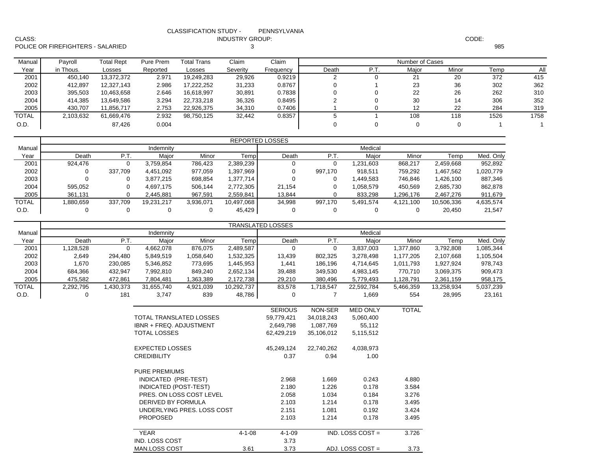|        | <b>CLASSIFICATION STUDY -</b> | PENNSYLVANIA |
|--------|-------------------------------|--------------|
| CLASS: | <b>INDUSTRY GROUP:</b>        |              |

POLICE OR FIREFIGHTERS - SALARIED 3

: CODE: the contract of the contract of the contract of the contract of the contract of the contract of the contract of the contract of the contract of the contract of the contract of the contract of the contract of the co

| Manual | Payroll   | <b>Total Rept</b> | Pure Prem | Total Trans | Claim    | Claim     |       |     | Number of Cases |       |      |      |
|--------|-----------|-------------------|-----------|-------------|----------|-----------|-------|-----|-----------------|-------|------|------|
| Year   | in Thous. | Losses            | Reported  | Losses      | Severity | Frequency | Death | P.T | Maior           | Minor | Temp | Al   |
| 2001   | 450.140   | 13,372,372        | 2.971     | 19,249,283  | 29,926   | 0.9219    |       |     | 21              | 20    | 372  | 415  |
| 2002   | 412.897   | 12.327.143        | 2.986     | 17.222.252  | 31,233   | 0.8767    |       |     | 23              | 36    | 302  | 362  |
| 2003   | 395.503   | 10,463,658        | 2.646     | 16.618.997  | 30,891   | 0.7838    |       |     | 22              | 26    | 262  | 310  |
| 2004   | 414.385   | 13,649,586        | 3.294     | 22,733,218  | 36,326   | 0.8495    |       |     | 30              | 14    | 306  | 352  |
| 2005   | 430.707   | 11.856.717        | 2.753     | 22,926,375  | 34,310   | 0.7406    |       |     | 12              | 22    | 284  | 319  |
| TOTAL  | 2,103,632 | 61,669,476        | 2.932     | 98,750,125  | 32,442   | 0.8357    |       |     | 108             | 118   | 1526 | 1758 |
| O.D.   |           | 87.426            | 0.004     |             |          |           |       |     |                 |       |      |      |

985

|              | <b>REPORTED LOSSES</b> |             |            |           |            |         |         |           |           |            |           |  |  |
|--------------|------------------------|-------------|------------|-----------|------------|---------|---------|-----------|-----------|------------|-----------|--|--|
| Manual       |                        |             | Indemnity  |           |            | Medical |         |           |           |            |           |  |  |
| Year         | Death                  | <b>P.L.</b> | Maior      | Minor     | Temp       | Death   | P.1     | Maior     | Minor     | Геmр       | Med. Only |  |  |
| 2001         | 924.476                |             | 3.759.854  | 786,423   | 2,389,239  | U       |         | 1,231,603 | 868,217   | 2,459,668  | 952,892   |  |  |
| 2002         |                        | 337.709     | 4,451,092  | 977,059   | 397,969    | υ       | 997,170 | 918,511   | 759,292   | .467,562   | 1,020,779 |  |  |
| 2003         |                        |             | 3,877,215  | 698,854   | 1,377,714  | 0       |         | .449.583  | 746.846   | 1.426.100  | 887,346   |  |  |
| 2004         | 595.052                |             | 4.697.175  | 506,144   | 2,772,305  | 21.154  |         | 1,058,579 | 450,569   | 2,685,730  | 862,878   |  |  |
| 2005         | 361,131                |             | 2,445,881  | 967,591   | 2,559,841  | 13.844  |         | 833,298   | ,296,176  | 2,467,276  | 911,679   |  |  |
| <b>TOTAL</b> | 1,880,659              | 337.709     | 19,231,217 | 3,936,071 | 10,497,068 | 34,998  | 997,170 | 5.491.574 | 4,121,100 | 10,506,336 | 4,635,574 |  |  |
| O.D.         |                        |             |            |           | 45,429     | 0       |         |           |           | 20.450     | 21,547    |  |  |

|              | <b>TRANSLATED LOSSES</b> |         |            |           |            |         |          |            |           |            |           |  |  |  |
|--------------|--------------------------|---------|------------|-----------|------------|---------|----------|------------|-----------|------------|-----------|--|--|--|
| Manual       |                          |         | Indemnity  |           |            | Medical |          |            |           |            |           |  |  |  |
| Year         | Death                    | P.T.    | Maior      | Minor     | Templ      | Death   | P.T      | Maior      | Minor     | Temp       | Med. Only |  |  |  |
| 2001         | 128,528                  |         | 4.662.078  | 876,075   | 2,489,587  |         | 0        | 3,837,003  | 1,377,860 | 3,792,808  | 1,085,344 |  |  |  |
| 2002         | 2,649                    | 294,480 | 5,849,519  | .058,640  | 1,532,325  | 13.439  | 802,325  | 3,278,498  | 1,177,205 | 2,107,668  | 105,504   |  |  |  |
| 2003         | .670                     | 230,085 | 5,346,852  | 773,695   | 1,445,953  | 1,441   | 186,196  | 4,714,645  | 1,011,793 | 927,924    | 978,743   |  |  |  |
| 2004         | 684,366                  | 432,947 | 7,992,810  | 849,240   | 2,652,134  | 39,488  | 349,530  | 4,983,145  | 770.710   | 3,069,375  | 909,473   |  |  |  |
| 2005         | 475,582                  | 472,861 | 7,804,481  | ,363,389  | 2,172,738  | 29,210  | 380,496  | 5,779,493  | 1,128,791 | 2,361,159  | 958,175   |  |  |  |
| <b>TOTAL</b> | 2,292,795                | 430,373 | 31.655.740 | 4,921,039 | 10,292,737 | 83.578  | .718,547 | 22,592,784 | 5,466,359 | 13,258,934 | 5,037,239 |  |  |  |
| O.D.         |                          | 181     | 3.747      | 839       | 48,786     | υ       |          | 669. ا     | 554       | 28,995     | 23,161    |  |  |  |

|                            |              | <b>SERIOUS</b> | NON-SER    | <b>MED ONLY</b>      | TOTAL |
|----------------------------|--------------|----------------|------------|----------------------|-------|
| TOTAL TRANSLATED LOSSES    |              | 59,779,421     | 34,018,243 | 5,060,400            |       |
| IBNR + FREQ. ADJUSTMENT    |              | 2,649,798      | 1,087,769  | 55,112               |       |
| TOTAL LOSSES               |              | 62,429,219     | 35,106,012 | 5,115,512            |       |
| <b>EXPECTED LOSSES</b>     |              | 45,249,124     | 22,740,262 | 4,038,973            |       |
| <b>CREDIBILITY</b>         |              | 0.37           | 0.94       | 1.00                 |       |
| <b>PURE PREMIUMS</b>       |              |                |            |                      |       |
| INDICATED (PRE-TEST)       |              | 2.968          | 1.669      | 0.243                | 4.880 |
| INDICATED (POST-TEST)      |              | 2.180          | 1.226      | 0.178                | 3.584 |
| PRES. ON LOSS COST LEVEL   |              | 2.058          | 1.034      | 0.184                | 3.276 |
| DERIVED BY FORMULA         |              | 2.103          | 1.214      | 0.178                | 3.495 |
| UNDERLYING PRES. LOSS COST |              | 2.151          | 1.081      | 0.192                | 3.424 |
| <b>PROPOSED</b>            |              | 2.103          | 1.214      | 0.178                | 3.495 |
| <b>YEAR</b>                | $4 - 1 - 08$ | $4 - 1 - 09$   |            | $IND.$ LOSS COST $=$ | 3.726 |
| <b>IND. LOSS COST</b>      |              | 3.73           |            |                      |       |
| MAN.LOSS COST              | 3.61         | 3.73           |            | ADJ. LOSS COST $=$   | 3.73  |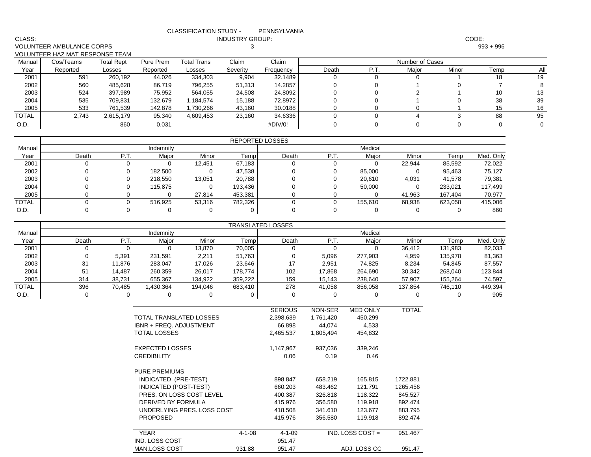| CLASS:       |                                 |                   |                         |                            |                  | <b>INDUSTRY GROUP:</b>     |                            |                            |                         |                     | CODE:            |             |  |  |
|--------------|---------------------------------|-------------------|-------------------------|----------------------------|------------------|----------------------------|----------------------------|----------------------------|-------------------------|---------------------|------------------|-------------|--|--|
|              | VOLUNTEER AMBULANCE CORPS       |                   |                         |                            | 3                |                            |                            |                            |                         |                     | $993 + 996$      |             |  |  |
|              | VOLUNTEER HAZ MAT RESPONSE TEAM |                   |                         |                            |                  |                            |                            |                            |                         |                     |                  |             |  |  |
| Manual       | Cos/Teams                       | <b>Total Rept</b> | Pure Prem               | <b>Total Trans</b>         | Claim            | Claim                      |                            |                            | Number of Cases         |                     |                  |             |  |  |
| Year         | Reported                        | Losses            | Reported                | Losses                     | Severity         | Frequency                  | Death                      | P.T.                       | Major                   | Minor               | Temp             | All         |  |  |
| 2001         | 591                             | 260,192           | 44.026                  | 334,303                    | 9,904            | 32.1489                    | $\mathbf 0$                | $\mathbf 0$                | 0                       | 1                   | 18               | 19          |  |  |
| 2002         | 560                             | 485,628           | 86.719                  | 796,255                    | 51,313           | 14.2857                    | $\mathbf 0$                | 0                          |                         | 0                   | $\overline{7}$   | 8           |  |  |
| 2003         | 524                             | 397,989           | 75.952                  | 564,055                    | 24,508           | 24.8092                    | $\mathbf 0$                | $\mathbf 0$                | $\overline{\mathbf{c}}$ |                     | 10               | 13          |  |  |
| 2004         | 535                             | 709,831           | 132.679                 | 1,184,574                  | 15,188           | 72.8972                    | $\mathbf 0$                | 0                          |                         | 0                   | 38               | 39          |  |  |
| 2005         | 533                             | 761,539           | 142.878                 | 1,730,266                  | 43,160           | 30.0188                    | $\mathbf 0$<br>$\mathbf 0$ | $\mathbf 0$<br>$\mathbf 0$ | 0<br>4                  | $\overline{1}$<br>3 | 15<br>88         | 16<br>95    |  |  |
| <b>TOTAL</b> | 2,743                           | 2,615,179         | 95.340                  | 4,609,453                  | 23,160           | 34.6336                    |                            |                            |                         |                     |                  |             |  |  |
| O.D.         |                                 | 860               | 0.031                   |                            |                  | #DIV/0!                    | $\mathbf 0$                | $\mathbf 0$                | 0                       | $\mathbf 0$         | 0                | $\mathbf 0$ |  |  |
|              |                                 |                   |                         |                            |                  |                            |                            |                            |                         |                     |                  |             |  |  |
|              |                                 |                   |                         |                            |                  | <b>REPORTED LOSSES</b>     |                            |                            |                         |                     |                  |             |  |  |
| Manual       |                                 | P.T.              | Indemnity               |                            |                  |                            | P.T.                       | Medical                    | Minor                   |                     |                  |             |  |  |
| Year         | Death                           | $\mathbf 0$       | Major<br>$\Omega$       | Minor                      | Temp             | Death                      |                            | Major                      |                         | Temp                | Med. Only        |             |  |  |
| 2001<br>2002 | 0<br>$\Omega$                   | $\mathbf 0$       | 182,500                 | 12,451<br>$\mathbf 0$      | 67,183<br>47,538 | $\mathbf 0$<br>$\mathbf 0$ | $\mathbf 0$<br>$\mathbf 0$ | $\mathbf 0$<br>85,000      | 22,944                  | 85,592              | 72,022<br>75,127 |             |  |  |
| 2003         |                                 | 0                 | 218,550                 |                            | 20,788           | $\mathbf 0$                | 0                          | 20,610                     | 0<br>4,031              | 95,463<br>41,578    | 79,381           |             |  |  |
| 2004         | 0<br>$\mathbf 0$                | $\mathbf 0$       | 115,875                 | 13,051<br>$\mathbf 0$      | 193,436          | $\mathbf 0$                | 0                          | 50,000                     | 0                       | 233,021             | 117,499          |             |  |  |
| 2005         | $\mathbf 0$                     | $\mathbf 0$       | $\Omega$                | 27,814                     | 453,381          | $\mathbf 0$                | $\Omega$                   | $\Omega$                   | 41,963                  | 167,404             | 70,977           |             |  |  |
| <b>TOTAL</b> | $\mathbf 0$                     | 0                 | 516,925                 | 53,316                     | 782,326          | $\mathbf 0$                | $\mathbf 0$                | 155,610                    | 68,938                  | 623,058             | 415,006          |             |  |  |
| O.D.         | 0                               | 0                 | $\mathbf 0$             | 0                          | $\mathbf 0$      | $\mathbf 0$                | $\mathbf 0$                | $\Omega$                   | 0                       | $\mathbf 0$         | 860              |             |  |  |
|              |                                 |                   |                         |                            |                  |                            |                            |                            |                         |                     |                  |             |  |  |
|              |                                 |                   |                         |                            |                  | <b>TRANSLATED LOSSES</b>   |                            |                            |                         |                     |                  |             |  |  |
| Manual       |                                 |                   | Indemnity               |                            |                  |                            |                            | Medical                    |                         |                     |                  |             |  |  |
| Year         | Death                           | P.T.              | Major                   | Minor                      | Temp             | Death                      | P.T.                       | Major                      | Minor                   | Temp                | Med. Only        |             |  |  |
| 2001         | 0                               | $\mathbf 0$       | $\Omega$                | 13,870                     | 70,005           | $\mathbf 0$                | $\mathbf 0$                | $\Omega$                   | 36,412                  | 131.983             | 82,033           |             |  |  |
| 2002         | 0                               | 5,391             | 231,591                 | 2,211                      | 51,763           | $\mathbf 0$                | 5,096                      | 277,903                    | 4,959                   | 135,978             | 81,363           |             |  |  |
| 2003         | 31                              | 11,876            | 283,047                 | 17,026                     | 23,646           | 17                         | 2,951                      | 74,825                     | 8,234                   | 54,845              | 87,557           |             |  |  |
| 2004         | 51                              | 14,487            | 260,359                 | 26,017                     | 178,774          | 102                        | 17,868                     | 264,690                    | 30,342                  | 268,040             | 123,844          |             |  |  |
| 2005         | 314                             | 38,731            | 655,367                 | 134,922                    | 359,222          | 159                        | 15,143                     | 238,640                    | 57,907                  | 155,264             | 74,597           |             |  |  |
| <b>TOTAL</b> | 396                             | 70,485            | 1,430,364               | 194,046                    | 683,410          | 278                        | 41,058                     | 856,058                    | 137,854                 | 746,110             | 449,394          |             |  |  |
| O.D.         | 0                               | $\mathbf 0$       | 0                       | 0                          | $\mathbf{0}$     | 0                          | 0                          | $\mathbf 0$                | 0                       | 0                   | 905              |             |  |  |
|              |                                 |                   |                         |                            |                  |                            |                            |                            |                         |                     |                  |             |  |  |
|              |                                 |                   |                         |                            |                  | <b>SERIOUS</b>             | NON-SER                    | <b>MED ONLY</b>            | <b>TOTAL</b>            |                     |                  |             |  |  |
|              |                                 |                   |                         | TOTAL TRANSLATED LOSSES    |                  | 2,398,639                  | 1,761,420                  | 450,299                    |                         |                     |                  |             |  |  |
|              |                                 |                   | IBNR + FREQ. ADJUSTMENT |                            |                  | 66,898                     | 44,074                     | 4,533                      |                         |                     |                  |             |  |  |
|              |                                 |                   | <b>TOTAL LOSSES</b>     |                            |                  | 2,465,537                  | 1,805,494                  | 454,832                    |                         |                     |                  |             |  |  |
|              |                                 |                   |                         |                            |                  |                            |                            |                            |                         |                     |                  |             |  |  |
|              |                                 |                   | <b>EXPECTED LOSSES</b>  |                            |                  | 1,147,967                  | 937,036                    | 339,246                    |                         |                     |                  |             |  |  |
|              |                                 |                   | <b>CREDIBILITY</b>      |                            |                  | 0.06                       | 0.19                       | 0.46                       |                         |                     |                  |             |  |  |
|              |                                 |                   | PURE PREMIUMS           |                            |                  |                            |                            |                            |                         |                     |                  |             |  |  |
|              |                                 |                   | INDICATED (PRE-TEST)    |                            |                  | 898.847                    | 658.219                    | 165.815                    | 1722.881                |                     |                  |             |  |  |
|              |                                 |                   | INDICATED (POST-TEST)   |                            |                  | 660.203                    | 483.462                    | 121.791                    | 1265.456                |                     |                  |             |  |  |
|              |                                 |                   |                         | PRES. ON LOSS COST LEVEL   |                  | 400.387                    | 326.818                    | 118.322                    | 845.527                 |                     |                  |             |  |  |
|              |                                 |                   | DERIVED BY FORMULA      |                            |                  | 415.976                    | 356.580                    | 119.918                    | 892.474                 |                     |                  |             |  |  |
|              |                                 |                   |                         | UNDERLYING PRES. LOSS COST |                  | 418.508                    | 341.610                    | 123.677                    | 883.795                 |                     |                  |             |  |  |
|              |                                 |                   | <b>PROPOSED</b>         |                            |                  | 415.976                    | 356.580                    | 119.918                    | 892.474                 |                     |                  |             |  |  |
|              |                                 |                   |                         |                            |                  |                            |                            |                            |                         |                     |                  |             |  |  |
|              |                                 |                   | YEAR                    |                            | $4 - 1 - 08$     | $4 - 1 - 09$               |                            | IND. LOSS COST $=$         | 951.467                 |                     |                  |             |  |  |
|              |                                 |                   | IND. LOSS COST          |                            |                  | 951.47                     |                            |                            |                         |                     |                  |             |  |  |
|              |                                 |                   | MAN.LOSS COST           |                            | 931.88           | 951.47                     |                            | ADJ. LOSS CO               | 951.47                  |                     |                  |             |  |  |

CLASSIFICATION STUDY - PENNSYLVANIA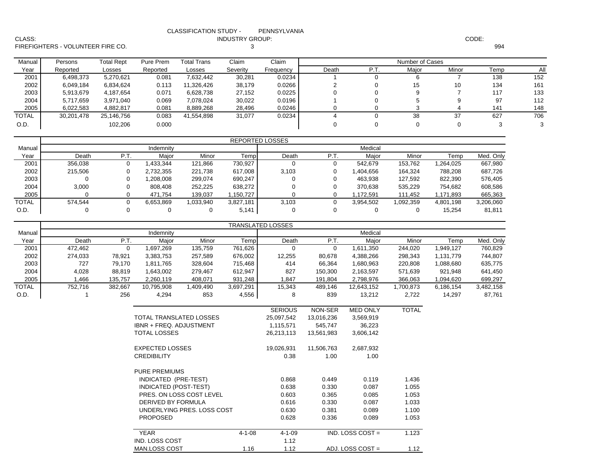|        | <b>CLASSIFICATION STUDY -</b><br>PENNSYLVANIA |  |
|--------|-----------------------------------------------|--|
| CLASS: | <b>INDUSTRY GROUP:</b>                        |  |

FIREFIGHTERS - VOLUNTEER FIRE CO. 3

: CODE: the contract of the contract of the contract of the contract of the contract of the contract of the contract of the contract of the contract of the contract of the contract of the contract of the contract of the co

994

| Manual | Persons    | <b>Total Rept</b> | Pure Prem | Total Trans | Claim    | Claim     |       |     | Number of Cases |       |      |     |
|--------|------------|-------------------|-----------|-------------|----------|-----------|-------|-----|-----------------|-------|------|-----|
| Year   | Reported   | Losses            | Reported  | Losses      | Severity | Frequency | Death | P.T | Major           | Minor | Temp | AI  |
| 2001   | 6,498,373  | 5,270,621         | 0.081     | 7,632,442   | 30,281   | 0.0234    |       |     | 6               |       | 138  | 152 |
| 2002   | 6,049,184  | 6.834.624         | 0.113     | 11.326.426  | 38,179   | 0.0266    |       |     | 15              | 10    | 134  | 161 |
| 2003   | 5,913,679  | 4,187,654         | 0.071     | 6,628,738   | 27,152   | 0.0225    |       |     | 9               |       | 117  | 133 |
| 2004   | 5,717,659  | 3.971.040         | 0.069     | 7.078.024   | 30,022   | 0.0196    |       |     |                 | 9     | 97   | 112 |
| 2005   | 6,022,583  | 4,882,817         | 0.081     | 8,889,268   | 28,496   | 0.0246    |       |     |                 |       | 141  | 148 |
| TOTAL  | 30,201,478 | 25,146,756        | 0.083     | 41,554,898  | 31,077   | 0.0234    |       |     | 38              | 37    | 627  | 706 |
| O.D.   |            | 102,206           | 0.000     |             |          |           |       |     |                 |       | w    |     |

|              | <b>REPORTED LOSSES</b> |      |           |           |            |         |     |           |         |           |           |  |  |  |
|--------------|------------------------|------|-----------|-----------|------------|---------|-----|-----------|---------|-----------|-----------|--|--|--|
| Manual       |                        |      | Indemnity |           |            | Medical |     |           |         |           |           |  |  |  |
| Year         | Death                  | P.T. | Major     | Minor     | Temp       | Death   | P.T | Maior     | Minor   | Temp      | Med. Only |  |  |  |
| 2001         | 356.038                |      | .433.344  | 121,866   | 730,927    |         |     | 542.679   | 153,762 | ,264,025  | 667,980   |  |  |  |
| 2002         | 215.506                |      | 2.732.355 | 221,738   | 617,008    | 3,103   |     | .404.656  | 164,324 | 788,208   | 687,726   |  |  |  |
| 2003         |                        |      | .208.008  | 299,074   | 690,247    |         |     | 463.938   | 127,592 | 822,390   | 576,405   |  |  |  |
| 2004         | 3,000                  |      | 808.408   | 252,225   | 638,272    |         |     | 370,638   | 535,229 | 754,682   | 608,586   |  |  |  |
| 2005         |                        |      | 471.754   | 139.037   | 150,727. ا |         |     | 1,172,591 | 111,452 | 1.171.893 | 665,363   |  |  |  |
| <b>TOTAL</b> | 574.544                |      | 6.653.869 | 1,033,940 | 3,827,181  | 3,103   |     | 3,954,502 | 092,359 | 4,801,198 | 3,206,060 |  |  |  |
| O.D.         |                        |      |           |           | 5,141      |         |     |           |         | 15,254    | 81,811    |  |  |  |

|              |         | <b>TRANSLATED LOSSES</b> |            |          |           |        |         |            |           |           |           |  |  |  |
|--------------|---------|--------------------------|------------|----------|-----------|--------|---------|------------|-----------|-----------|-----------|--|--|--|
| Manual       |         |                          | Indemnity  |          |           |        |         | Medical    |           |           |           |  |  |  |
| Year         | Death   | P.1                      | Maior      | Minor    | Temp      | Death  | P.T     | Maior      | Minor     | Temp      | Med. Only |  |  |  |
| 2001         | 472.462 |                          | .697.269   | 135,759  | 761,626   | υ      | 0       | 1,611,350  | 244,020   | ,949,127  | 760,829   |  |  |  |
| 2002         | 274,033 | 78.921                   | 3,383,753  | 257,589  | 676,002   | 12,255 | 80,678  | 4,388,266  | 298,343   | 1,131,779 | 744.807   |  |  |  |
| 2003         | 727     | 79,170                   | 1,811,765  | 328,604  | 715,468   | 414    | 66,364  | 1,680,963  | 220,808   | 088,680   | 635,775   |  |  |  |
| 2004         | 4,028   | 88,819                   | 1,643,002  | 279,467  | 612,947   | 827    | 150.300 | 2,163,597  | 571,639   | 921,948   | 641,450   |  |  |  |
| 2005         | 1,466   | 135.757                  | 2,260,119  | 408,071  | 931,248   | 1,847  | 191,804 | 2,798,976  | 366,063   | 094,620   | 699,297   |  |  |  |
| <b>TOTAL</b> | 752.716 | 382,667                  | 10,795,908 | ,409,490 | 3,697,291 | 15,343 | 489,146 | 12,643,152 | 1,700,873 | 6,186,154 | 3,482,158 |  |  |  |
| O.D.         |         | 256                      | 4,294      | 853      | 4,556     | o      | 839     | 13,212     | 2,722     | 14,297    | 87,761    |  |  |  |

|                            |              | <b>SERIOUS</b> | NON-SER    | <b>MED ONLY</b>      | TOTAL |
|----------------------------|--------------|----------------|------------|----------------------|-------|
| TOTAL TRANSLATED LOSSES    |              | 25,097,542     | 13,016,236 | 3,569,919            |       |
| IBNR + FREQ. ADJUSTMENT    |              | 1,115,571      | 545,747    | 36,223               |       |
| <b>TOTAL LOSSES</b>        |              | 26,213,113     | 13,561,983 | 3,606,142            |       |
| <b>EXPECTED LOSSES</b>     |              | 19,026,931     | 11,506,763 | 2,687,932            |       |
| <b>CREDIBILITY</b>         |              | 0.38           | 1.00       | 1.00                 |       |
| <b>PURE PREMIUMS</b>       |              |                |            |                      |       |
| INDICATED (PRE-TEST)       |              | 0.868          | 0.449      | 0.119                | 1.436 |
| INDICATED (POST-TEST)      |              | 0.638          | 0.330      | 0.087                | 1.055 |
| PRES. ON LOSS COST LEVEL   |              | 0.603          | 0.365      | 0.085                | 1.053 |
| DERIVED BY FORMULA         |              | 0.616          | 0.330      | 0.087                | 1.033 |
| UNDERLYING PRES. LOSS COST |              | 0.630          | 0.381      | 0.089                | 1.100 |
| <b>PROPOSED</b>            |              | 0.628          | 0.336      | 0.089                | 1.053 |
| <b>YEAR</b>                | $4 - 1 - 08$ | $4 - 1 - 09$   |            | $IND.$ LOSS COST $=$ | 1.123 |
| IND. LOSS COST             |              | 1.12           |            |                      |       |
| <b>MAN.LOSS COST</b>       | 1.16         | 1.12           |            | ADJ. LOSS COST $=$   | 1.12  |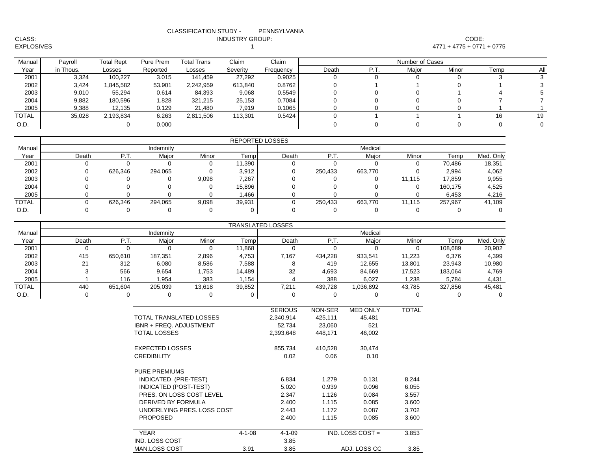|        | <b>CLASSIFICATION STUDY -</b> | PENNSYLVANIA |
|--------|-------------------------------|--------------|
| CLASS: | <b>INDUSTRY GROUP:</b>        |              |

### : CODE: the contract of the contract of the contract of the contract of the contract of the contract of the contract of the contract of the contract of the contract of the contract of the contract of the contract of the co 1 4771 + 4775 + 0771 + 0775

| Manual       | Payroll   | <b>Total Rept</b> | Pure Prem | Total Trans | Claim    | Claim     | Number of Cases |      |       |       |      |     |
|--------------|-----------|-------------------|-----------|-------------|----------|-----------|-----------------|------|-------|-------|------|-----|
| Year         | in Thous. | Losses            | Reported  | Losses      | Severity | Frequency | Death           | P.T. | Major | Minor | Temp | All |
| 2001         | 3,324     | 100,227           | 3.015     | 141.459     | 27,292   | 0.9025    |                 |      | υ     |       |      |     |
| 2002         | 3,424     | 1,845,582         | 53.901    | 2,242,959   | 613,840  | 0.8762    |                 |      |       |       |      |     |
| 2003         | 9,010     | 55,294            | 0.614     | 84,393      | 9,068    | 0.5549    |                 |      |       |       |      |     |
| 2004         | 9,882     | 180,596           | 1.828     | 321,215     | 25,153   | 0.7084    |                 |      |       |       |      |     |
| 2005         | 9,388     | 12,135            | 0.129     | 21,480      | 7,919    | 0.1065    |                 |      |       |       |      |     |
| <b>TOTAL</b> | 35,028    | 2,193,834         | 6.263     | 2,811,506   | 113,301  | 0.5424    |                 |      |       |       | 16   | 19  |
| O.D.         |           |                   | 0.000     |             |          |           |                 |      |       |       |      |     |

|              |       |         |           |       |        | <b>REPORTED LOSSES</b> |         |         |        |         |           |
|--------------|-------|---------|-----------|-------|--------|------------------------|---------|---------|--------|---------|-----------|
| Manual       |       |         | Indemnity |       |        |                        |         | Medical |        |         |           |
| Year         | Death | P.1.    | Major     | Minor | Temp   | Death                  | P.T     | Major   | Minor  | Temp    | Med. Only |
| 2001         |       |         |           |       | 11,390 |                        |         |         |        | 70,486  | 18,351    |
| 2002         |       | 626,346 | 294,065   |       | 3,912  |                        | 250,433 | 663,770 |        | 2,994   | 4,062     |
| 2003         |       |         |           | 9,098 | 7,267  |                        |         |         | 11.115 | 17.859  | 9,955     |
| 2004         |       |         |           |       | 15,896 |                        |         |         |        | 160,175 | 4,525     |
| 2005         |       |         |           |       | .466   |                        |         |         |        | 6,453   | 4,216     |
| <b>TOTAL</b> |       | 626,346 | 294,065   | 9,098 | 39,931 |                        | 250,433 | 663,770 | 11.115 | 257,967 | 41,109    |
| O.D.         |       |         |           |       | 0      |                        |         |         |        |         |           |

|              |                     |          |                                |                            |              | <b>TRANSLATED LOSSES</b> |          |                    |              |          |           |
|--------------|---------------------|----------|--------------------------------|----------------------------|--------------|--------------------------|----------|--------------------|--------------|----------|-----------|
| Manual       |                     |          | Indemnity                      |                            |              |                          |          | Medical            |              |          |           |
| Year         | Death               | P.T.     | Major                          | Minor                      | Temp         | Death                    | P.T.     | Major              | Minor        | Temp     | Med. Only |
| 2001         | 0                   | $\Omega$ | $\Omega$                       | $\Omega$                   | 11,868       | $\mathbf 0$              | $\Omega$ | $\Omega$           | $\Omega$     | 108,689  | 20,902    |
| 2002         | 415                 | 650,610  | 187,351                        | 2,896                      | 4,753        | 7,167                    | 434,228  | 933,541            | 11,223       | 6,376    | 4,399     |
| 2003         | 21                  | 312      | 6,080                          | 8,586                      | 7,588        | 8                        | 419      | 12,655             | 13,801       | 23,943   | 10,980    |
| 2004         | 3                   | 566      | 9,654                          | 1,753                      | 14,489       | 32                       | 4,693    | 84,669             | 17,523       | 183,064  | 4,769     |
| 2005         |                     | 116      | 1,954                          | 383                        | 1,154        | 4                        | 388      | 6,027              | 1,238        | 5,784    | 4,431     |
| <b>TOTAL</b> | 440                 | 651,604  | 205,039                        | 13,618                     | 39,852       | 7,211                    | 439,728  | 1,036,892          | 43,785       | 327,856  | 45,481    |
| O.D.         | 0                   | $\Omega$ | 0                              | $\Omega$                   | 0            | 0                        | $\Omega$ | 0                  | $\Omega$     | $\Omega$ | $\Omega$  |
|              |                     |          |                                |                            |              | <b>SERIOUS</b>           | NON-SER  | <b>MED ONLY</b>    | <b>TOTAL</b> |          |           |
|              |                     |          | TOTAL TRANSLATED LOSSES        |                            |              | 2,340,914                | 425,111  | 45,481             |              |          |           |
|              |                     |          | <b>IBNR + FREQ. ADJUSTMENT</b> |                            |              | 52,734                   | 23,060   | 521                |              |          |           |
|              | <b>TOTAL LOSSES</b> |          |                                |                            |              | 2,393,648                | 448,171  | 46,002             |              |          |           |
|              |                     |          | <b>EXPECTED LOSSES</b>         |                            |              | 855,734                  | 410,528  | 30,474             |              |          |           |
|              |                     |          | <b>CREDIBILITY</b>             |                            |              | 0.02                     | 0.06     | 0.10               |              |          |           |
|              |                     |          | <b>PURE PREMIUMS</b>           |                            |              |                          |          |                    |              |          |           |
|              |                     |          | INDICATED (PRE-TEST)           |                            |              | 6.834                    | 1.279    | 0.131              | 8.244        |          |           |
|              |                     |          | INDICATED (POST-TEST)          |                            |              | 5.020                    | 0.939    | 0.096              | 6.055        |          |           |
|              |                     |          | PRES. ON LOSS COST LEVEL       |                            |              | 2.347                    | 1.126    | 0.084              | 3.557        |          |           |
|              |                     |          | <b>DERIVED BY FORMULA</b>      |                            |              | 2.400                    | 1.115    | 0.085              | 3.600        |          |           |
|              |                     |          |                                | UNDERLYING PRES. LOSS COST |              | 2.443                    | 1.172    | 0.087              | 3.702        |          |           |
|              |                     |          | <b>PROPOSED</b>                |                            |              | 2.400                    | 1.115    | 0.085              | 3.600        |          |           |
|              |                     |          | <b>YEAR</b>                    |                            | $4 - 1 - 08$ | $4 - 1 - 09$             |          | IND. LOSS COST $=$ | 3.853        |          |           |

3.85

3.85

ADJ. LOSS C O

3.85

IND. LOSS COST

MAN.LOSS COST 3.91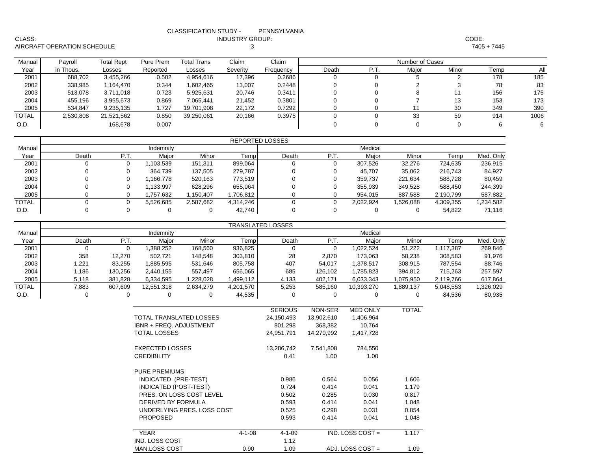|        | <b>CLASSIFICATION STUDY -</b> | PENNSYLVANIA |
|--------|-------------------------------|--------------|
| CLASS: | <b>INDUSTRY GROUP:</b>        |              |

AIRCRAFT OPERATION SCHEDULE 3

: CODE: the contract of the contract of the contract of the contract of the contract of the contract of the contract of the contract of the contract of the contract of the contract of the contract of the contract of the co

7405 + 7445

| Manual       | Pavroll   | <b>Total Rept</b> | Pure Prem | Total Trans | Claim    | Claim     | Number of Cases |       |             |       |       |      |      |
|--------------|-----------|-------------------|-----------|-------------|----------|-----------|-----------------|-------|-------------|-------|-------|------|------|
| Year         | in Thous. | Losses            | Reported  | Losses      | Severity | Frequency |                 | Death | <b>P.T.</b> | Maior | Minor | Temp | Αll  |
| 2001         | 688,702   | 3,455,266         | 0.502     | 4,954,616   | 17,396   | 0.2686    |                 |       |             | C     |       | 178  | 185  |
| 2002         | 338,985   | 1,164,470         | 0.344     | 1,602,465   | 13,007   | 0.2448    |                 |       |             |       |       | 78   | 83   |
| 2003         | 513,078   | 3,711,018         | 0.723     | 5,925,631   | 20,746   | 0.3411    |                 |       |             | 8     |       | 156  | 175  |
| 2004         | 455.196   | 3,955,673         | 0.869     | 7,065,441   | 21,452   | 0.3801    |                 |       |             |       | 13    | 153  | 173  |
| 2005         | 534.847   | 9,235,135         | 1.727     | 19,701,908  | 22,172   | 0.7292    |                 |       |             | 11    | 30    | 349  | 390  |
| <b>TOTAL</b> | 2,530,808 | 21,521,562        | 0.850     | 39,250,061  | 20,166   | 0.3975    |                 |       |             | 33    | 59    | 914  | 1006 |
| O.D.         |           | 168,678           | 0.007     |             |          |           |                 |       |             |       |       |      |      |

|              |       | <b>REPORTED LOSSES</b> |           |           |           |       |     |           |         |           |           |  |  |  |  |
|--------------|-------|------------------------|-----------|-----------|-----------|-------|-----|-----------|---------|-----------|-----------|--|--|--|--|
| Manual       |       |                        | Indemnity |           |           |       |     | Medical   |         |           |           |  |  |  |  |
| Year         | Death | $P_{1}$                | Maior     | Minor     | Temp      | Death | P.T | Maior     | Minor   | Temp      | Med. Only |  |  |  |  |
| 2001         |       |                        | ,103,539  | 151,311   | 899,064   | 0     |     | 307.526   | 32,276  | 724.635   | 236,915   |  |  |  |  |
| 2002         |       |                        | 364.739   | 137,505   | 279,787   | 0     |     | 45.707    | 35,062  | 216.743   | 84,927    |  |  |  |  |
| 2003         |       |                        | .166.778  | 520,163   | 773.519   | 0     |     | 359,737   | 221,634 | 588,728   | 80,459    |  |  |  |  |
| 2004         |       |                        | ,133,997  | 628,296   | 655,064   | 0     |     | 355,939   | 349,528 | 588.450   | 244,399   |  |  |  |  |
| 2005         |       |                        | .757.632  | 1,150,407 | 1,706,812 |       |     | 954,015   | 887,588 | 2,190,799 | 587,882   |  |  |  |  |
| <b>TOTAL</b> |       |                        | 5,526,685 | 2,587,682 | 4,314,246 | 0     |     | 2.022.924 | 526,088 | 4,309,355 | 1,234,582 |  |  |  |  |
| O.D.         |       |                        |           |           | 42,740    | 0     |     |           |         | 54.822    | 71,116    |  |  |  |  |

|              |       | TRANSLATED LOSSES |            |           |           |       |         |            |         |           |           |  |  |  |  |
|--------------|-------|-------------------|------------|-----------|-----------|-------|---------|------------|---------|-----------|-----------|--|--|--|--|
| Manual       |       |                   | Indemnity  |           |           |       |         | Medical    |         |           |           |  |  |  |  |
| Year         | Death | P.T               | Maior      | Minor     | Temp      | Death | P.T     | Maior      | Minor   | Геmр      | Med. Only |  |  |  |  |
| 2001         |       |                   | .388,252   | 168,560   | 936,825   |       |         | 1,022,524  | 51.222  | 1,117,387 | 269,846   |  |  |  |  |
| 2002         | 358   | 12.270            | 502.721    | 148,548   | 303,810   | 28    | 2,870   | 173.063    | 58,238  | 308,583   | 91,976    |  |  |  |  |
| 2003         | 1,221 | 83,255            | .885.595   | 531,646   | 805,758   | 407   | 54.017  | 1,378,517  | 308,915 | 787,554   | 88,746    |  |  |  |  |
| 2004         | 1.186 | 130,256           | 2.440.155  | 557,497   | 656,065   | 685   | 126,102 | 1,785,823  | 394,812 | 715,263   | 257,597   |  |  |  |  |
| 2005         | 5.118 | 381,828           | 6.334.595  | 1,228,028 | .499,112  | 4,133 | 402.171 | 6,033,343  | 075,950 | 2,119,766 | 617,864   |  |  |  |  |
| <b>TOTAL</b> | 7,883 | 607,609           | 12,551,318 | 2.634.279 | 4,201,570 | 5,253 | 585,160 | 10,393,270 | 889,137 | 5,048,553 | .326,029  |  |  |  |  |
| O.D.         |       |                   |            |           | 44,535    |       |         |            |         | 84,536    | 80,935    |  |  |  |  |

|                            |              | <b>SERIOUS</b> | NON-SER    | <b>MED ONLY</b>      | <b>TOTAL</b> |
|----------------------------|--------------|----------------|------------|----------------------|--------------|
| TOTAL TRANSLATED LOSSES    |              | 24,150,493     | 13,902,610 | 1,406,964            |              |
| IBNR + FREQ. ADJUSTMENT    |              | 801,298        | 368,382    | 10,764               |              |
| TOTAL LOSSES               |              | 24,951,791     | 14,270,992 | 1,417,728            |              |
| <b>EXPECTED LOSSES</b>     |              | 13,286,742     | 7,541,808  | 784,550              |              |
| <b>CREDIBILITY</b>         |              | 0.41           | 1.00       | 1.00                 |              |
| <b>PURE PREMIUMS</b>       |              |                |            |                      |              |
| INDICATED (PRE-TEST)       |              | 0.986          | 0.564      | 0.056                | 1.606        |
| INDICATED (POST-TEST)      |              | 0.724          | 0.414      | 0.041                | 1.179        |
| PRES. ON LOSS COST LEVEL   |              | 0.502          | 0.285      | 0.030                | 0.817        |
| DERIVED BY FORMULA         |              | 0.593          | 0.414      | 0.041                | 1.048        |
| UNDERLYING PRES. LOSS COST |              | 0.525          | 0.298      | 0.031                | 0.854        |
| <b>PROPOSED</b>            |              | 0.593          | 0.414      | 0.041                | 1.048        |
| <b>YEAR</b>                | $4 - 1 - 08$ | $4 - 1 - 09$   |            | $IND.$ LOSS COST $=$ | 1.117        |
| IND. LOSS COST             |              | 1.12           |            |                      |              |
| <b>MAN.LOSS COST</b>       | 0.90         | 1.09           |            | ADJ. LOSS COST $=$   | 1.09         |